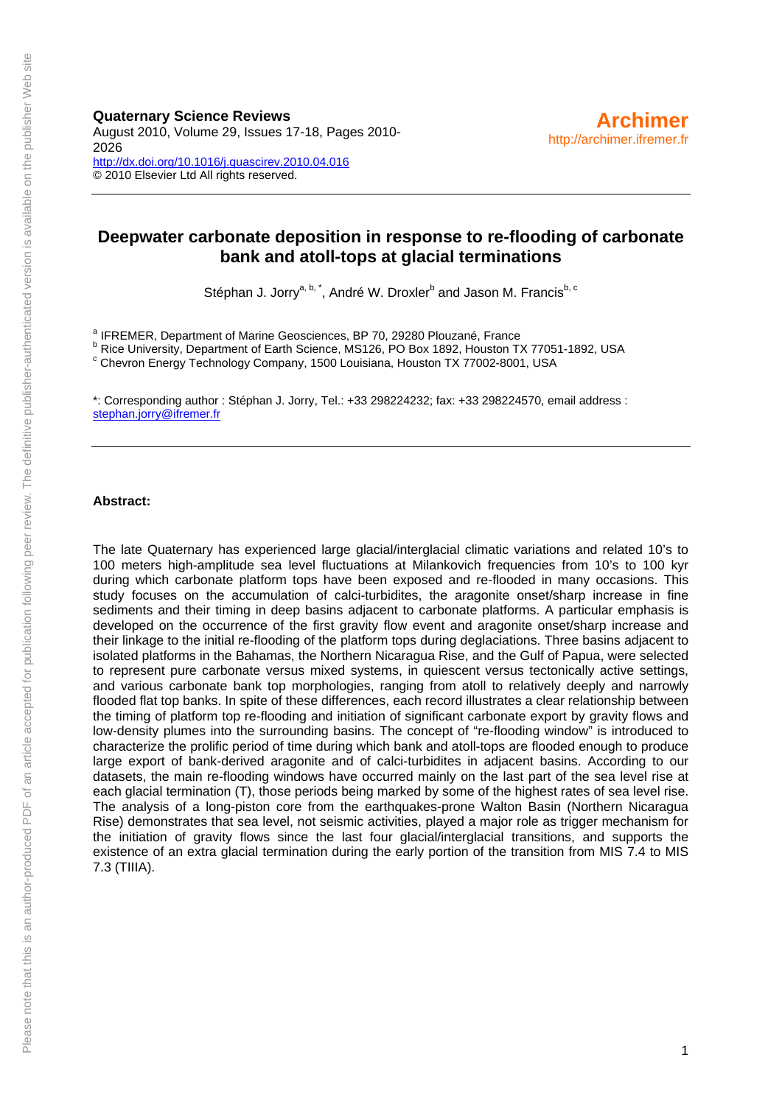**Quaternary Science Reviews**  August 2010, Volume 29, Issues 17-18, Pages 2010- 2026 <http://dx.doi.org/10.1016/j.quascirev.2010.04.016> © 2010 Elsevier Ltd All rights reserved.

# **Deepwater carbonate deposition in response to re-flooding of carbonate bank and atoll-tops at glacial terminations**

Stéphan J. Jorry<sup>a, b, \*</sup>, André W. Droxler<sup>b</sup> and Jason M. Francis<sup>b, c</sup>

<sup>a</sup> IFREMER, Department of Marine Geosciences, BP 70, 29280 Plouzané, France

<sup>b</sup> Rice University, Department of Earth Science, MS126, PO Box 1892, Houston TX 77051-1892, USA<br><sup>c</sup> Chouren Energy Technology Company, 1500 Louisians, Houston TX 77002, 8001, USA

<sup>c</sup> Chevron Energy Technology Company, 1500 Louisiana, Houston TX 77002-8001, USA

\*: Corresponding author : Stéphan J. Jorry, Tel.: +33 298224232; fax: +33 298224570, email address : [stephan.jorry@ifremer.fr](mailto:stephan.jorry@ifremer.fr)

#### **Abstract:**

The late Quaternary has experienced large glacial/interglacial climatic variations and related 10's to 100 meters high-amplitude sea level fluctuations at Milankovich frequencies from 10's to 100 kyr during which carbonate platform tops have been exposed and re-flooded in many occasions. This study focuses on the accumulation of calci-turbidites, the aragonite onset/sharp increase in fine sediments and their timing in deep basins adjacent to carbonate platforms. A particular emphasis is developed on the occurrence of the first gravity flow event and aragonite onset/sharp increase and their linkage to the initial re-flooding of the platform tops during deglaciations. Three basins adjacent to isolated platforms in the Bahamas, the Northern Nicaragua Rise, and the Gulf of Papua, were selected to represent pure carbonate versus mixed systems, in quiescent versus tectonically active settings, and various carbonate bank top morphologies, ranging from atoll to relatively deeply and narrowly flooded flat top banks. In spite of these differences, each record illustrates a clear relationship between the timing of platform top re-flooding and initiation of significant carbonate export by gravity flows and low-density plumes into the surrounding basins. The concept of "re-flooding window" is introduced to characterize the prolific period of time during which bank and atoll-tops are flooded enough to produce large export of bank-derived aragonite and of calci-turbidites in adjacent basins. According to our datasets, the main re-flooding windows have occurred mainly on the last part of the sea level rise at each glacial termination (T), those periods being marked by some of the highest rates of sea level rise. The analysis of a long-piston core from the earthquakes-prone Walton Basin (Northern Nicaragua Rise) demonstrates that sea level, not seismic activities, played a major role as trigger mechanism for the initiation of gravity flows since the last four glacial/interglacial transitions, and supports the existence of an extra glacial termination during the early portion of the transition from MIS 7.4 to MIS 7.3 (TIIIA).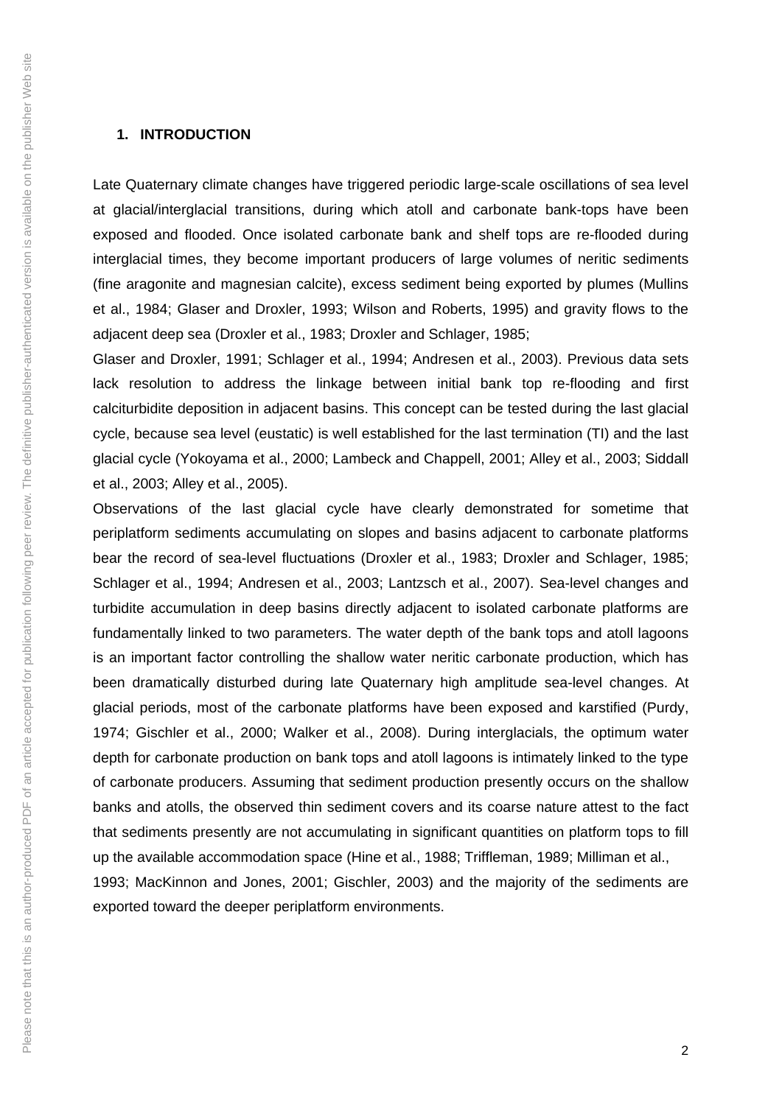#### **1. INTRODUCTION**

Late Quaternary climate changes have triggered periodic large-scale oscillations of sea level at glacial/interglacial transitions, during which atoll and carbonate bank-tops have been exposed and flooded. Once isolated carbonate bank and shelf tops are re-flooded during interglacial times, they become important producers of large volumes of neritic sediments (fine aragonite and magnesian calcite), excess sediment being exported by plumes (Mullins et al., 1984; Glaser and Droxler, 1993; Wilson and Roberts, 1995) and gravity flows to the adjacent deep sea (Droxler et al., 1983; Droxler and Schlager, 1985;

Glaser and Droxler, 1991; Schlager et al., 1994; Andresen et al., 2003). Previous data sets lack resolution to address the linkage between initial bank top re-flooding and first calciturbidite deposition in adjacent basins. This concept can be tested during the last glacial cycle, because sea level (eustatic) is well established for the last termination (TI) and the last glacial cycle (Yokoyama et al., 2000; Lambeck and Chappell, 2001; Alley et al., 2003; Siddall et al., 2003; Alley et al., 2005).

Observations of the last glacial cycle have clearly demonstrated for sometime that periplatform sediments accumulating on slopes and basins adjacent to carbonate platforms bear the record of sea-level fluctuations (Droxler et al., 1983; Droxler and Schlager, 1985; Schlager et al., 1994; Andresen et al., 2003; Lantzsch et al., 2007). Sea-level changes and turbidite accumulation in deep basins directly adjacent to isolated carbonate platforms are fundamentally linked to two parameters. The water depth of the bank tops and atoll lagoons is an important factor controlling the shallow water neritic carbonate production, which has been dramatically disturbed during late Quaternary high amplitude sea-level changes. At glacial periods, most of the carbonate platforms have been exposed and karstified (Purdy, 1974; Gischler et al., 2000; Walker et al., 2008). During interglacials, the optimum water depth for carbonate production on bank tops and atoll lagoons is intimately linked to the type of carbonate producers. Assuming that sediment production presently occurs on the shallow banks and atolls, the observed thin sediment covers and its coarse nature attest to the fact that sediments presently are not accumulating in significant quantities on platform tops to fill up the available accommodation space (Hine et al., 1988; Triffleman, 1989; Milliman et al., 1993; MacKinnon and Jones, 2001; Gischler, 2003) and the majority of the sediments are exported toward the deeper periplatform environments.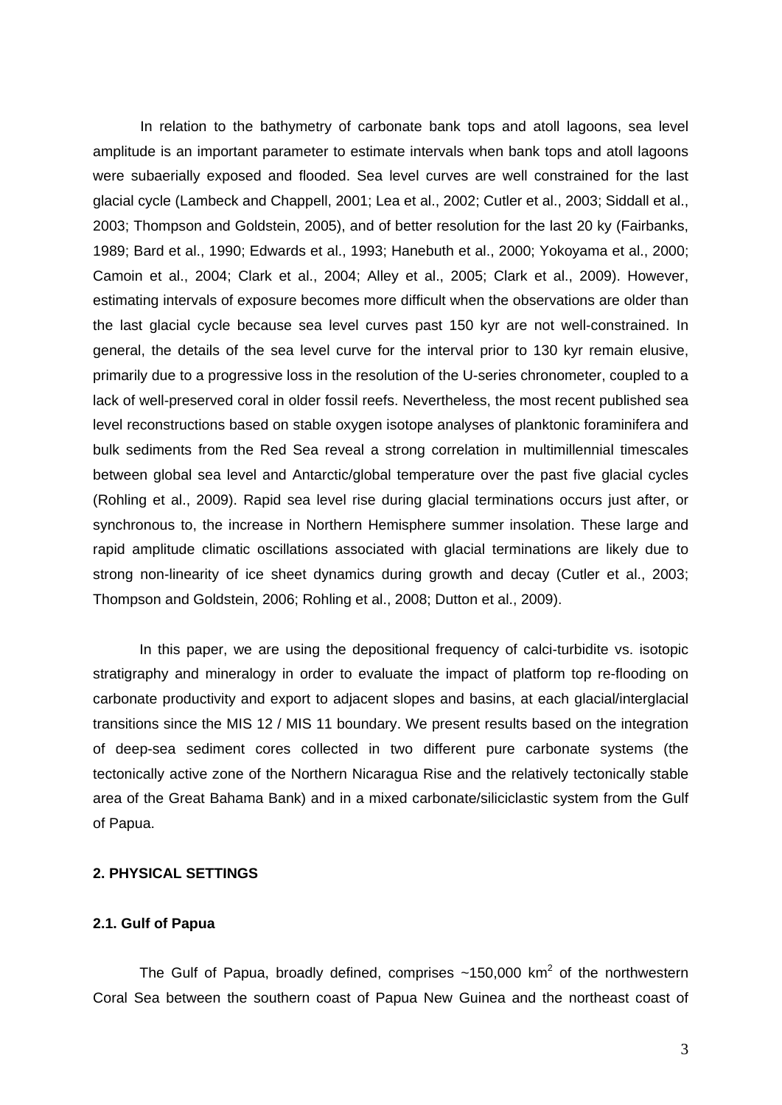In relation to the bathymetry of carbonate bank tops and atoll lagoons, sea level amplitude is an important parameter to estimate intervals when bank tops and atoll lagoons were subaerially exposed and flooded. Sea level curves are well constrained for the last glacial cycle (Lambeck and Chappell, 2001; Lea et al., 2002; Cutler et al., 2003; Siddall et al., 2003; Thompson and Goldstein, 2005), and of better resolution for the last 20 ky (Fairbanks, 1989; Bard et al., 1990; Edwards et al., 1993; Hanebuth et al., 2000; Yokoyama et al., 2000; Camoin et al., 2004; Clark et al., 2004; Alley et al., 2005; Clark et al., 2009). However, estimating intervals of exposure becomes more difficult when the observations are older than the last glacial cycle because sea level curves past 150 kyr are not well-constrained. In general, the details of the sea level curve for the interval prior to 130 kyr remain elusive, primarily due to a progressive loss in the resolution of the U-series chronometer, coupled to a lack of well-preserved coral in older fossil reefs. Nevertheless, the most recent published sea level reconstructions based on stable oxygen isotope analyses of planktonic foraminifera and bulk sediments from the Red Sea reveal a strong correlation in multimillennial timescales between global sea level and Antarctic/global temperature over the past five glacial cycles (Rohling et al., 2009). Rapid sea level rise during glacial terminations occurs just after, or synchronous to, the increase in Northern Hemisphere summer insolation. These large and rapid amplitude climatic oscillations associated with glacial terminations are likely due to strong non-linearity of ice sheet dynamics during growth and decay (Cutler et al., 2003; Thompson and Goldstein, 2006; Rohling et al., 2008; Dutton et al., 2009).

In this paper, we are using the depositional frequency of calci-turbidite vs. isotopic stratigraphy and mineralogy in order to evaluate the impact of platform top re-flooding on carbonate productivity and export to adjacent slopes and basins, at each glacial/interglacial transitions since the MIS 12 / MIS 11 boundary. We present results based on the integration of deep-sea sediment cores collected in two different pure carbonate systems (the tectonically active zone of the Northern Nicaragua Rise and the relatively tectonically stable area of the Great Bahama Bank) and in a mixed carbonate/siliciclastic system from the Gulf of Papua.

## **2. PHYSICAL SETTINGS**

## **2.1. Gulf of Papua**

The Gulf of Papua, broadly defined, comprises  $\sim$ 150,000 km<sup>2</sup> of the northwestern Coral Sea between the southern coast of Papua New Guinea and the northeast coast of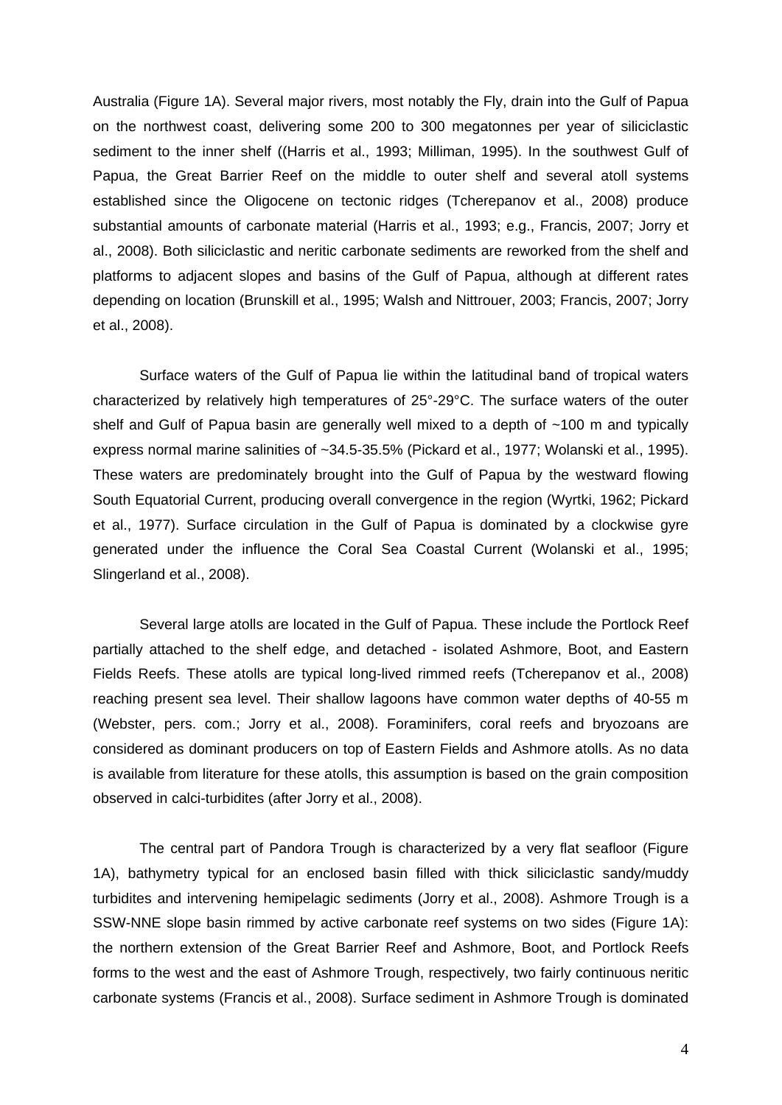Australia (Figure 1A). Several major rivers, most notably the Fly, drain into the Gulf of Papua on the northwest coast, delivering some 200 to 300 megatonnes per year of siliciclastic sediment to the inner shelf ((Harris et al., 1993; Milliman, 1995). In the southwest Gulf of Papua, the Great Barrier Reef on the middle to outer shelf and several atoll systems established since the Oligocene on tectonic ridges (Tcherepanov et al., 2008) produce substantial amounts of carbonate material (Harris et al., 1993; e.g., Francis, 2007; Jorry et al., 2008). Both siliciclastic and neritic carbonate sediments are reworked from the shelf and platforms to adjacent slopes and basins of the Gulf of Papua, although at different rates depending on location (Brunskill et al., 1995; Walsh and Nittrouer, 2003; Francis, 2007; Jorry et al., 2008).

Surface waters of the Gulf of Papua lie within the latitudinal band of tropical waters characterized by relatively high temperatures of 25°-29°C. The surface waters of the outer shelf and Gulf of Papua basin are generally well mixed to a depth of ~100 m and typically express normal marine salinities of ~34.5-35.5% (Pickard et al., 1977; Wolanski et al., 1995). These waters are predominately brought into the Gulf of Papua by the westward flowing South Equatorial Current, producing overall convergence in the region (Wyrtki, 1962; Pickard et al., 1977). Surface circulation in the Gulf of Papua is dominated by a clockwise gyre generated under the influence the Coral Sea Coastal Current (Wolanski et al., 1995; Slingerland et al., 2008).

Several large atolls are located in the Gulf of Papua. These include the Portlock Reef partially attached to the shelf edge, and detached - isolated Ashmore, Boot, and Eastern Fields Reefs. These atolls are typical long-lived rimmed reefs (Tcherepanov et al., 2008) reaching present sea level. Their shallow lagoons have common water depths of 40-55 m (Webster, pers. com.; Jorry et al., 2008). Foraminifers, coral reefs and bryozoans are considered as dominant producers on top of Eastern Fields and Ashmore atolls. As no data is available from literature for these atolls, this assumption is based on the grain composition observed in calci-turbidites (after Jorry et al., 2008).

The central part of Pandora Trough is characterized by a very flat seafloor (Figure 1A), bathymetry typical for an enclosed basin filled with thick siliciclastic sandy/muddy turbidites and intervening hemipelagic sediments (Jorry et al., 2008). Ashmore Trough is a SSW-NNE slope basin rimmed by active carbonate reef systems on two sides (Figure 1A): the northern extension of the Great Barrier Reef and Ashmore, Boot, and Portlock Reefs forms to the west and the east of Ashmore Trough, respectively, two fairly continuous neritic carbonate systems (Francis et al., 2008). Surface sediment in Ashmore Trough is dominated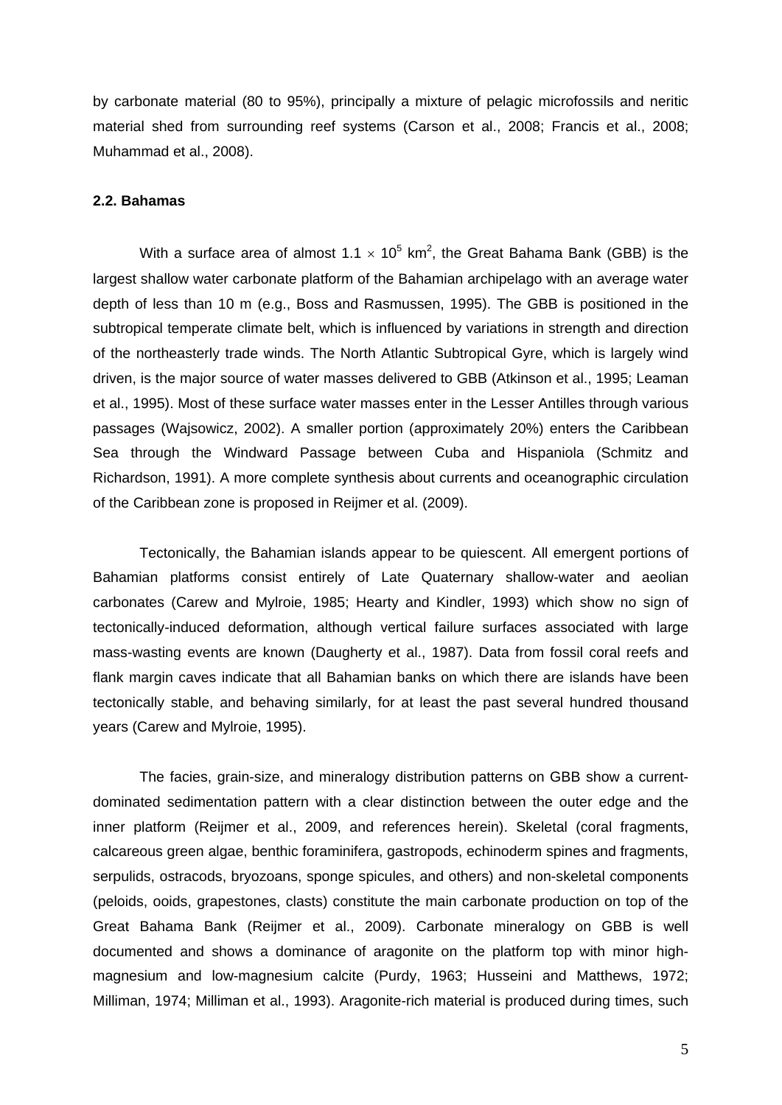by carbonate material (80 to 95%), principally a mixture of pelagic microfossils and neritic material shed from surrounding reef systems (Carson et al., 2008; Francis et al., 2008; Muhammad et al., 2008).

#### **2.2. Bahamas**

With a surface area of almost 1.1  $\times$  10<sup>5</sup> km<sup>2</sup>, the Great Bahama Bank (GBB) is the largest shallow water carbonate platform of the Bahamian archipelago with an average water depth of less than 10 m (e.g., Boss and Rasmussen, 1995). The GBB is positioned in the subtropical temperate climate belt, which is influenced by variations in strength and direction of the northeasterly trade winds. The North Atlantic Subtropical Gyre, which is largely wind driven, is the major source of water masses delivered to GBB (Atkinson et al., 1995; Leaman et al., 1995). Most of these surface water masses enter in the Lesser Antilles through various passages (Wajsowicz, 2002). A smaller portion (approximately 20%) enters the Caribbean Sea through the Windward Passage between Cuba and Hispaniola (Schmitz and Richardson, 1991). A more complete synthesis about currents and oceanographic circulation of the Caribbean zone is proposed in Reijmer et al. (2009).

Tectonically, the Bahamian islands appear to be quiescent. All emergent portions of Bahamian platforms consist entirely of Late Quaternary shallow-water and aeolian carbonates (Carew and Mylroie, 1985; Hearty and Kindler, 1993) which show no sign of tectonically-induced deformation, although vertical failure surfaces associated with large mass-wasting events are known (Daugherty et al., 1987). Data from fossil coral reefs and flank margin caves indicate that all Bahamian banks on which there are islands have been tectonically stable, and behaving similarly, for at least the past several hundred thousand years (Carew and Mylroie, 1995).

The facies, grain-size, and mineralogy distribution patterns on GBB show a currentdominated sedimentation pattern with a clear distinction between the outer edge and the inner platform (Reijmer et al., 2009, and references herein). Skeletal (coral fragments, calcareous green algae, benthic foraminifera, gastropods, echinoderm spines and fragments, serpulids, ostracods, bryozoans, sponge spicules, and others) and non-skeletal components (peloids, ooids, grapestones, clasts) constitute the main carbonate production on top of the Great Bahama Bank (Reijmer et al., 2009). Carbonate mineralogy on GBB is well documented and shows a dominance of aragonite on the platform top with minor highmagnesium and low-magnesium calcite (Purdy, 1963; Husseini and Matthews, 1972; Milliman, 1974; Milliman et al., 1993). Aragonite-rich material is produced during times, such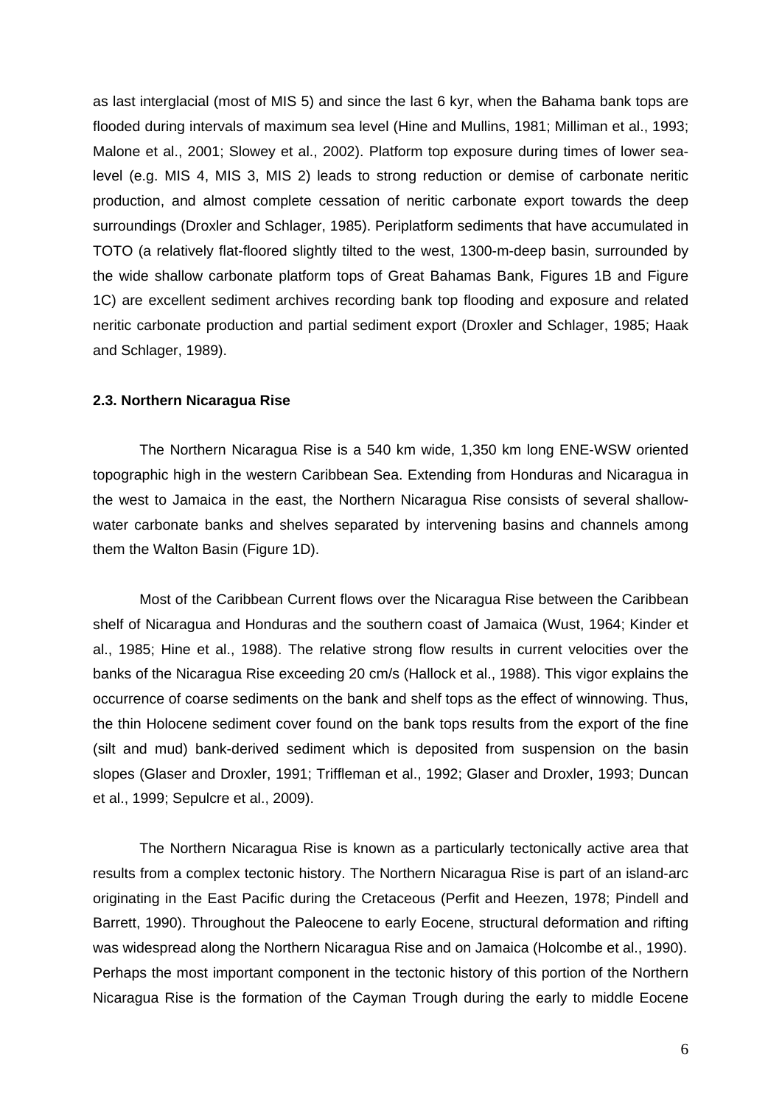as last interglacial (most of MIS 5) and since the last 6 kyr, when the Bahama bank tops are flooded during intervals of maximum sea level (Hine and Mullins, 1981; Milliman et al., 1993; Malone et al., 2001; Slowey et al., 2002). Platform top exposure during times of lower sealevel (e.g. MIS 4, MIS 3, MIS 2) leads to strong reduction or demise of carbonate neritic production, and almost complete cessation of neritic carbonate export towards the deep surroundings (Droxler and Schlager, 1985). Periplatform sediments that have accumulated in TOTO (a relatively flat-floored slightly tilted to the west, 1300-m-deep basin, surrounded by the wide shallow carbonate platform tops of Great Bahamas Bank, Figures 1B and Figure 1C) are excellent sediment archives recording bank top flooding and exposure and related neritic carbonate production and partial sediment export (Droxler and Schlager, 1985; Haak and Schlager, 1989).

#### **2.3. Northern Nicaragua Rise**

The Northern Nicaragua Rise is a 540 km wide, 1,350 km long ENE-WSW oriented topographic high in the western Caribbean Sea. Extending from Honduras and Nicaragua in the west to Jamaica in the east, the Northern Nicaragua Rise consists of several shallowwater carbonate banks and shelves separated by intervening basins and channels among them the Walton Basin (Figure 1D).

Most of the Caribbean Current flows over the Nicaragua Rise between the Caribbean shelf of Nicaragua and Honduras and the southern coast of Jamaica (Wust, 1964; Kinder et al., 1985; Hine et al., 1988). The relative strong flow results in current velocities over the banks of the Nicaragua Rise exceeding 20 cm/s (Hallock et al., 1988). This vigor explains the occurrence of coarse sediments on the bank and shelf tops as the effect of winnowing. Thus, the thin Holocene sediment cover found on the bank tops results from the export of the fine (silt and mud) bank-derived sediment which is deposited from suspension on the basin slopes (Glaser and Droxler, 1991; Triffleman et al., 1992; Glaser and Droxler, 1993; Duncan et al., 1999; Sepulcre et al., 2009).

The Northern Nicaragua Rise is known as a particularly tectonically active area that results from a complex tectonic history. The Northern Nicaragua Rise is part of an island-arc originating in the East Pacific during the Cretaceous (Perfit and Heezen, 1978; Pindell and Barrett, 1990). Throughout the Paleocene to early Eocene, structural deformation and rifting was widespread along the Northern Nicaragua Rise and on Jamaica (Holcombe et al., 1990). Perhaps the most important component in the tectonic history of this portion of the Northern Nicaragua Rise is the formation of the Cayman Trough during the early to middle Eocene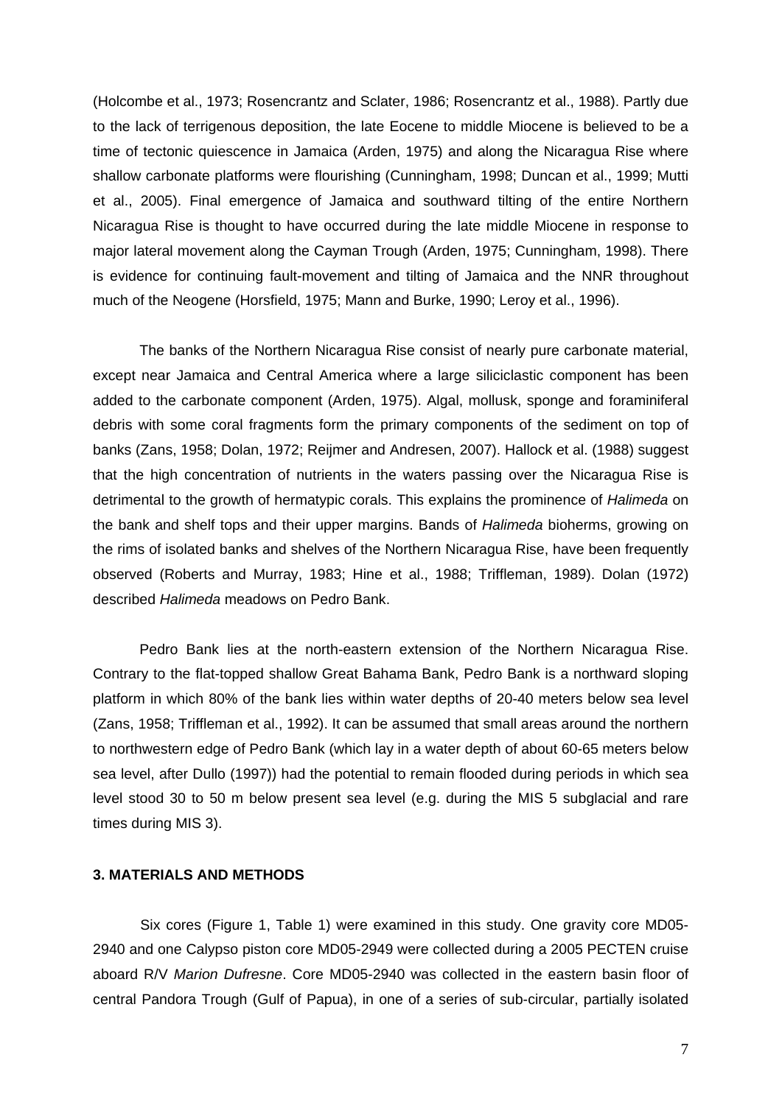(Holcombe et al., 1973; Rosencrantz and Sclater, 1986; Rosencrantz et al., 1988). Partly due to the lack of terrigenous deposition, the late Eocene to middle Miocene is believed to be a time of tectonic quiescence in Jamaica (Arden, 1975) and along the Nicaragua Rise where shallow carbonate platforms were flourishing (Cunningham, 1998; Duncan et al., 1999; Mutti et al., 2005). Final emergence of Jamaica and southward tilting of the entire Northern Nicaragua Rise is thought to have occurred during the late middle Miocene in response to major lateral movement along the Cayman Trough (Arden, 1975; Cunningham, 1998). There is evidence for continuing fault-movement and tilting of Jamaica and the NNR throughout much of the Neogene (Horsfield, 1975; Mann and Burke, 1990; Leroy et al., 1996).

The banks of the Northern Nicaragua Rise consist of nearly pure carbonate material, except near Jamaica and Central America where a large siliciclastic component has been added to the carbonate component (Arden, 1975). Algal, mollusk, sponge and foraminiferal debris with some coral fragments form the primary components of the sediment on top of banks (Zans, 1958; Dolan, 1972; Reijmer and Andresen, 2007). Hallock et al. (1988) suggest that the high concentration of nutrients in the waters passing over the Nicaragua Rise is detrimental to the growth of hermatypic corals. This explains the prominence of *Halimeda* on the bank and shelf tops and their upper margins. Bands of *Halimeda* bioherms, growing on the rims of isolated banks and shelves of the Northern Nicaragua Rise, have been frequently observed (Roberts and Murray, 1983; Hine et al., 1988; Triffleman, 1989). Dolan (1972) described *Halimeda* meadows on Pedro Bank.

Pedro Bank lies at the north-eastern extension of the Northern Nicaragua Rise. Contrary to the flat-topped shallow Great Bahama Bank, Pedro Bank is a northward sloping platform in which 80% of the bank lies within water depths of 20-40 meters below sea level (Zans, 1958; Triffleman et al., 1992). It can be assumed that small areas around the northern to northwestern edge of Pedro Bank (which lay in a water depth of about 60-65 meters below sea level, after Dullo (1997)) had the potential to remain flooded during periods in which sea level stood 30 to 50 m below present sea level (e.g. during the MIS 5 subglacial and rare times during MIS 3).

## **3. MATERIALS AND METHODS**

Six cores (Figure 1, Table 1) were examined in this study. One gravity core MD05- 2940 and one Calypso piston core MD05-2949 were collected during a 2005 PECTEN cruise aboard R/V *Marion Dufresne*. Core MD05-2940 was collected in the eastern basin floor of central Pandora Trough (Gulf of Papua), in one of a series of sub-circular, partially isolated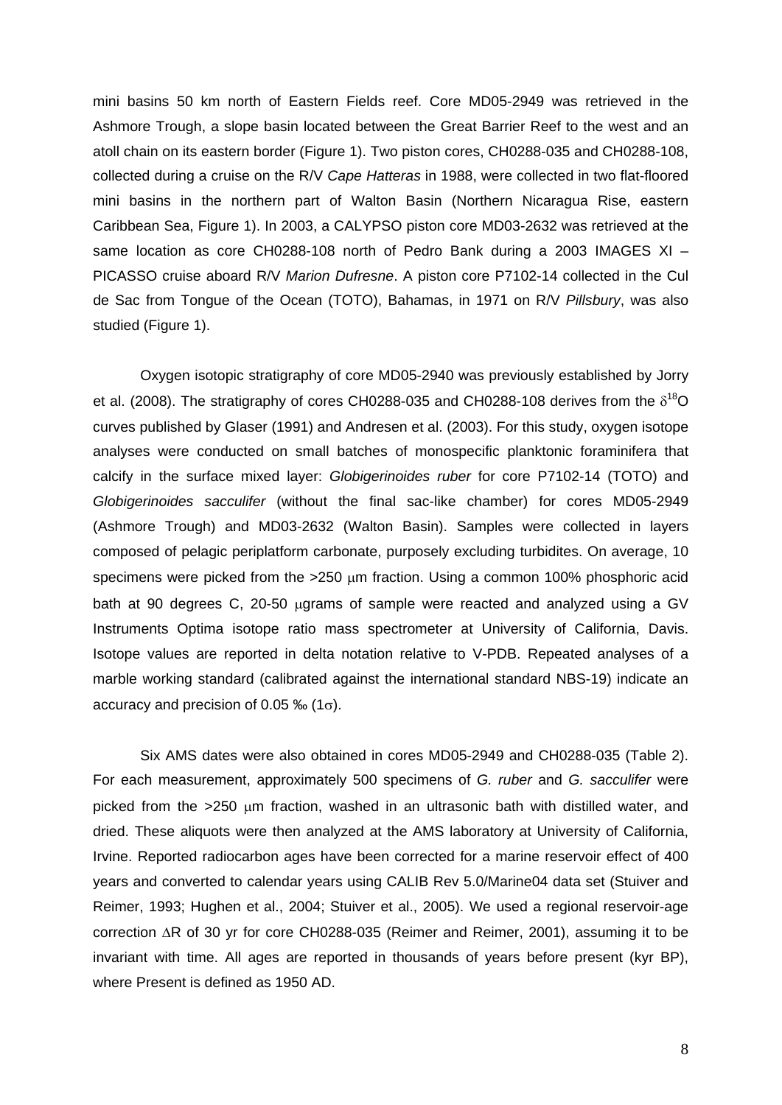mini basins 50 km north of Eastern Fields reef. Core MD05-2949 was retrieved in the Ashmore Trough, a slope basin located between the Great Barrier Reef to the west and an atoll chain on its eastern border (Figure 1). Two piston cores, CH0288-035 and CH0288-108, collected during a cruise on the R/V *Cape Hatteras* in 1988, were collected in two flat-floored mini basins in the northern part of Walton Basin (Northern Nicaragua Rise, eastern Caribbean Sea, Figure 1). In 2003, a CALYPSO piston core MD03-2632 was retrieved at the same location as core CH0288-108 north of Pedro Bank during a 2003 IMAGES XI -PICASSO cruise aboard R/V *Marion Dufresne*. A piston core P7102-14 collected in the Cul de Sac from Tongue of the Ocean (TOTO), Bahamas, in 1971 on R/V *Pillsbury*, was also studied (Figure 1).

Oxygen isotopic stratigraphy of core MD05-2940 was previously established by Jorry et al. (2008). The stratigraphy of cores CH0288-035 and CH0288-108 derives from the  $\delta^{18}O$ curves published by Glaser (1991) and Andresen et al. (2003). For this study, oxygen isotope analyses were conducted on small batches of monospecific planktonic foraminifera that calcify in the surface mixed layer: *Globigerinoides ruber* for core P7102-14 (TOTO) and *Globigerinoides sacculifer* (without the final sac-like chamber) for cores MD05-2949 (Ashmore Trough) and MD03-2632 (Walton Basin). Samples were collected in layers composed of pelagic periplatform carbonate, purposely excluding turbidites. On average, 10 specimens were picked from the  $>250 \mu m$  fraction. Using a common 100% phosphoric acid bath at 90 degrees C, 20-50 µgrams of sample were reacted and analyzed using a GV Instruments Optima isotope ratio mass spectrometer at University of California, Davis. Isotope values are reported in delta notation relative to V-PDB. Repeated analyses of a marble working standard (calibrated against the international standard NBS-19) indicate an accuracy and precision of 0.05  $\%$  (1 $\sigma$ ).

Six AMS dates were also obtained in cores MD05-2949 and CH0288-035 (Table 2). For each measurement, approximately 500 specimens of *G. ruber* and *G. sacculifer* were picked from the  $>250$  µm fraction, washed in an ultrasonic bath with distilled water, and dried. These aliquots were then analyzed at the AMS laboratory at University of California, Irvine. Reported radiocarbon ages have been corrected for a marine reservoir effect of 400 years and converted to calendar years using CALIB Rev 5.0/Marine04 data set (Stuiver and Reimer, 1993; Hughen et al., 2004; Stuiver et al., 2005). We used a regional reservoir-age correction  $\Delta$ R of 30 yr for core CH0288-035 (Reimer and Reimer, 2001), assuming it to be invariant with time. All ages are reported in thousands of years before present (kyr BP), where Present is defined as 1950 AD.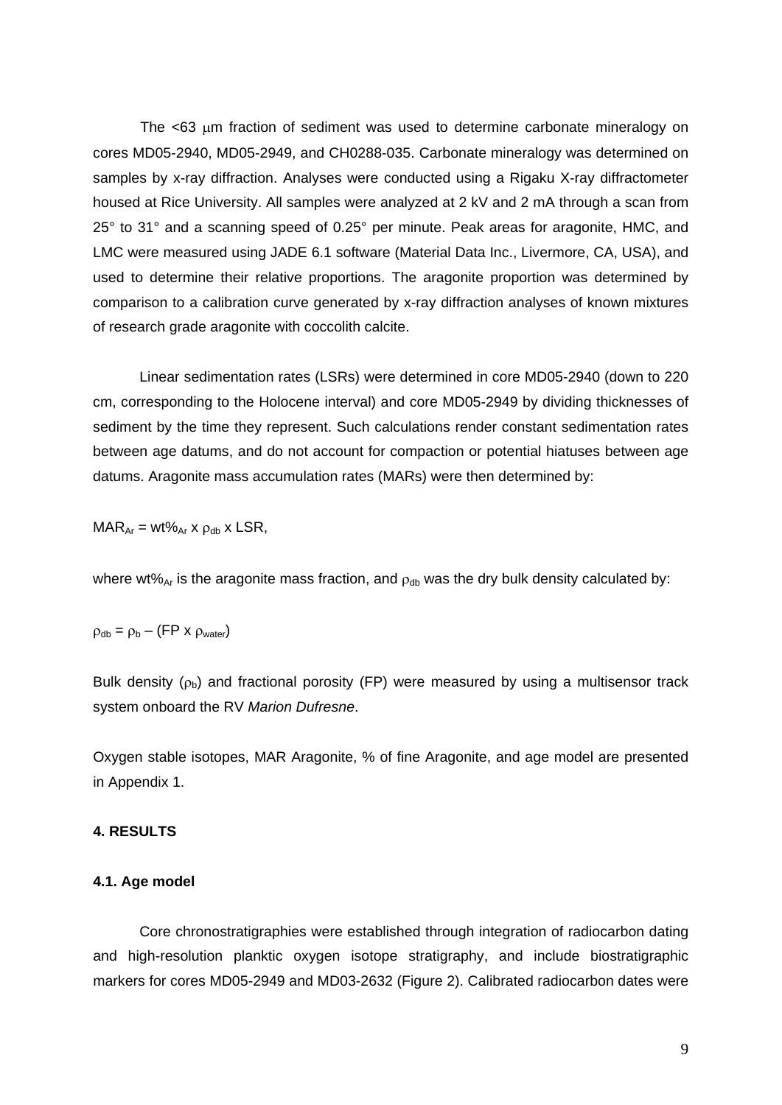The  $<$ 63  $\mu$ m fraction of sediment was used to determine carbonate mineralogy on cores MD05-2940, MD05-2949, and CH0288-035. Carbonate mineralogy was determined on samples by x-ray diffraction. Analyses were conducted using a Rigaku X-ray diffractometer housed at Rice University. All samples were analyzed at 2 kV and 2 mA through a scan from 25° to 31° and a scanning speed of 0.25° per minute. Peak areas for aragonite, HMC, and LMC were measured using JADE 6.1 software (Material Data Inc., Livermore, CA, USA), and used to determine their relative proportions. The aragonite proportion was determined by comparison to a calibration curve generated by x-ray diffraction analyses of known mixtures of research grade aragonite with coccolith calcite.

Linear sedimentation rates (LSRs) were determined in core MD05-2940 (down to 220 cm, corresponding to the Holocene interval) and core MD05-2949 by dividing thicknesses of sediment by the time they represent. Such calculations render constant sedimentation rates between age datums, and do not account for compaction or potential hiatuses between age datums. Aragonite mass accumulation rates (MARs) were then determined by:

$$
MAR_{Ar} = wt\%_{Ar} x \rho_{db} x \text{ LSR},
$$

where wt%<sub>Ar</sub> is the aragonite mass fraction, and  $\rho_{db}$  was the dry bulk density calculated by:

$$
\rho_{\text{db}} = \rho_{\text{b}} - (\text{FP} \times \rho_{\text{water}})
$$

Bulk density  $(\rho_b)$  and fractional porosity (FP) were measured by using a multisensor track system onboard the RV *Marion Dufresne*.

Oxygen stable isotopes, MAR Aragonite, % of fine Aragonite, and age model are presented in Appendix 1.

## **4. RESULTS**

#### **4.1. Age model**

Core chronostratigraphies were established through integration of radiocarbon dating and high-resolution planktic oxygen isotope stratigraphy, and include biostratigraphic markers for cores MD05-2949 and MD03-2632 (Figure 2). Calibrated radiocarbon dates were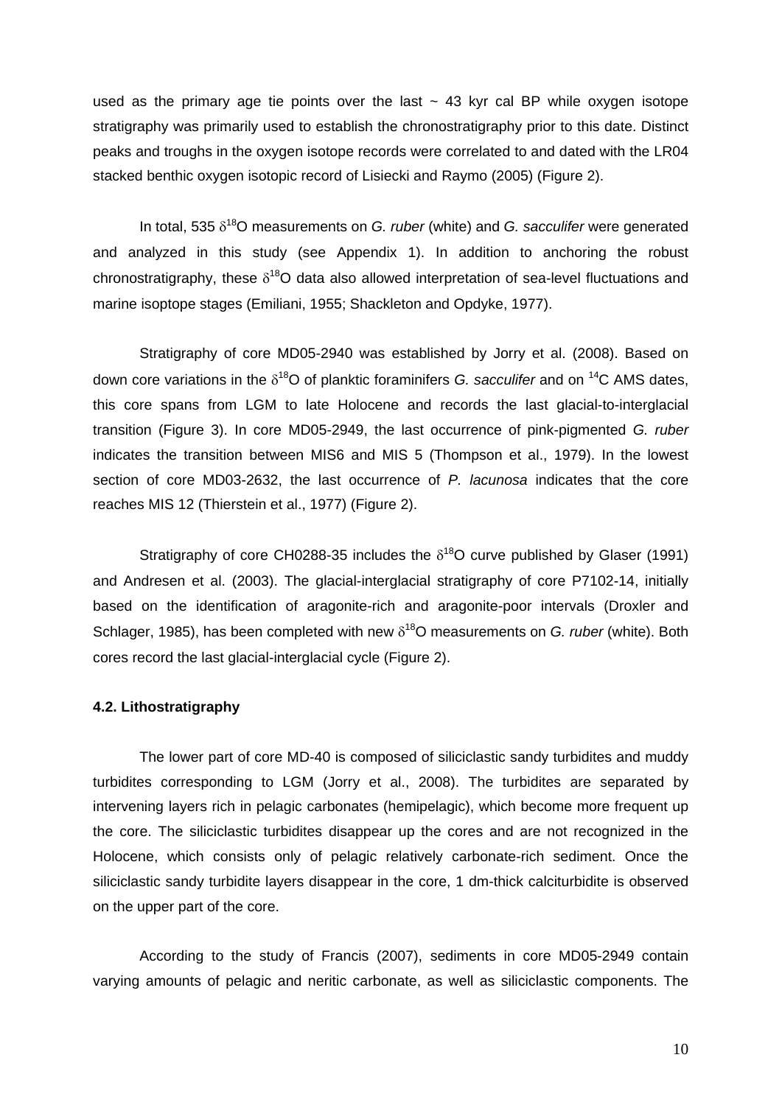used as the primary age tie points over the last  $\sim$  43 kyr cal BP while oxygen isotope stratigraphy was primarily used to establish the chronostratigraphy prior to this date. Distinct peaks and troughs in the oxygen isotope records were correlated to and dated with the LR04 stacked benthic oxygen isotopic record of Lisiecki and Raymo (2005) (Figure 2).

In total, 535  $\delta^{18}$ O measurements on *G. ruber* (white) and *G. sacculifer* were generated and analyzed in this study (see Appendix 1). In addition to anchoring the robust chronostratigraphy, these  $\delta^{18}O$  data also allowed interpretation of sea-level fluctuations and marine isoptope stages (Emiliani, 1955; Shackleton and Opdyke, 1977).

Stratigraphy of core MD05-2940 was established by Jorry et al. (2008). Based on down core variations in the  $\delta^{18}O$  of planktic foraminifers *G. sacculifer* and on <sup>14</sup>C AMS dates, this core spans from LGM to late Holocene and records the last glacial-to-interglacial transition (Figure 3). In core MD05-2949, the last occurrence of pink-pigmented *G. ruber* indicates the transition between MIS6 and MIS 5 (Thompson et al., 1979). In the lowest section of core MD03-2632, the last occurrence of *P. lacunosa* indicates that the core reaches MIS 12 (Thierstein et al., 1977) (Figure 2).

Stratigraphy of core CH0288-35 includes the  $\delta^{18}$ O curve published by Glaser (1991) and Andresen et al. (2003). The glacial-interglacial stratigraphy of core P7102-14, initially based on the identification of aragonite-rich and aragonite-poor intervals (Droxler and Schlager, 1985), has been completed with new  $\delta^{18}$ O measurements on *G. ruber* (white). Both cores record the last glacial-interglacial cycle (Figure 2).

#### **4.2. Lithostratigraphy**

The lower part of core MD-40 is composed of siliciclastic sandy turbidites and muddy turbidites corresponding to LGM (Jorry et al., 2008). The turbidites are separated by intervening layers rich in pelagic carbonates (hemipelagic), which become more frequent up the core. The siliciclastic turbidites disappear up the cores and are not recognized in the Holocene, which consists only of pelagic relatively carbonate-rich sediment. Once the siliciclastic sandy turbidite layers disappear in the core, 1 dm-thick calciturbidite is observed on the upper part of the core.

According to the study of Francis (2007), sediments in core MD05-2949 contain varying amounts of pelagic and neritic carbonate, as well as siliciclastic components. The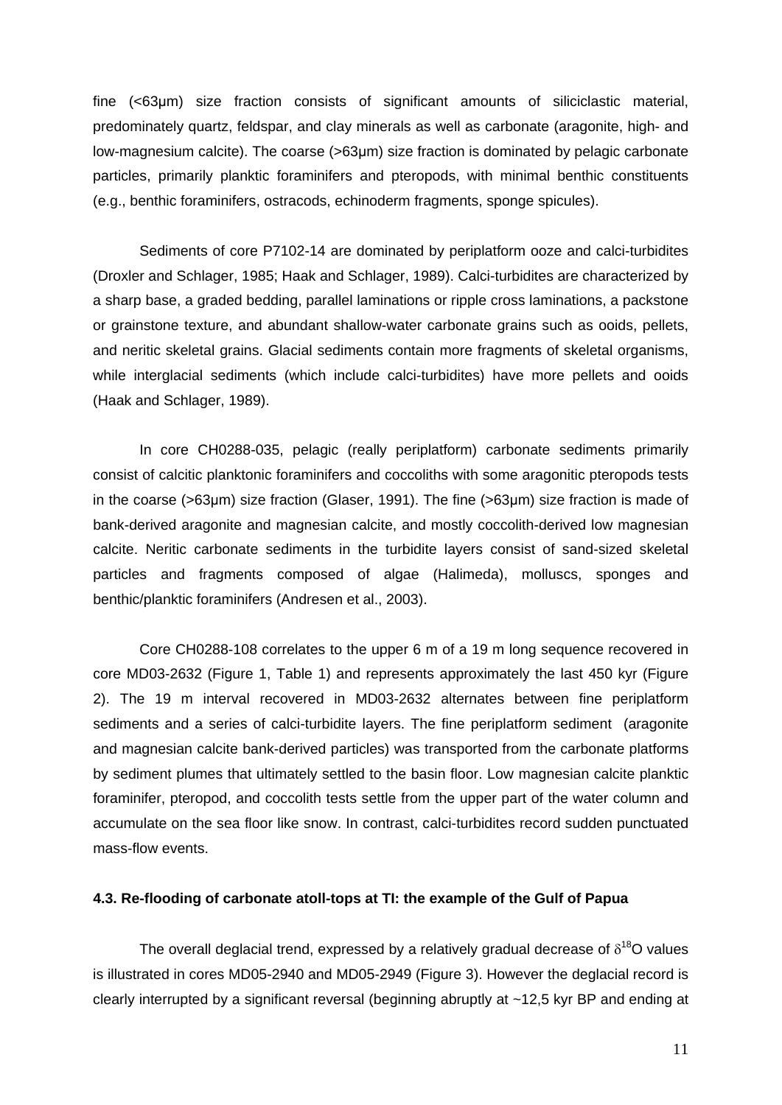fine (<63μm) size fraction consists of significant amounts of siliciclastic material, predominately quartz, feldspar, and clay minerals as well as carbonate (aragonite, high- and low-magnesium calcite). The coarse (>63μm) size fraction is dominated by pelagic carbonate particles, primarily planktic foraminifers and pteropods, with minimal benthic constituents (e.g., benthic foraminifers, ostracods, echinoderm fragments, sponge spicules).

Sediments of core P7102-14 are dominated by periplatform ooze and calci-turbidites (Droxler and Schlager, 1985; Haak and Schlager, 1989). Calci-turbidites are characterized by a sharp base, a graded bedding, parallel laminations or ripple cross laminations, a packstone or grainstone texture, and abundant shallow-water carbonate grains such as ooids, pellets, and neritic skeletal grains. Glacial sediments contain more fragments of skeletal organisms, while interglacial sediments (which include calci-turbidites) have more pellets and ooids (Haak and Schlager, 1989).

In core CH0288-035, pelagic (really periplatform) carbonate sediments primarily consist of calcitic planktonic foraminifers and coccoliths with some aragonitic pteropods tests in the coarse (>63µm) size fraction (Glaser, 1991). The fine (>63µm) size fraction is made of bank-derived aragonite and magnesian calcite, and mostly coccolith-derived low magnesian calcite. Neritic carbonate sediments in the turbidite layers consist of sand-sized skeletal particles and fragments composed of algae (Halimeda), molluscs, sponges and benthic/planktic foraminifers (Andresen et al., 2003).

Core CH0288-108 correlates to the upper 6 m of a 19 m long sequence recovered in core MD03-2632 (Figure 1, Table 1) and represents approximately the last 450 kyr (Figure 2). The 19 m interval recovered in MD03-2632 alternates between fine periplatform sediments and a series of calci-turbidite layers. The fine periplatform sediment (aragonite and magnesian calcite bank-derived particles) was transported from the carbonate platforms by sediment plumes that ultimately settled to the basin floor. Low magnesian calcite planktic foraminifer, pteropod, and coccolith tests settle from the upper part of the water column and accumulate on the sea floor like snow. In contrast, calci-turbidites record sudden punctuated mass-flow events.

## **4.3. Re-flooding of carbonate atoll-tops at TI: the example of the Gulf of Papua**

The overall deglacial trend, expressed by a relatively gradual decrease of  $\delta^{18}O$  values is illustrated in cores MD05-2940 and MD05-2949 (Figure 3). However the deglacial record is clearly interrupted by a significant reversal (beginning abruptly at ~12,5 kyr BP and ending at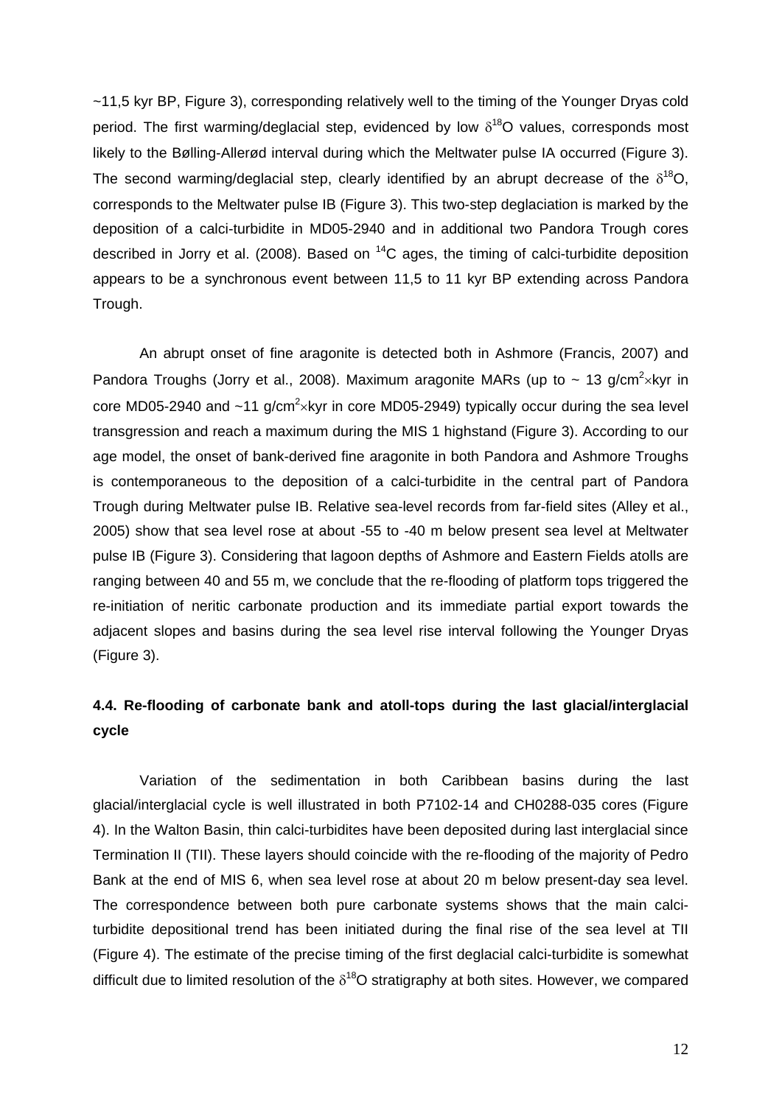~11,5 kyr BP, Figure 3), corresponding relatively well to the timing of the Younger Dryas cold period. The first warming/deglacial step, evidenced by low  $\delta^{18}O$  values, corresponds most likely to the Bølling-Allerød interval during which the Meltwater pulse IA occurred (Figure 3). The second warming/deglacial step, clearly identified by an abrupt decrease of the  $\delta^{18}O$ , corresponds to the Meltwater pulse IB (Figure 3). This two-step deglaciation is marked by the deposition of a calci-turbidite in MD05-2940 and in additional two Pandora Trough cores described in Jorry et al. (2008). Based on  $^{14}$ C ages, the timing of calci-turbidite deposition appears to be a synchronous event between 11,5 to 11 kyr BP extending across Pandora Trough.

An abrupt onset of fine aragonite is detected both in Ashmore (Francis, 2007) and Pandora Troughs (Jorry et al., 2008). Maximum aragonite MARs (up to  $\sim$  13 g/cm<sup>2</sup>×kyr in core MD05-2940 and  $\sim$ 11 g/cm<sup>2</sup> $\times$ kyr in core MD05-2949) typically occur during the sea level transgression and reach a maximum during the MIS 1 highstand (Figure 3). According to our age model, the onset of bank-derived fine aragonite in both Pandora and Ashmore Troughs is contemporaneous to the deposition of a calci-turbidite in the central part of Pandora Trough during Meltwater pulse IB. Relative sea-level records from far-field sites (Alley et al., 2005) show that sea level rose at about -55 to -40 m below present sea level at Meltwater pulse IB (Figure 3). Considering that lagoon depths of Ashmore and Eastern Fields atolls are ranging between 40 and 55 m, we conclude that the re-flooding of platform tops triggered the re-initiation of neritic carbonate production and its immediate partial export towards the adjacent slopes and basins during the sea level rise interval following the Younger Dryas (Figure 3).

# **4.4. Re-flooding of carbonate bank and atoll-tops during the last glacial/interglacial cycle**

Variation of the sedimentation in both Caribbean basins during the last glacial/interglacial cycle is well illustrated in both P7102-14 and CH0288-035 cores (Figure 4). In the Walton Basin, thin calci-turbidites have been deposited during last interglacial since Termination II (TII). These layers should coincide with the re-flooding of the majority of Pedro Bank at the end of MIS 6, when sea level rose at about 20 m below present-day sea level. The correspondence between both pure carbonate systems shows that the main calciturbidite depositional trend has been initiated during the final rise of the sea level at TII (Figure 4). The estimate of the precise timing of the first deglacial calci-turbidite is somewhat difficult due to limited resolution of the  $\delta^{18}O$  stratigraphy at both sites. However, we compared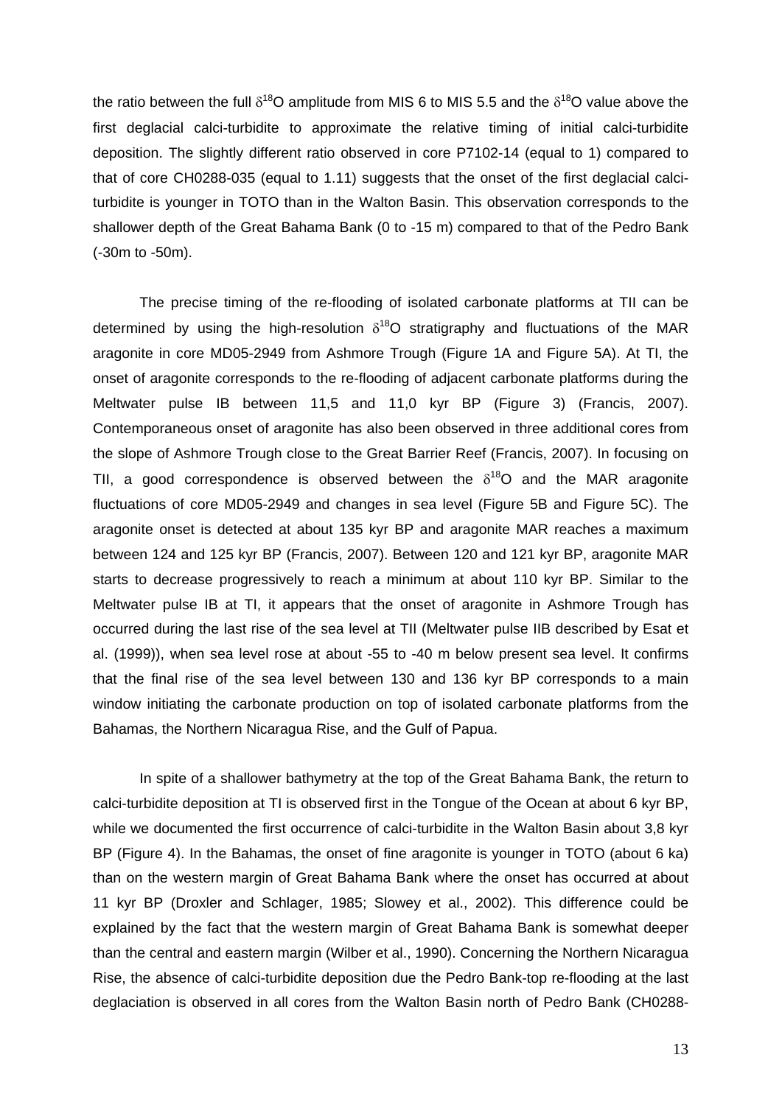the ratio between the full  $\delta^{18}O$  amplitude from MIS 6 to MIS 5.5 and the  $\delta^{18}O$  value above the first deglacial calci-turbidite to approximate the relative timing of initial calci-turbidite deposition. The slightly different ratio observed in core P7102-14 (equal to 1) compared to that of core CH0288-035 (equal to 1.11) suggests that the onset of the first deglacial calciturbidite is younger in TOTO than in the Walton Basin. This observation corresponds to the shallower depth of the Great Bahama Bank (0 to -15 m) compared to that of the Pedro Bank (-30m to -50m).

The precise timing of the re-flooding of isolated carbonate platforms at TII can be determined by using the high-resolution  $\delta^{18}O$  stratigraphy and fluctuations of the MAR aragonite in core MD05-2949 from Ashmore Trough (Figure 1A and Figure 5A). At TI, the onset of aragonite corresponds to the re-flooding of adjacent carbonate platforms during the Meltwater pulse IB between 11,5 and 11,0 kyr BP (Figure 3) (Francis, 2007). Contemporaneous onset of aragonite has also been observed in three additional cores from the slope of Ashmore Trough close to the Great Barrier Reef (Francis, 2007). In focusing on TII, a good correspondence is observed between the  $\delta^{18}O$  and the MAR aragonite fluctuations of core MD05-2949 and changes in sea level (Figure 5B and Figure 5C). The aragonite onset is detected at about 135 kyr BP and aragonite MAR reaches a maximum between 124 and 125 kyr BP (Francis, 2007). Between 120 and 121 kyr BP, aragonite MAR starts to decrease progressively to reach a minimum at about 110 kyr BP. Similar to the Meltwater pulse IB at TI, it appears that the onset of aragonite in Ashmore Trough has occurred during the last rise of the sea level at TII (Meltwater pulse IIB described by Esat et al. (1999)), when sea level rose at about -55 to -40 m below present sea level. It confirms that the final rise of the sea level between 130 and 136 kyr BP corresponds to a main window initiating the carbonate production on top of isolated carbonate platforms from the Bahamas, the Northern Nicaragua Rise, and the Gulf of Papua.

In spite of a shallower bathymetry at the top of the Great Bahama Bank, the return to calci-turbidite deposition at TI is observed first in the Tongue of the Ocean at about 6 kyr BP, while we documented the first occurrence of calci-turbidite in the Walton Basin about 3,8 kyr BP (Figure 4). In the Bahamas, the onset of fine aragonite is younger in TOTO (about 6 ka) than on the western margin of Great Bahama Bank where the onset has occurred at about 11 kyr BP (Droxler and Schlager, 1985; Slowey et al., 2002). This difference could be explained by the fact that the western margin of Great Bahama Bank is somewhat deeper than the central and eastern margin (Wilber et al., 1990). Concerning the Northern Nicaragua Rise, the absence of calci-turbidite deposition due the Pedro Bank-top re-flooding at the last deglaciation is observed in all cores from the Walton Basin north of Pedro Bank (CH0288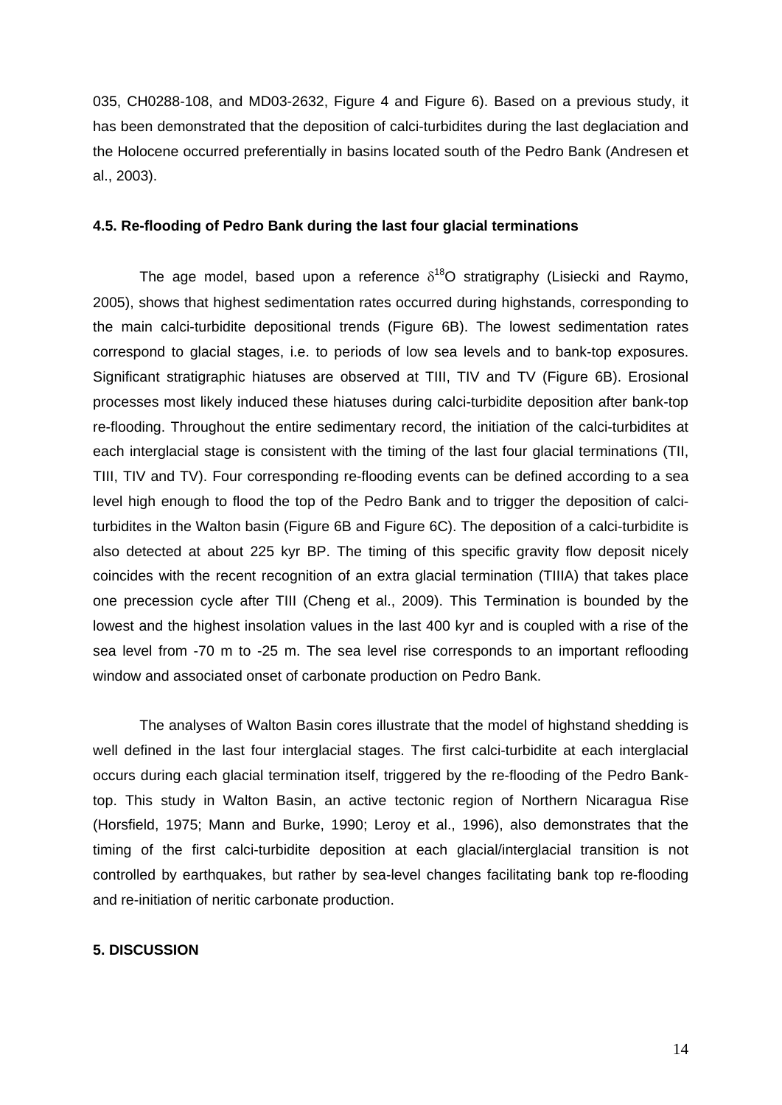035, CH0288-108, and MD03-2632, Figure 4 and Figure 6). Based on a previous study, it has been demonstrated that the deposition of calci-turbidites during the last deglaciation and the Holocene occurred preferentially in basins located south of the Pedro Bank (Andresen et al., 2003).

#### **4.5. Re-flooding of Pedro Bank during the last four glacial terminations**

The age model, based upon a reference  $\delta^{18}O$  stratigraphy (Lisiecki and Raymo, 2005), shows that highest sedimentation rates occurred during highstands, corresponding to the main calci-turbidite depositional trends (Figure 6B). The lowest sedimentation rates correspond to glacial stages, i.e. to periods of low sea levels and to bank-top exposures. Significant stratigraphic hiatuses are observed at TIII, TIV and TV (Figure 6B). Erosional processes most likely induced these hiatuses during calci-turbidite deposition after bank-top re-flooding. Throughout the entire sedimentary record, the initiation of the calci-turbidites at each interglacial stage is consistent with the timing of the last four glacial terminations (TII, TIII, TIV and TV). Four corresponding re-flooding events can be defined according to a sea level high enough to flood the top of the Pedro Bank and to trigger the deposition of calciturbidites in the Walton basin (Figure 6B and Figure 6C). The deposition of a calci-turbidite is also detected at about 225 kyr BP. The timing of this specific gravity flow deposit nicely coincides with the recent recognition of an extra glacial termination (TIIIA) that takes place one precession cycle after TIII (Cheng et al., 2009). This Termination is bounded by the lowest and the highest insolation values in the last 400 kyr and is coupled with a rise of the sea level from -70 m to -25 m. The sea level rise corresponds to an important reflooding window and associated onset of carbonate production on Pedro Bank.

The analyses of Walton Basin cores illustrate that the model of highstand shedding is well defined in the last four interglacial stages. The first calci-turbidite at each interglacial occurs during each glacial termination itself, triggered by the re-flooding of the Pedro Banktop. This study in Walton Basin, an active tectonic region of Northern Nicaragua Rise (Horsfield, 1975; Mann and Burke, 1990; Leroy et al., 1996), also demonstrates that the timing of the first calci-turbidite deposition at each glacial/interglacial transition is not controlled by earthquakes, but rather by sea-level changes facilitating bank top re-flooding and re-initiation of neritic carbonate production.

## **5. DISCUSSION**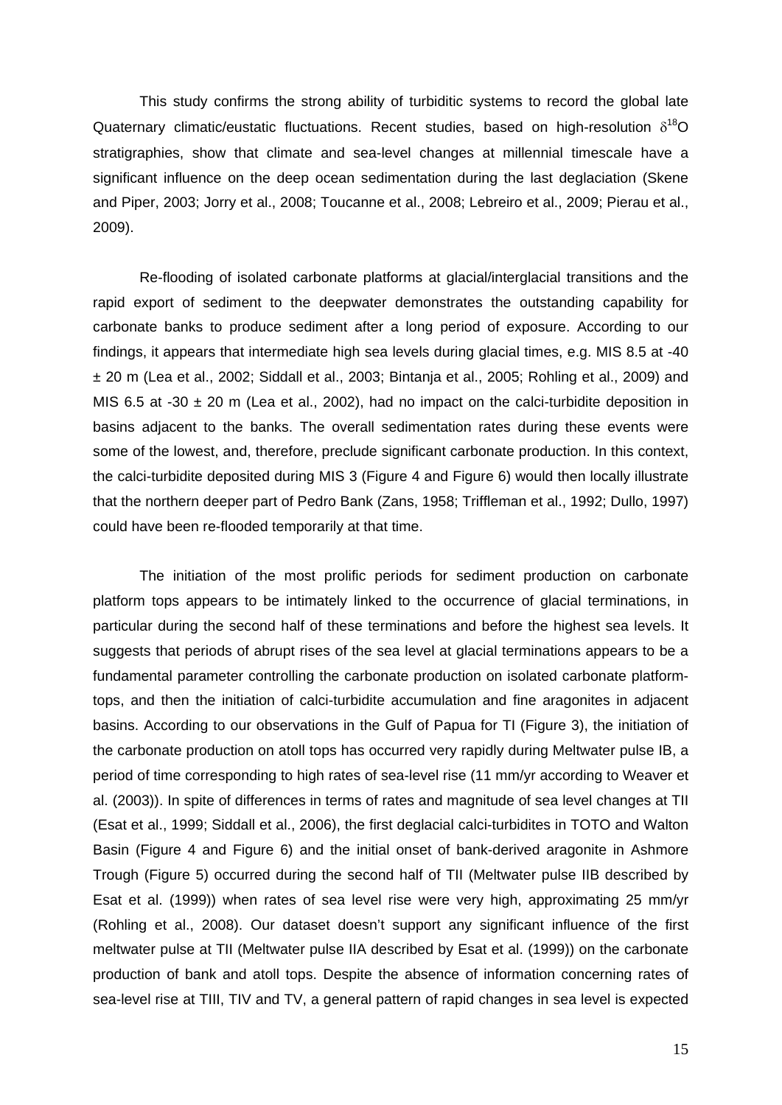This study confirms the strong ability of turbiditic systems to record the global late Quaternary climatic/eustatic fluctuations. Recent studies, based on high-resolution  $\delta^{18}O$ stratigraphies, show that climate and sea-level changes at millennial timescale have a significant influence on the deep ocean sedimentation during the last deglaciation (Skene and Piper, 2003; Jorry et al., 2008; Toucanne et al., 2008; Lebreiro et al., 2009; Pierau et al., 2009).

Re-flooding of isolated carbonate platforms at glacial/interglacial transitions and the rapid export of sediment to the deepwater demonstrates the outstanding capability for carbonate banks to produce sediment after a long period of exposure. According to our findings, it appears that intermediate high sea levels during glacial times, e.g. MIS 8.5 at -40 ± 20 m (Lea et al., 2002; Siddall et al., 2003; Bintanja et al., 2005; Rohling et al., 2009) and MIS 6.5 at -30  $\pm$  20 m (Lea et al., 2002), had no impact on the calci-turbidite deposition in basins adjacent to the banks. The overall sedimentation rates during these events were some of the lowest, and, therefore, preclude significant carbonate production. In this context, the calci-turbidite deposited during MIS 3 (Figure 4 and Figure 6) would then locally illustrate that the northern deeper part of Pedro Bank (Zans, 1958; Triffleman et al., 1992; Dullo, 1997) could have been re-flooded temporarily at that time.

The initiation of the most prolific periods for sediment production on carbonate platform tops appears to be intimately linked to the occurrence of glacial terminations, in particular during the second half of these terminations and before the highest sea levels. It suggests that periods of abrupt rises of the sea level at glacial terminations appears to be a fundamental parameter controlling the carbonate production on isolated carbonate platformtops, and then the initiation of calci-turbidite accumulation and fine aragonites in adjacent basins. According to our observations in the Gulf of Papua for TI (Figure 3), the initiation of the carbonate production on atoll tops has occurred very rapidly during Meltwater pulse IB, a period of time corresponding to high rates of sea-level rise (11 mm/yr according to Weaver et al. (2003)). In spite of differences in terms of rates and magnitude of sea level changes at TII (Esat et al., 1999; Siddall et al., 2006), the first deglacial calci-turbidites in TOTO and Walton Basin (Figure 4 and Figure 6) and the initial onset of bank-derived aragonite in Ashmore Trough (Figure 5) occurred during the second half of TII (Meltwater pulse IIB described by Esat et al. (1999)) when rates of sea level rise were very high, approximating 25 mm/yr (Rohling et al., 2008). Our dataset doesn't support any significant influence of the first meltwater pulse at TII (Meltwater pulse IIA described by Esat et al. (1999)) on the carbonate production of bank and atoll tops. Despite the absence of information concerning rates of sea-level rise at TIII, TIV and TV, a general pattern of rapid changes in sea level is expected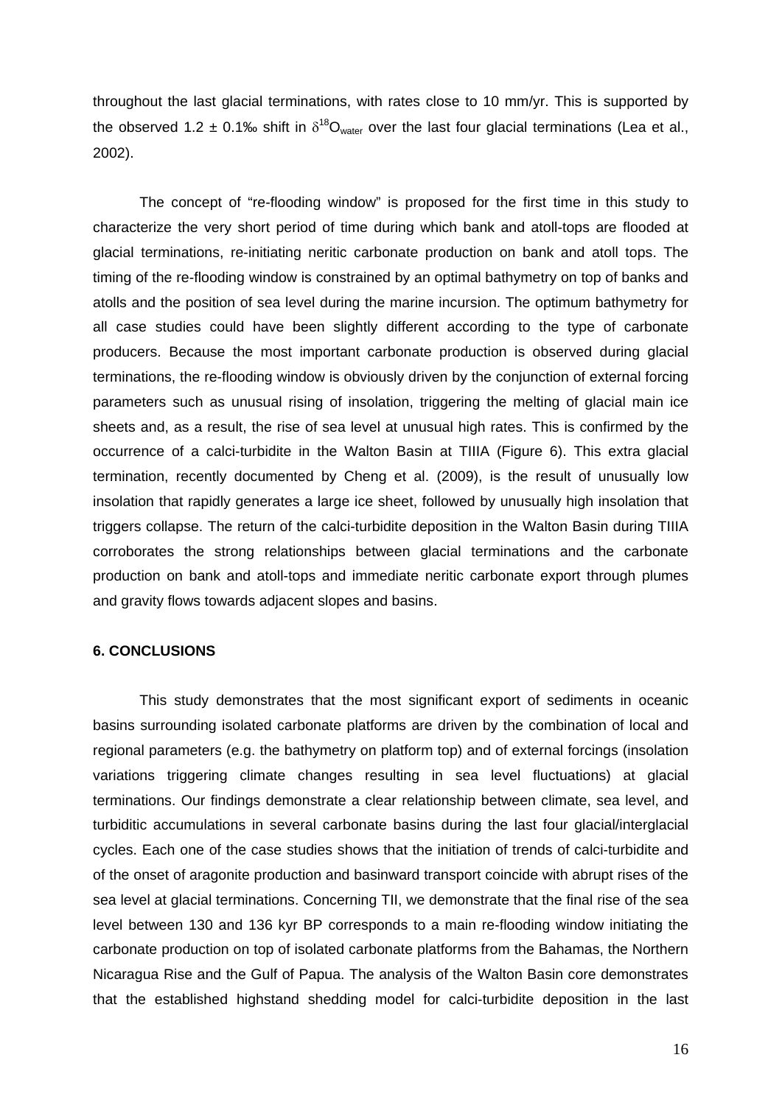throughout the last glacial terminations, with rates close to 10 mm/yr. This is supported by the observed 1.2 ± 0.1‰ shift in  $\delta^{18}O_{\text{water}}$  over the last four glacial terminations (Lea et al., 2002).

The concept of "re-flooding window" is proposed for the first time in this study to characterize the very short period of time during which bank and atoll-tops are flooded at glacial terminations, re-initiating neritic carbonate production on bank and atoll tops. The timing of the re-flooding window is constrained by an optimal bathymetry on top of banks and atolls and the position of sea level during the marine incursion. The optimum bathymetry for all case studies could have been slightly different according to the type of carbonate producers. Because the most important carbonate production is observed during glacial terminations, the re-flooding window is obviously driven by the conjunction of external forcing parameters such as unusual rising of insolation, triggering the melting of glacial main ice sheets and, as a result, the rise of sea level at unusual high rates. This is confirmed by the occurrence of a calci-turbidite in the Walton Basin at TIIIA (Figure 6). This extra glacial termination, recently documented by Cheng et al. (2009), is the result of unusually low insolation that rapidly generates a large ice sheet, followed by unusually high insolation that triggers collapse. The return of the calci-turbidite deposition in the Walton Basin during TIIIA corroborates the strong relationships between glacial terminations and the carbonate production on bank and atoll-tops and immediate neritic carbonate export through plumes and gravity flows towards adjacent slopes and basins.

#### **6. CONCLUSIONS**

This study demonstrates that the most significant export of sediments in oceanic basins surrounding isolated carbonate platforms are driven by the combination of local and regional parameters (e.g. the bathymetry on platform top) and of external forcings (insolation variations triggering climate changes resulting in sea level fluctuations) at glacial terminations. Our findings demonstrate a clear relationship between climate, sea level, and turbiditic accumulations in several carbonate basins during the last four glacial/interglacial cycles. Each one of the case studies shows that the initiation of trends of calci-turbidite and of the onset of aragonite production and basinward transport coincide with abrupt rises of the sea level at glacial terminations. Concerning TII, we demonstrate that the final rise of the sea level between 130 and 136 kyr BP corresponds to a main re-flooding window initiating the carbonate production on top of isolated carbonate platforms from the Bahamas, the Northern Nicaragua Rise and the Gulf of Papua. The analysis of the Walton Basin core demonstrates that the established highstand shedding model for calci-turbidite deposition in the last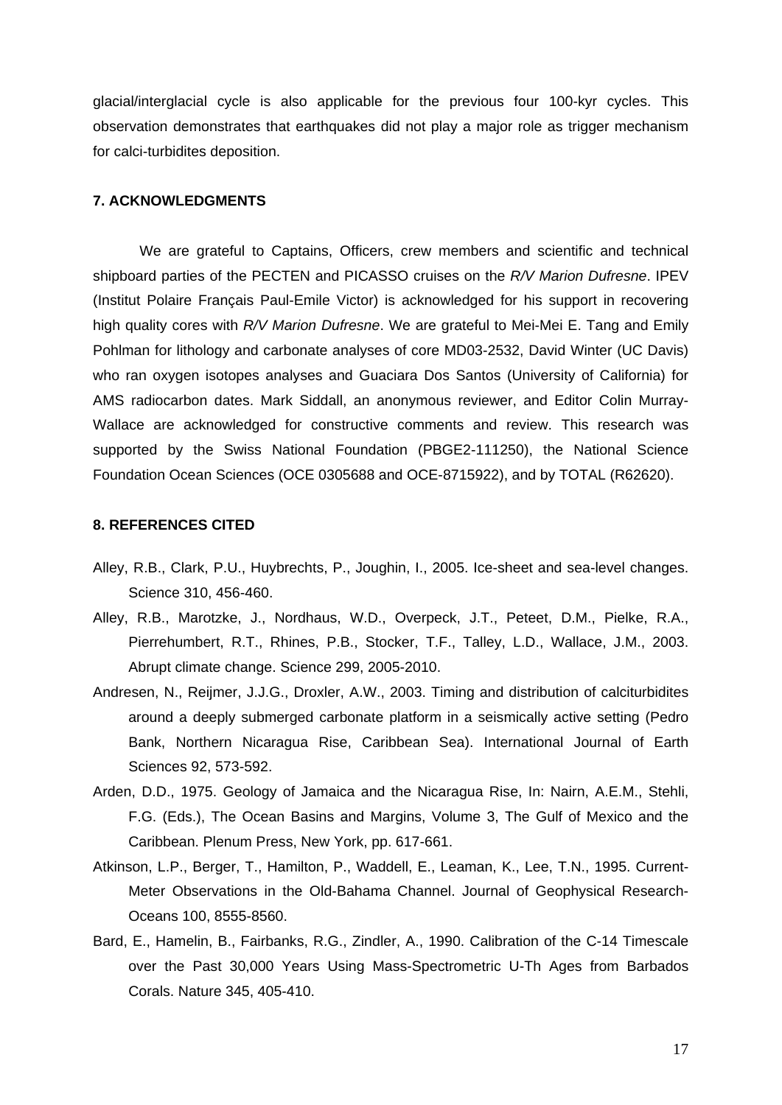glacial/interglacial cycle is also applicable for the previous four 100-kyr cycles. This observation demonstrates that earthquakes did not play a major role as trigger mechanism for calci-turbidites deposition.

#### **7. ACKNOWLEDGMENTS**

We are grateful to Captains, Officers, crew members and scientific and technical shipboard parties of the PECTEN and PICASSO cruises on the *R/V Marion Dufresne*. IPEV (Institut Polaire Français Paul-Emile Victor) is acknowledged for his support in recovering high quality cores with *R/V Marion Dufresne*. We are grateful to Mei-Mei E. Tang and Emily Pohlman for lithology and carbonate analyses of core MD03-2532, David Winter (UC Davis) who ran oxygen isotopes analyses and Guaciara Dos Santos (University of California) for AMS radiocarbon dates. Mark Siddall, an anonymous reviewer, and Editor Colin Murray-Wallace are acknowledged for constructive comments and review. This research was supported by the Swiss National Foundation (PBGE2-111250), the National Science Foundation Ocean Sciences (OCE 0305688 and OCE-8715922), and by TOTAL (R62620).

## **8. REFERENCES CITED**

- Alley, R.B., Clark, P.U., Huybrechts, P., Joughin, I., 2005. Ice-sheet and sea-level changes. Science 310, 456-460.
- Alley, R.B., Marotzke, J., Nordhaus, W.D., Overpeck, J.T., Peteet, D.M., Pielke, R.A., Pierrehumbert, R.T., Rhines, P.B., Stocker, T.F., Talley, L.D., Wallace, J.M., 2003. Abrupt climate change. Science 299, 2005-2010.
- Andresen, N., Reijmer, J.J.G., Droxler, A.W., 2003. Timing and distribution of calciturbidites around a deeply submerged carbonate platform in a seismically active setting (Pedro Bank, Northern Nicaragua Rise, Caribbean Sea). International Journal of Earth Sciences 92, 573-592.
- Arden, D.D., 1975. Geology of Jamaica and the Nicaragua Rise, In: Nairn, A.E.M., Stehli, F.G. (Eds.), The Ocean Basins and Margins, Volume 3, The Gulf of Mexico and the Caribbean. Plenum Press, New York, pp. 617-661.
- Atkinson, L.P., Berger, T., Hamilton, P., Waddell, E., Leaman, K., Lee, T.N., 1995. Current-Meter Observations in the Old-Bahama Channel. Journal of Geophysical Research-Oceans 100, 8555-8560.
- Bard, E., Hamelin, B., Fairbanks, R.G., Zindler, A., 1990. Calibration of the C-14 Timescale over the Past 30,000 Years Using Mass-Spectrometric U-Th Ages from Barbados Corals. Nature 345, 405-410.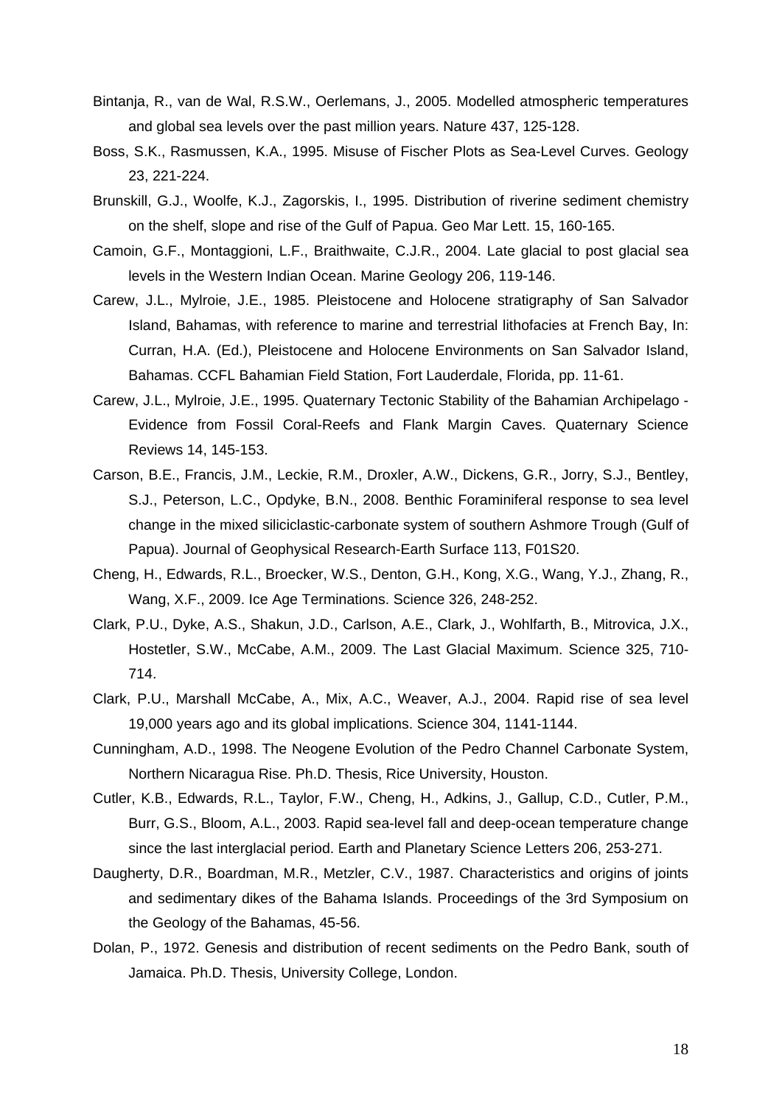- Bintanja, R., van de Wal, R.S.W., Oerlemans, J., 2005. Modelled atmospheric temperatures and global sea levels over the past million years. Nature 437, 125-128.
- Boss, S.K., Rasmussen, K.A., 1995. Misuse of Fischer Plots as Sea-Level Curves. Geology 23, 221-224.
- Brunskill, G.J., Woolfe, K.J., Zagorskis, I., 1995. Distribution of riverine sediment chemistry on the shelf, slope and rise of the Gulf of Papua. Geo Mar Lett. 15, 160-165.
- Camoin, G.F., Montaggioni, L.F., Braithwaite, C.J.R., 2004. Late glacial to post glacial sea levels in the Western Indian Ocean. Marine Geology 206, 119-146.
- Carew, J.L., Mylroie, J.E., 1985. Pleistocene and Holocene stratigraphy of San Salvador Island, Bahamas, with reference to marine and terrestrial lithofacies at French Bay, In: Curran, H.A. (Ed.), Pleistocene and Holocene Environments on San Salvador Island, Bahamas. CCFL Bahamian Field Station, Fort Lauderdale, Florida, pp. 11-61.
- Carew, J.L., Mylroie, J.E., 1995. Quaternary Tectonic Stability of the Bahamian Archipelago Evidence from Fossil Coral-Reefs and Flank Margin Caves. Quaternary Science Reviews 14, 145-153.
- Carson, B.E., Francis, J.M., Leckie, R.M., Droxler, A.W., Dickens, G.R., Jorry, S.J., Bentley, S.J., Peterson, L.C., Opdyke, B.N., 2008. Benthic Foraminiferal response to sea level change in the mixed siliciclastic-carbonate system of southern Ashmore Trough (Gulf of Papua). Journal of Geophysical Research-Earth Surface 113, F01S20.
- Cheng, H., Edwards, R.L., Broecker, W.S., Denton, G.H., Kong, X.G., Wang, Y.J., Zhang, R., Wang, X.F., 2009. Ice Age Terminations. Science 326, 248-252.
- Clark, P.U., Dyke, A.S., Shakun, J.D., Carlson, A.E., Clark, J., Wohlfarth, B., Mitrovica, J.X., Hostetler, S.W., McCabe, A.M., 2009. The Last Glacial Maximum. Science 325, 710- 714.
- Clark, P.U., Marshall McCabe, A., Mix, A.C., Weaver, A.J., 2004. Rapid rise of sea level 19,000 years ago and its global implications. Science 304, 1141-1144.
- Cunningham, A.D., 1998. The Neogene Evolution of the Pedro Channel Carbonate System, Northern Nicaragua Rise. Ph.D. Thesis, Rice University, Houston.
- Cutler, K.B., Edwards, R.L., Taylor, F.W., Cheng, H., Adkins, J., Gallup, C.D., Cutler, P.M., Burr, G.S., Bloom, A.L., 2003. Rapid sea-level fall and deep-ocean temperature change since the last interglacial period. Earth and Planetary Science Letters 206, 253-271.
- Daugherty, D.R., Boardman, M.R., Metzler, C.V., 1987. Characteristics and origins of joints and sedimentary dikes of the Bahama Islands. Proceedings of the 3rd Symposium on the Geology of the Bahamas, 45-56.
- Dolan, P., 1972. Genesis and distribution of recent sediments on the Pedro Bank, south of Jamaica. Ph.D. Thesis, University College, London.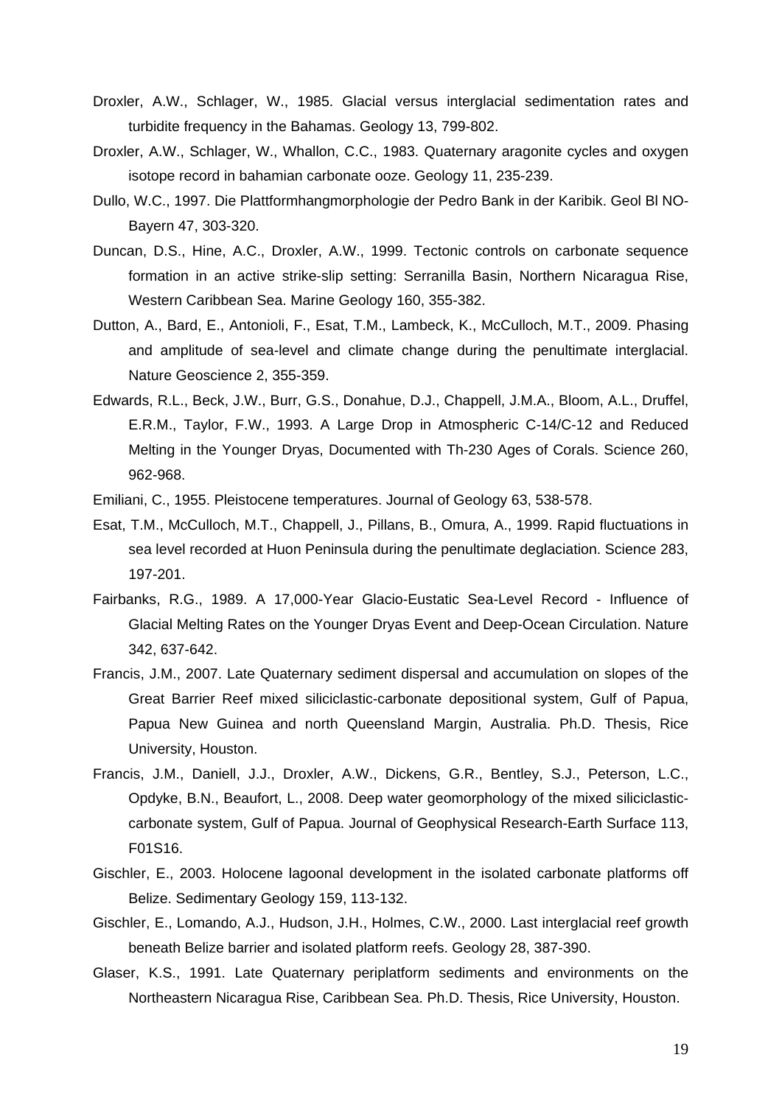- Droxler, A.W., Schlager, W., 1985. Glacial versus interglacial sedimentation rates and turbidite frequency in the Bahamas. Geology 13, 799-802.
- Droxler, A.W., Schlager, W., Whallon, C.C., 1983. Quaternary aragonite cycles and oxygen isotope record in bahamian carbonate ooze. Geology 11, 235-239.
- Dullo, W.C., 1997. Die Plattformhangmorphologie der Pedro Bank in der Karibik. Geol Bl NO-Bayern 47, 303-320.
- Duncan, D.S., Hine, A.C., Droxler, A.W., 1999. Tectonic controls on carbonate sequence formation in an active strike-slip setting: Serranilla Basin, Northern Nicaragua Rise, Western Caribbean Sea. Marine Geology 160, 355-382.
- Dutton, A., Bard, E., Antonioli, F., Esat, T.M., Lambeck, K., McCulloch, M.T., 2009. Phasing and amplitude of sea-level and climate change during the penultimate interglacial. Nature Geoscience 2, 355-359.
- Edwards, R.L., Beck, J.W., Burr, G.S., Donahue, D.J., Chappell, J.M.A., Bloom, A.L., Druffel, E.R.M., Taylor, F.W., 1993. A Large Drop in Atmospheric C-14/C-12 and Reduced Melting in the Younger Dryas, Documented with Th-230 Ages of Corals. Science 260, 962-968.
- Emiliani, C., 1955. Pleistocene temperatures. Journal of Geology 63, 538-578.
- Esat, T.M., McCulloch, M.T., Chappell, J., Pillans, B., Omura, A., 1999. Rapid fluctuations in sea level recorded at Huon Peninsula during the penultimate deglaciation. Science 283, 197-201.
- Fairbanks, R.G., 1989. A 17,000-Year Glacio-Eustatic Sea-Level Record Influence of Glacial Melting Rates on the Younger Dryas Event and Deep-Ocean Circulation. Nature 342, 637-642.
- Francis, J.M., 2007. Late Quaternary sediment dispersal and accumulation on slopes of the Great Barrier Reef mixed siliciclastic-carbonate depositional system, Gulf of Papua, Papua New Guinea and north Queensland Margin, Australia. Ph.D. Thesis, Rice University, Houston.
- Francis, J.M., Daniell, J.J., Droxler, A.W., Dickens, G.R., Bentley, S.J., Peterson, L.C., Opdyke, B.N., Beaufort, L., 2008. Deep water geomorphology of the mixed siliciclasticcarbonate system, Gulf of Papua. Journal of Geophysical Research-Earth Surface 113, F01S16.
- Gischler, E., 2003. Holocene lagoonal development in the isolated carbonate platforms off Belize. Sedimentary Geology 159, 113-132.
- Gischler, E., Lomando, A.J., Hudson, J.H., Holmes, C.W., 2000. Last interglacial reef growth beneath Belize barrier and isolated platform reefs. Geology 28, 387-390.
- Glaser, K.S., 1991. Late Quaternary periplatform sediments and environments on the Northeastern Nicaragua Rise, Caribbean Sea. Ph.D. Thesis, Rice University, Houston.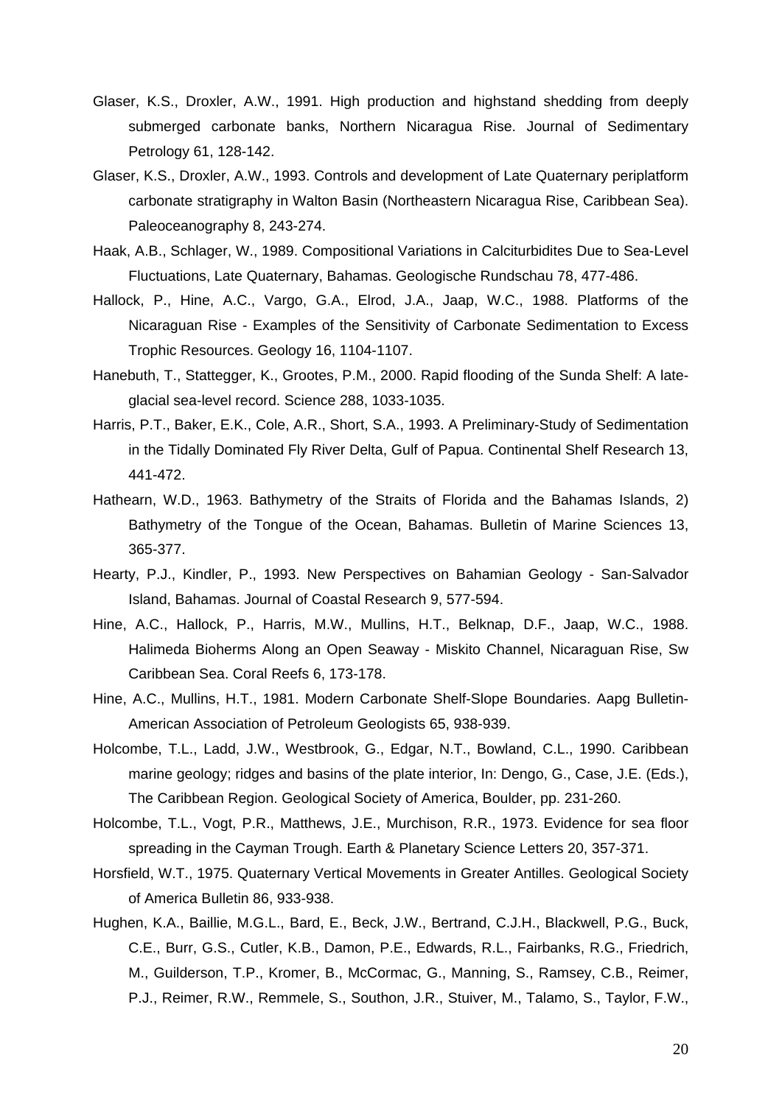- Glaser, K.S., Droxler, A.W., 1991. High production and highstand shedding from deeply submerged carbonate banks, Northern Nicaragua Rise. Journal of Sedimentary Petrology 61, 128-142.
- Glaser, K.S., Droxler, A.W., 1993. Controls and development of Late Quaternary periplatform carbonate stratigraphy in Walton Basin (Northeastern Nicaragua Rise, Caribbean Sea). Paleoceanography 8, 243-274.
- Haak, A.B., Schlager, W., 1989. Compositional Variations in Calciturbidites Due to Sea-Level Fluctuations, Late Quaternary, Bahamas. Geologische Rundschau 78, 477-486.
- Hallock, P., Hine, A.C., Vargo, G.A., Elrod, J.A., Jaap, W.C., 1988. Platforms of the Nicaraguan Rise - Examples of the Sensitivity of Carbonate Sedimentation to Excess Trophic Resources. Geology 16, 1104-1107.
- Hanebuth, T., Stattegger, K., Grootes, P.M., 2000. Rapid flooding of the Sunda Shelf: A lateglacial sea-level record. Science 288, 1033-1035.
- Harris, P.T., Baker, E.K., Cole, A.R., Short, S.A., 1993. A Preliminary-Study of Sedimentation in the Tidally Dominated Fly River Delta, Gulf of Papua. Continental Shelf Research 13, 441-472.
- Hathearn, W.D., 1963. Bathymetry of the Straits of Florida and the Bahamas Islands, 2) Bathymetry of the Tongue of the Ocean, Bahamas. Bulletin of Marine Sciences 13, 365-377.
- Hearty, P.J., Kindler, P., 1993. New Perspectives on Bahamian Geology San-Salvador Island, Bahamas. Journal of Coastal Research 9, 577-594.
- Hine, A.C., Hallock, P., Harris, M.W., Mullins, H.T., Belknap, D.F., Jaap, W.C., 1988. Halimeda Bioherms Along an Open Seaway - Miskito Channel, Nicaraguan Rise, Sw Caribbean Sea. Coral Reefs 6, 173-178.
- Hine, A.C., Mullins, H.T., 1981. Modern Carbonate Shelf-Slope Boundaries. Aapg Bulletin-American Association of Petroleum Geologists 65, 938-939.
- Holcombe, T.L., Ladd, J.W., Westbrook, G., Edgar, N.T., Bowland, C.L., 1990. Caribbean marine geology; ridges and basins of the plate interior, In: Dengo, G., Case, J.E. (Eds.), The Caribbean Region. Geological Society of America, Boulder, pp. 231-260.
- Holcombe, T.L., Vogt, P.R., Matthews, J.E., Murchison, R.R., 1973. Evidence for sea floor spreading in the Cayman Trough. Earth & Planetary Science Letters 20, 357-371.
- Horsfield, W.T., 1975. Quaternary Vertical Movements in Greater Antilles. Geological Society of America Bulletin 86, 933-938.
- Hughen, K.A., Baillie, M.G.L., Bard, E., Beck, J.W., Bertrand, C.J.H., Blackwell, P.G., Buck, C.E., Burr, G.S., Cutler, K.B., Damon, P.E., Edwards, R.L., Fairbanks, R.G., Friedrich, M., Guilderson, T.P., Kromer, B., McCormac, G., Manning, S., Ramsey, C.B., Reimer, P.J., Reimer, R.W., Remmele, S., Southon, J.R., Stuiver, M., Talamo, S., Taylor, F.W.,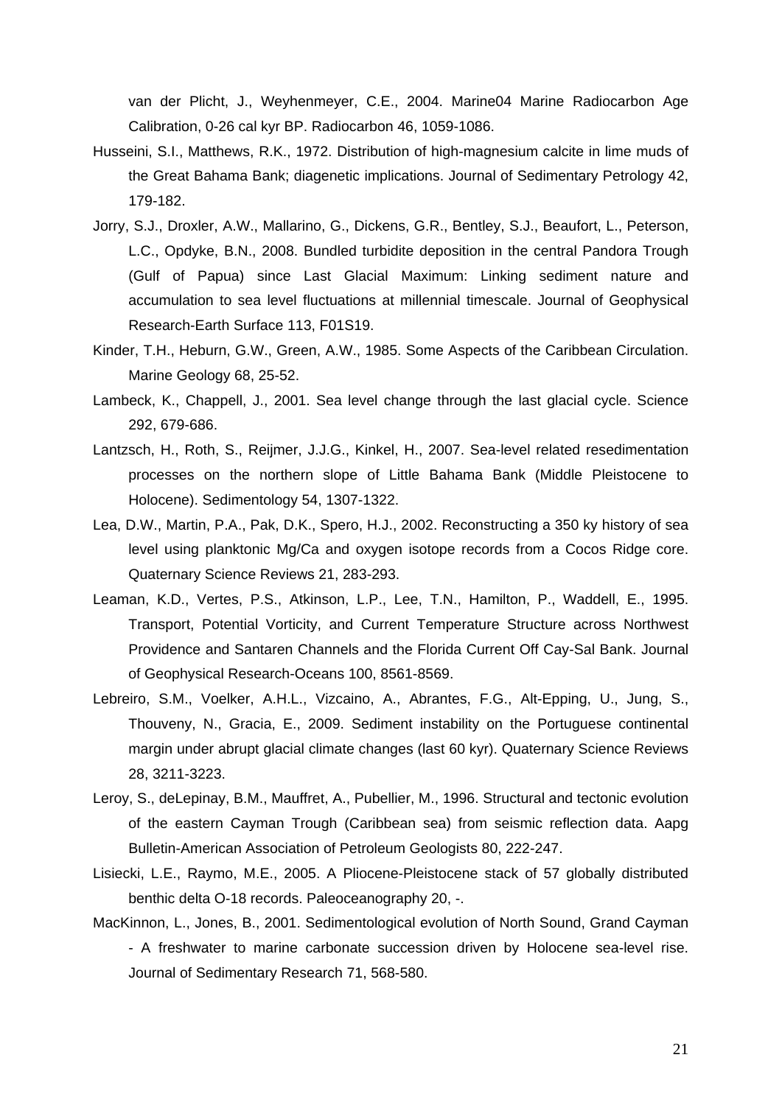van der Plicht, J., Weyhenmeyer, C.E., 2004. Marine04 Marine Radiocarbon Age Calibration, 0-26 cal kyr BP. Radiocarbon 46, 1059-1086.

- Husseini, S.I., Matthews, R.K., 1972. Distribution of high-magnesium calcite in lime muds of the Great Bahama Bank; diagenetic implications. Journal of Sedimentary Petrology 42, 179-182.
- Jorry, S.J., Droxler, A.W., Mallarino, G., Dickens, G.R., Bentley, S.J., Beaufort, L., Peterson, L.C., Opdyke, B.N., 2008. Bundled turbidite deposition in the central Pandora Trough (Gulf of Papua) since Last Glacial Maximum: Linking sediment nature and accumulation to sea level fluctuations at millennial timescale. Journal of Geophysical Research-Earth Surface 113, F01S19.
- Kinder, T.H., Heburn, G.W., Green, A.W., 1985. Some Aspects of the Caribbean Circulation. Marine Geology 68, 25-52.
- Lambeck, K., Chappell, J., 2001. Sea level change through the last glacial cycle. Science 292, 679-686.
- Lantzsch, H., Roth, S., Reijmer, J.J.G., Kinkel, H., 2007. Sea-level related resedimentation processes on the northern slope of Little Bahama Bank (Middle Pleistocene to Holocene). Sedimentology 54, 1307-1322.
- Lea, D.W., Martin, P.A., Pak, D.K., Spero, H.J., 2002. Reconstructing a 350 ky history of sea level using planktonic Mg/Ca and oxygen isotope records from a Cocos Ridge core. Quaternary Science Reviews 21, 283-293.
- Leaman, K.D., Vertes, P.S., Atkinson, L.P., Lee, T.N., Hamilton, P., Waddell, E., 1995. Transport, Potential Vorticity, and Current Temperature Structure across Northwest Providence and Santaren Channels and the Florida Current Off Cay-Sal Bank. Journal of Geophysical Research-Oceans 100, 8561-8569.
- Lebreiro, S.M., Voelker, A.H.L., Vizcaino, A., Abrantes, F.G., Alt-Epping, U., Jung, S., Thouveny, N., Gracia, E., 2009. Sediment instability on the Portuguese continental margin under abrupt glacial climate changes (last 60 kyr). Quaternary Science Reviews 28, 3211-3223.
- Leroy, S., deLepinay, B.M., Mauffret, A., Pubellier, M., 1996. Structural and tectonic evolution of the eastern Cayman Trough (Caribbean sea) from seismic reflection data. Aapg Bulletin-American Association of Petroleum Geologists 80, 222-247.
- Lisiecki, L.E., Raymo, M.E., 2005. A Pliocene-Pleistocene stack of 57 globally distributed benthic delta O-18 records. Paleoceanography 20, -.
- MacKinnon, L., Jones, B., 2001. Sedimentological evolution of North Sound, Grand Cayman - A freshwater to marine carbonate succession driven by Holocene sea-level rise. Journal of Sedimentary Research 71, 568-580.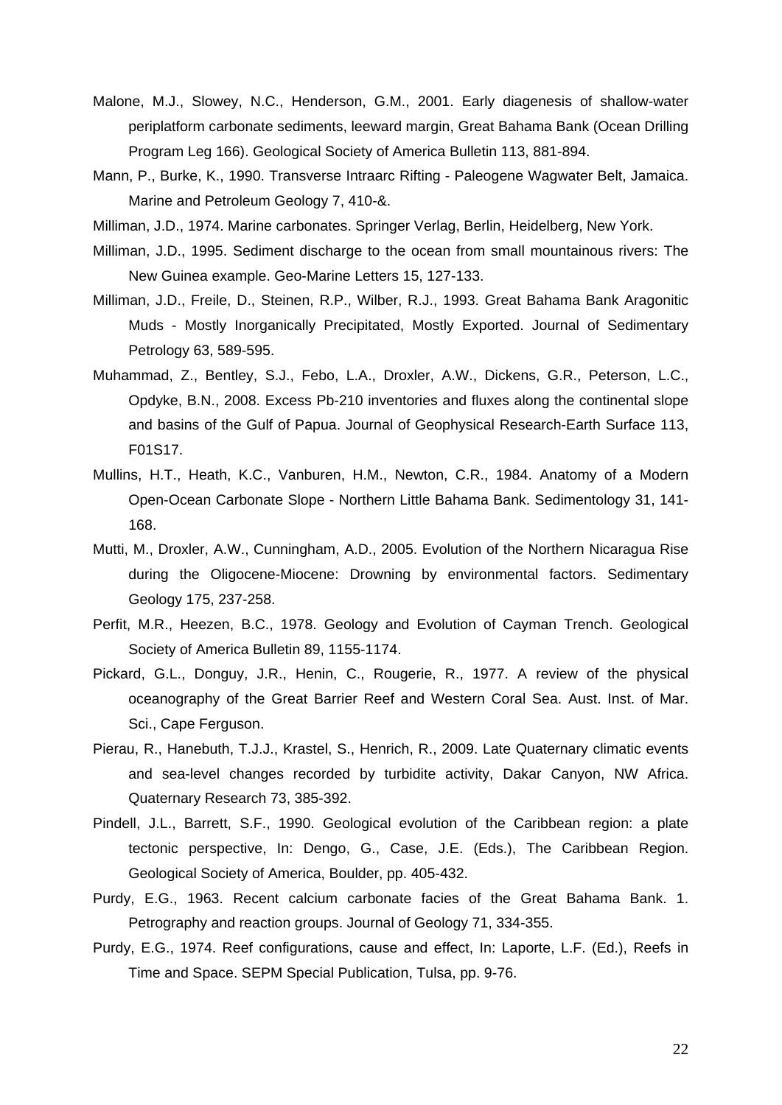- Malone, M.J., Slowey, N.C., Henderson, G.M., 2001. Early diagenesis of shallow-water periplatform carbonate sediments, leeward margin, Great Bahama Bank (Ocean Drilling Program Leg 166). Geological Society of America Bulletin 113, 881-894.
- Mann, P., Burke, K., 1990. Transverse Intraarc Rifting Paleogene Wagwater Belt, Jamaica. Marine and Petroleum Geology 7, 410-&.
- Milliman, J.D., 1974. Marine carbonates. Springer Verlag, Berlin, Heidelberg, New York.
- Milliman, J.D., 1995. Sediment discharge to the ocean from small mountainous rivers: The New Guinea example. Geo-Marine Letters 15, 127-133.
- Milliman, J.D., Freile, D., Steinen, R.P., Wilber, R.J., 1993. Great Bahama Bank Aragonitic Muds - Mostly Inorganically Precipitated, Mostly Exported. Journal of Sedimentary Petrology 63, 589-595.
- Muhammad, Z., Bentley, S.J., Febo, L.A., Droxler, A.W., Dickens, G.R., Peterson, L.C., Opdyke, B.N., 2008. Excess Pb-210 inventories and fluxes along the continental slope and basins of the Gulf of Papua. Journal of Geophysical Research-Earth Surface 113, F01S17.
- Mullins, H.T., Heath, K.C., Vanburen, H.M., Newton, C.R., 1984. Anatomy of a Modern Open-Ocean Carbonate Slope - Northern Little Bahama Bank. Sedimentology 31, 141- 168.
- Mutti, M., Droxler, A.W., Cunningham, A.D., 2005. Evolution of the Northern Nicaragua Rise during the Oligocene-Miocene: Drowning by environmental factors. Sedimentary Geology 175, 237-258.
- Perfit, M.R., Heezen, B.C., 1978. Geology and Evolution of Cayman Trench. Geological Society of America Bulletin 89, 1155-1174.
- Pickard, G.L., Donguy, J.R., Henin, C., Rougerie, R., 1977. A review of the physical oceanography of the Great Barrier Reef and Western Coral Sea. Aust. Inst. of Mar. Sci., Cape Ferguson.
- Pierau, R., Hanebuth, T.J.J., Krastel, S., Henrich, R., 2009. Late Quaternary climatic events and sea-level changes recorded by turbidite activity, Dakar Canyon, NW Africa. Quaternary Research 73, 385-392.
- Pindell, J.L., Barrett, S.F., 1990. Geological evolution of the Caribbean region: a plate tectonic perspective, In: Dengo, G., Case, J.E. (Eds.), The Caribbean Region. Geological Society of America, Boulder, pp. 405-432.
- Purdy, E.G., 1963. Recent calcium carbonate facies of the Great Bahama Bank. 1. Petrography and reaction groups. Journal of Geology 71, 334-355.
- Purdy, E.G., 1974. Reef configurations, cause and effect, In: Laporte, L.F. (Ed.), Reefs in Time and Space. SEPM Special Publication, Tulsa, pp. 9-76.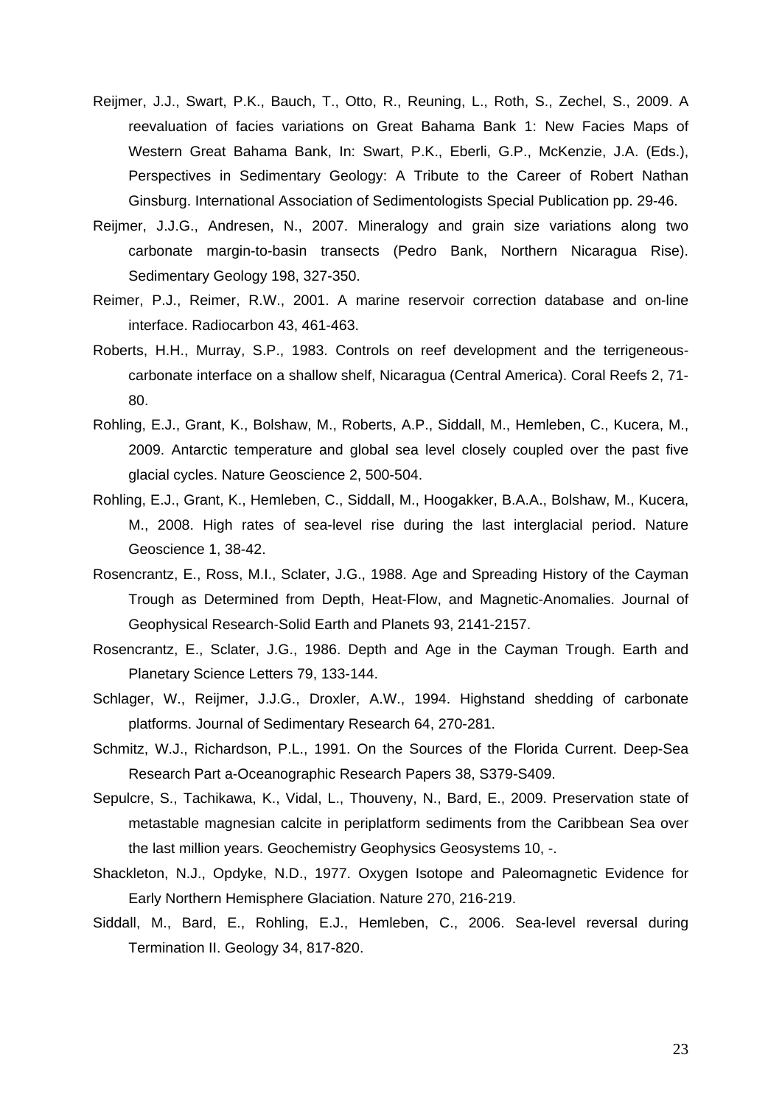- Reijmer, J.J., Swart, P.K., Bauch, T., Otto, R., Reuning, L., Roth, S., Zechel, S., 2009. A reevaluation of facies variations on Great Bahama Bank 1: New Facies Maps of Western Great Bahama Bank, In: Swart, P.K., Eberli, G.P., McKenzie, J.A. (Eds.), Perspectives in Sedimentary Geology: A Tribute to the Career of Robert Nathan Ginsburg. International Association of Sedimentologists Special Publication pp. 29-46.
- Reijmer, J.J.G., Andresen, N., 2007. Mineralogy and grain size variations along two carbonate margin-to-basin transects (Pedro Bank, Northern Nicaragua Rise). Sedimentary Geology 198, 327-350.
- Reimer, P.J., Reimer, R.W., 2001. A marine reservoir correction database and on-line interface. Radiocarbon 43, 461-463.
- Roberts, H.H., Murray, S.P., 1983. Controls on reef development and the terrigeneouscarbonate interface on a shallow shelf, Nicaragua (Central America). Coral Reefs 2, 71- 80.
- Rohling, E.J., Grant, K., Bolshaw, M., Roberts, A.P., Siddall, M., Hemleben, C., Kucera, M., 2009. Antarctic temperature and global sea level closely coupled over the past five glacial cycles. Nature Geoscience 2, 500-504.
- Rohling, E.J., Grant, K., Hemleben, C., Siddall, M., Hoogakker, B.A.A., Bolshaw, M., Kucera, M., 2008. High rates of sea-level rise during the last interglacial period. Nature Geoscience 1, 38-42.
- Rosencrantz, E., Ross, M.I., Sclater, J.G., 1988. Age and Spreading History of the Cayman Trough as Determined from Depth, Heat-Flow, and Magnetic-Anomalies. Journal of Geophysical Research-Solid Earth and Planets 93, 2141-2157.
- Rosencrantz, E., Sclater, J.G., 1986. Depth and Age in the Cayman Trough. Earth and Planetary Science Letters 79, 133-144.
- Schlager, W., Reijmer, J.J.G., Droxler, A.W., 1994. Highstand shedding of carbonate platforms. Journal of Sedimentary Research 64, 270-281.
- Schmitz, W.J., Richardson, P.L., 1991. On the Sources of the Florida Current. Deep-Sea Research Part a-Oceanographic Research Papers 38, S379-S409.
- Sepulcre, S., Tachikawa, K., Vidal, L., Thouveny, N., Bard, E., 2009. Preservation state of metastable magnesian calcite in periplatform sediments from the Caribbean Sea over the last million years. Geochemistry Geophysics Geosystems 10, -.
- Shackleton, N.J., Opdyke, N.D., 1977. Oxygen Isotope and Paleomagnetic Evidence for Early Northern Hemisphere Glaciation. Nature 270, 216-219.
- Siddall, M., Bard, E., Rohling, E.J., Hemleben, C., 2006. Sea-level reversal during Termination II. Geology 34, 817-820.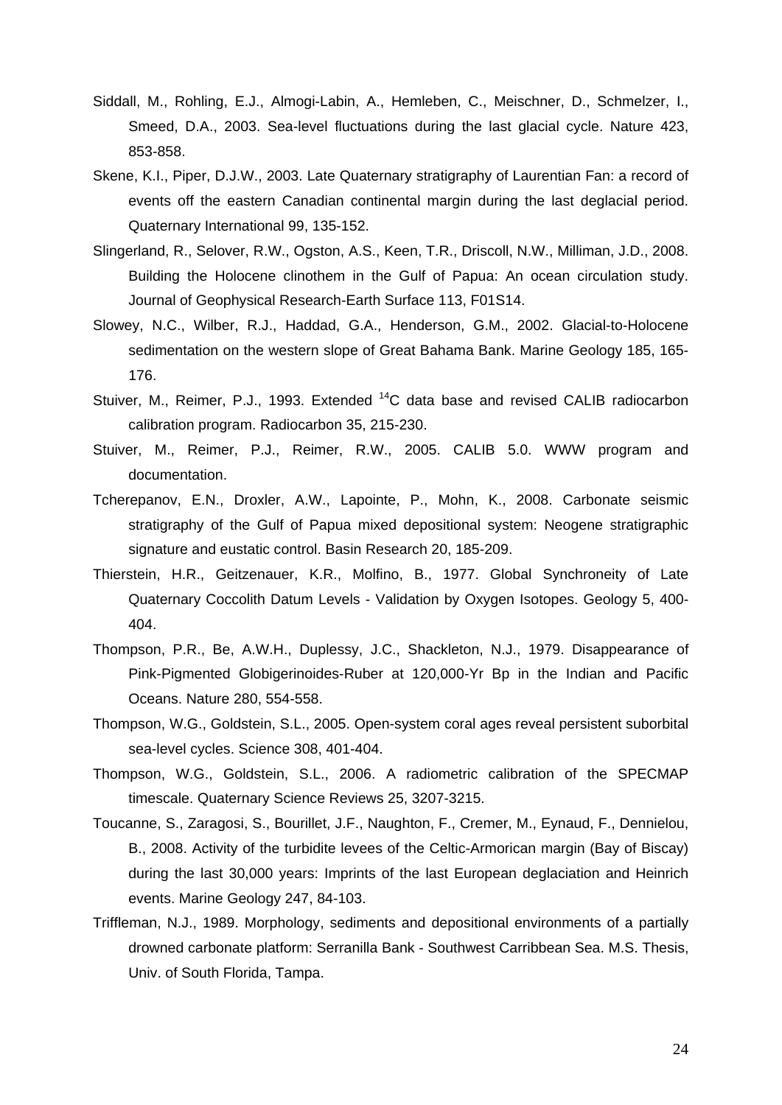- Siddall, M., Rohling, E.J., Almogi-Labin, A., Hemleben, C., Meischner, D., Schmelzer, I., Smeed, D.A., 2003. Sea-level fluctuations during the last glacial cycle. Nature 423, 853-858.
- Skene, K.I., Piper, D.J.W., 2003. Late Quaternary stratigraphy of Laurentian Fan: a record of events off the eastern Canadian continental margin during the last deglacial period. Quaternary International 99, 135-152.
- Slingerland, R., Selover, R.W., Ogston, A.S., Keen, T.R., Driscoll, N.W., Milliman, J.D., 2008. Building the Holocene clinothem in the Gulf of Papua: An ocean circulation study. Journal of Geophysical Research-Earth Surface 113, F01S14.
- Slowey, N.C., Wilber, R.J., Haddad, G.A., Henderson, G.M., 2002. Glacial-to-Holocene sedimentation on the western slope of Great Bahama Bank. Marine Geology 185, 165- 176.
- Stuiver, M., Reimer, P.J., 1993. Extended <sup>14</sup>C data base and revised CALIB radiocarbon calibration program. Radiocarbon 35, 215-230.
- Stuiver, M., Reimer, P.J., Reimer, R.W., 2005. CALIB 5.0. WWW program and documentation.
- Tcherepanov, E.N., Droxler, A.W., Lapointe, P., Mohn, K., 2008. Carbonate seismic stratigraphy of the Gulf of Papua mixed depositional system: Neogene stratigraphic signature and eustatic control. Basin Research 20, 185-209.
- Thierstein, H.R., Geitzenauer, K.R., Molfino, B., 1977. Global Synchroneity of Late Quaternary Coccolith Datum Levels - Validation by Oxygen Isotopes. Geology 5, 400- 404.
- Thompson, P.R., Be, A.W.H., Duplessy, J.C., Shackleton, N.J., 1979. Disappearance of Pink-Pigmented Globigerinoides-Ruber at 120,000-Yr Bp in the Indian and Pacific Oceans. Nature 280, 554-558.
- Thompson, W.G., Goldstein, S.L., 2005. Open-system coral ages reveal persistent suborbital sea-level cycles. Science 308, 401-404.
- Thompson, W.G., Goldstein, S.L., 2006. A radiometric calibration of the SPECMAP timescale. Quaternary Science Reviews 25, 3207-3215.
- Toucanne, S., Zaragosi, S., Bourillet, J.F., Naughton, F., Cremer, M., Eynaud, F., Dennielou, B., 2008. Activity of the turbidite levees of the Celtic-Armorican margin (Bay of Biscay) during the last 30,000 years: Imprints of the last European deglaciation and Heinrich events. Marine Geology 247, 84-103.
- Triffleman, N.J., 1989. Morphology, sediments and depositional environments of a partially drowned carbonate platform: Serranilla Bank - Southwest Carribbean Sea. M.S. Thesis, Univ. of South Florida, Tampa.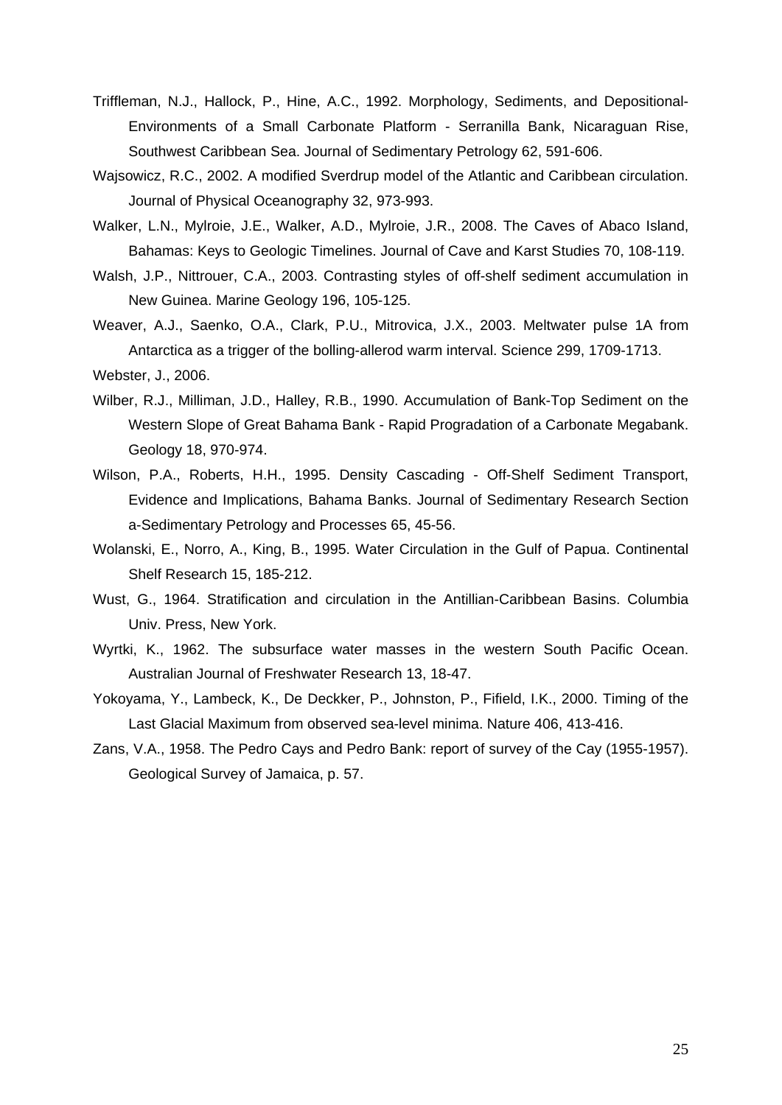- Triffleman, N.J., Hallock, P., Hine, A.C., 1992. Morphology, Sediments, and Depositional-Environments of a Small Carbonate Platform - Serranilla Bank, Nicaraguan Rise, Southwest Caribbean Sea. Journal of Sedimentary Petrology 62, 591-606.
- Wajsowicz, R.C., 2002. A modified Sverdrup model of the Atlantic and Caribbean circulation. Journal of Physical Oceanography 32, 973-993.
- Walker, L.N., Mylroie, J.E., Walker, A.D., Mylroie, J.R., 2008. The Caves of Abaco Island, Bahamas: Keys to Geologic Timelines. Journal of Cave and Karst Studies 70, 108-119.
- Walsh, J.P., Nittrouer, C.A., 2003. Contrasting styles of off-shelf sediment accumulation in New Guinea. Marine Geology 196, 105-125.
- Weaver, A.J., Saenko, O.A., Clark, P.U., Mitrovica, J.X., 2003. Meltwater pulse 1A from Antarctica as a trigger of the bolling-allerod warm interval. Science 299, 1709-1713.
- Webster, J., 2006.
- Wilber, R.J., Milliman, J.D., Halley, R.B., 1990. Accumulation of Bank-Top Sediment on the Western Slope of Great Bahama Bank - Rapid Progradation of a Carbonate Megabank. Geology 18, 970-974.
- Wilson, P.A., Roberts, H.H., 1995. Density Cascading Off-Shelf Sediment Transport, Evidence and Implications, Bahama Banks. Journal of Sedimentary Research Section a-Sedimentary Petrology and Processes 65, 45-56.
- Wolanski, E., Norro, A., King, B., 1995. Water Circulation in the Gulf of Papua. Continental Shelf Research 15, 185-212.
- Wust, G., 1964. Stratification and circulation in the Antillian-Caribbean Basins. Columbia Univ. Press, New York.
- Wyrtki, K., 1962. The subsurface water masses in the western South Pacific Ocean. Australian Journal of Freshwater Research 13, 18-47.
- Yokoyama, Y., Lambeck, K., De Deckker, P., Johnston, P., Fifield, I.K., 2000. Timing of the Last Glacial Maximum from observed sea-level minima. Nature 406, 413-416.
- Zans, V.A., 1958. The Pedro Cays and Pedro Bank: report of survey of the Cay (1955-1957). Geological Survey of Jamaica, p. 57.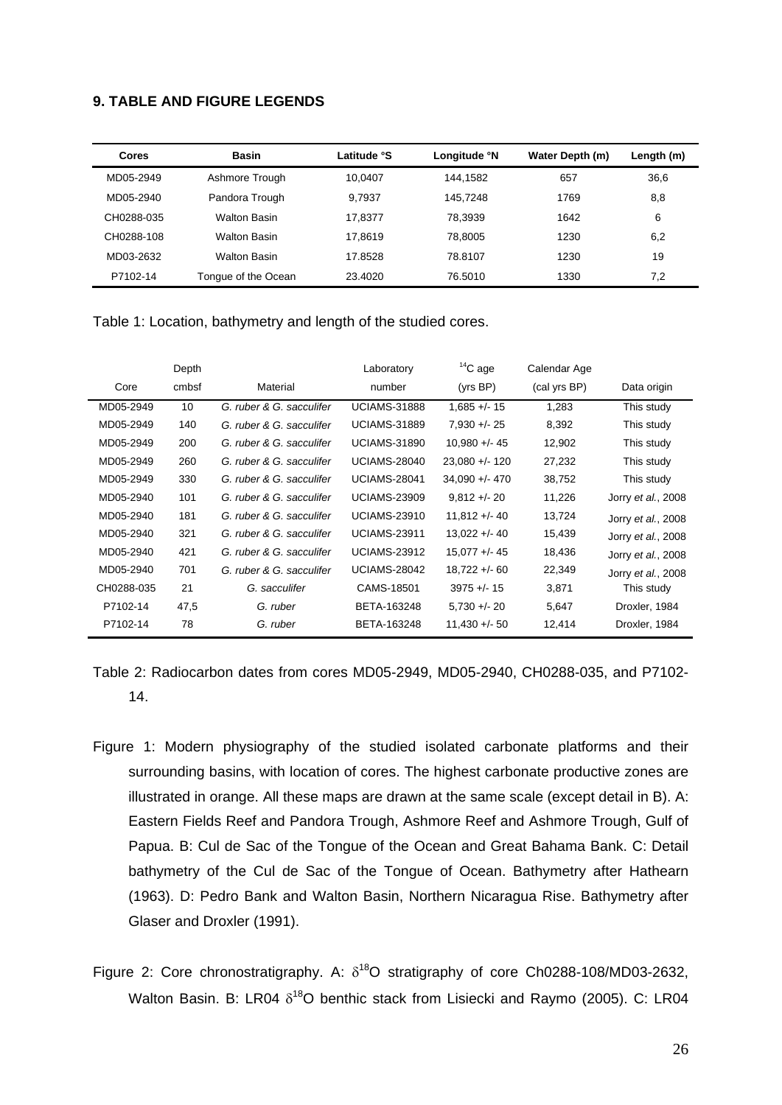# **9. TABLE AND FIGURE LEGENDS**

| <b>Cores</b> | <b>Basin</b>        | Latitude °S | Longitude °N | Water Depth (m) | Length (m) |
|--------------|---------------------|-------------|--------------|-----------------|------------|
| MD05-2949    | Ashmore Trough      | 10.0407     | 144.1582     | 657             | 36,6       |
| MD05-2940    | Pandora Trough      | 9.7937      | 145.7248     | 1769            | 8,8        |
| CH0288-035   | <b>Walton Basin</b> | 17.8377     | 78.3939      | 1642            | 6          |
| CH0288-108   | <b>Walton Basin</b> | 17.8619     | 78.8005      | 1230            | 6,2        |
| MD03-2632    | <b>Walton Basin</b> | 17.8528     | 78.8107      | 1230            | 19         |
| P7102-14     | Tongue of the Ocean | 23.4020     | 76.5010      | 1330            | 7,2        |

Table 1: Location, bathymetry and length of the studied cores.

|            | Depth |                          | Laboratory          | $14$ C age       | Calendar Age |                    |
|------------|-------|--------------------------|---------------------|------------------|--------------|--------------------|
| Core       | cmbsf | Material                 | number              | (yrs BP)         | (cal yrs BP) | Data origin        |
| MD05-2949  | 10    | G. ruber & G. sacculifer | <b>UCIAMS-31888</b> | $1,685 +/- 15$   | 1,283        | This study         |
| MD05-2949  | 140   | G. ruber & G. sacculifer | <b>UCIAMS-31889</b> | $7.930 + - 25$   | 8,392        | This study         |
| MD05-2949  | 200   | G. ruber & G. sacculifer | <b>UCIAMS-31890</b> | $10.980 +/- 45$  | 12,902       | This study         |
| MD05-2949  | 260   | G. ruber & G. sacculifer | <b>UCIAMS-28040</b> | $23,080 +/- 120$ | 27,232       | This study         |
| MD05-2949  | 330   | G. ruber & G. sacculifer | <b>UCIAMS-28041</b> | $34,090 + - 470$ | 38,752       | This study         |
| MD05-2940  | 101   | G. ruber & G. sacculifer | <b>UCIAMS-23909</b> | $9,812 + - 20$   | 11,226       | Jorry et al., 2008 |
| MD05-2940  | 181   | G. ruber & G. sacculifer | <b>UCIAMS-23910</b> | $11,812 + - 40$  | 13,724       | Jorry et al., 2008 |
| MD05-2940  | 321   | G. ruber & G. sacculifer | <b>UCIAMS-23911</b> | 13,022 +/- 40    | 15,439       | Jorry et al., 2008 |
| MD05-2940  | 421   | G. ruber & G. sacculifer | <b>UCIAMS-23912</b> | $15.077 + - 45$  | 18,436       | Jorry et al., 2008 |
| MD05-2940  | 701   | G. ruber & G. sacculifer | <b>UCIAMS-28042</b> | 18,722 +/- 60    | 22,349       | Jorry et al., 2008 |
| CH0288-035 | 21    | G. sacculifer            | CAMS-18501          | $3975 + - 15$    | 3,871        | This study         |
| P7102-14   | 47,5  | G. ruber                 | BETA-163248         | $5,730 +/- 20$   | 5,647        | Droxler, 1984      |
| P7102-14   | 78    | G. ruber                 | BETA-163248         | 11,430 +/- 50    | 12,414       | Droxler, 1984      |

Table 2: Radiocarbon dates from cores MD05-2949, MD05-2940, CH0288-035, and P7102- 14.

- Figure 1: Modern physiography of the studied isolated carbonate platforms and their surrounding basins, with location of cores. The highest carbonate productive zones are illustrated in orange. All these maps are drawn at the same scale (except detail in B). A: Eastern Fields Reef and Pandora Trough, Ashmore Reef and Ashmore Trough, Gulf of Papua. B: Cul de Sac of the Tongue of the Ocean and Great Bahama Bank. C: Detail bathymetry of the Cul de Sac of the Tongue of Ocean. Bathymetry after Hathearn (1963). D: Pedro Bank and Walton Basin, Northern Nicaragua Rise. Bathymetry after Glaser and Droxler (1991).
- Figure 2: Core chronostratigraphy. A:  $\delta^{18}$ O stratigraphy of core Ch0288-108/MD03-2632, Walton Basin. B: LR04  $\delta^{18}O$  benthic stack from Lisiecki and Raymo (2005). C: LR04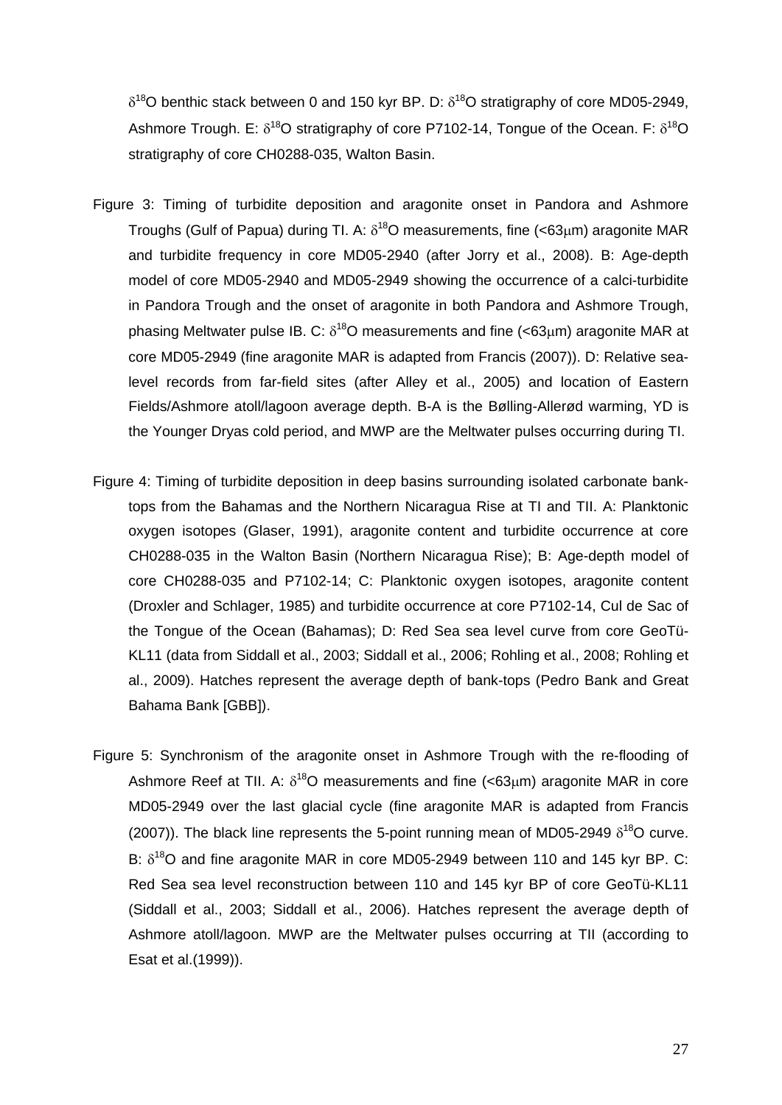$\delta^{18}$ O benthic stack between 0 and 150 kyr BP. D:  $\delta^{18}$ O stratigraphy of core MD05-2949, Ashmore Trough. E:  $\delta^{18}O$  stratigraphy of core P7102-14, Tongue of the Ocean. F:  $\delta^{18}O$ stratigraphy of core CH0288-035, Walton Basin.

- Figure 3: Timing of turbidite deposition and aragonite onset in Pandora and Ashmore Troughs (Gulf of Papua) during Tl. A:  $\delta^{18}$ O measurements, fine (<63um) aragonite MAR and turbidite frequency in core MD05-2940 (after Jorry et al., 2008). B: Age-depth model of core MD05-2940 and MD05-2949 showing the occurrence of a calci-turbidite in Pandora Trough and the onset of aragonite in both Pandora and Ashmore Trough, phasing Meltwater pulse IB. C:  $\delta^{18}$ O measurements and fine (<63um) aragonite MAR at core MD05-2949 (fine aragonite MAR is adapted from Francis (2007)). D: Relative sealevel records from far-field sites (after Alley et al., 2005) and location of Eastern Fields/Ashmore atoll/lagoon average depth. B-A is the Bølling-Allerød warming, YD is the Younger Dryas cold period, and MWP are the Meltwater pulses occurring during TI.
- Figure 4: Timing of turbidite deposition in deep basins surrounding isolated carbonate banktops from the Bahamas and the Northern Nicaragua Rise at TI and TII. A: Planktonic oxygen isotopes (Glaser, 1991), aragonite content and turbidite occurrence at core CH0288-035 in the Walton Basin (Northern Nicaragua Rise); B: Age-depth model of core CH0288-035 and P7102-14; C: Planktonic oxygen isotopes, aragonite content (Droxler and Schlager, 1985) and turbidite occurrence at core P7102-14, Cul de Sac of the Tongue of the Ocean (Bahamas); D: Red Sea sea level curve from core GeoTü-KL11 (data from Siddall et al., 2003; Siddall et al., 2006; Rohling et al., 2008; Rohling et al., 2009). Hatches represent the average depth of bank-tops (Pedro Bank and Great Bahama Bank [GBB]).
- Figure 5: Synchronism of the aragonite onset in Ashmore Trough with the re-flooding of Ashmore Reef at TII. A:  $\delta^{18}O$  measurements and fine (<63µm) aragonite MAR in core MD05-2949 over the last glacial cycle (fine aragonite MAR is adapted from Francis (2007)). The black line represents the 5-point running mean of MD05-2949  $\delta^{18}O$  curve. B:  $\delta^{18}$ O and fine aragonite MAR in core MD05-2949 between 110 and 145 kvr BP. C: Red Sea sea level reconstruction between 110 and 145 kyr BP of core GeoTü-KL11 (Siddall et al., 2003; Siddall et al., 2006). Hatches represent the average depth of Ashmore atoll/lagoon. MWP are the Meltwater pulses occurring at TII (according to Esat et al.(1999)).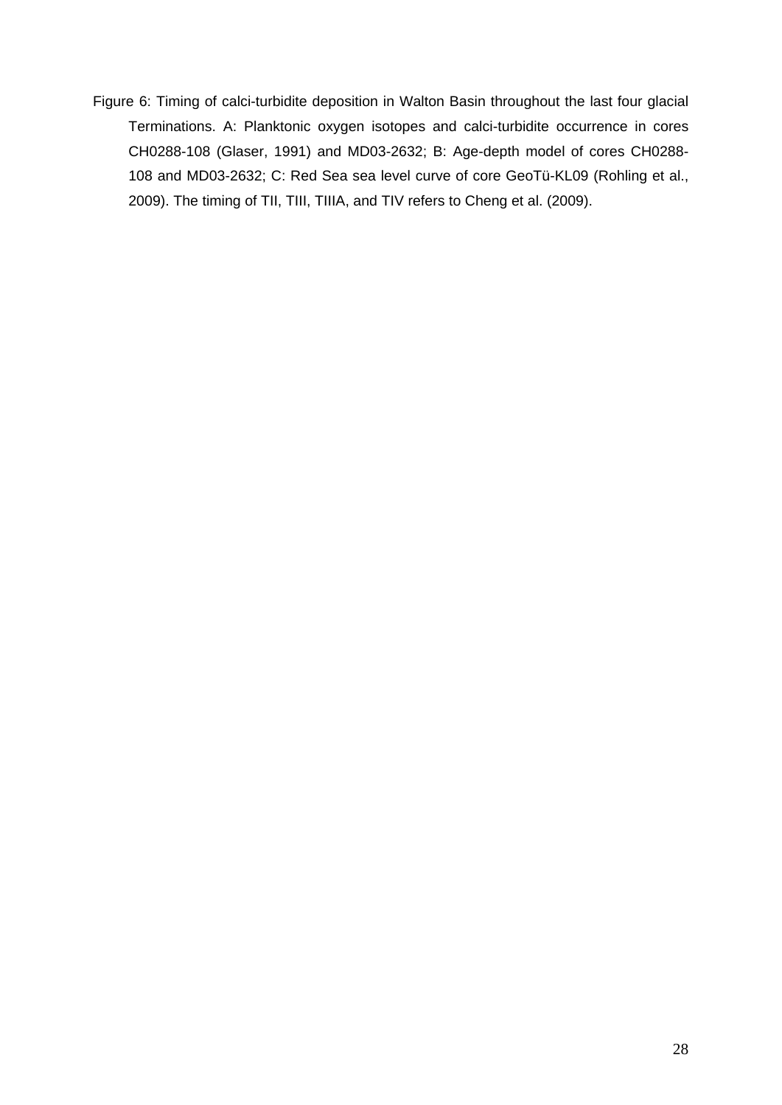Figure 6: Timing of calci-turbidite deposition in Walton Basin throughout the last four glacial Terminations. A: Planktonic oxygen isotopes and calci-turbidite occurrence in cores CH0288-108 (Glaser, 1991) and MD03-2632; B: Age-depth model of cores CH0288- 108 and MD03-2632; C: Red Sea sea level curve of core GeoTü-KL09 (Rohling et al., 2009). The timing of TII, TIII, TIIIA, and TIV refers to Cheng et al. (2009).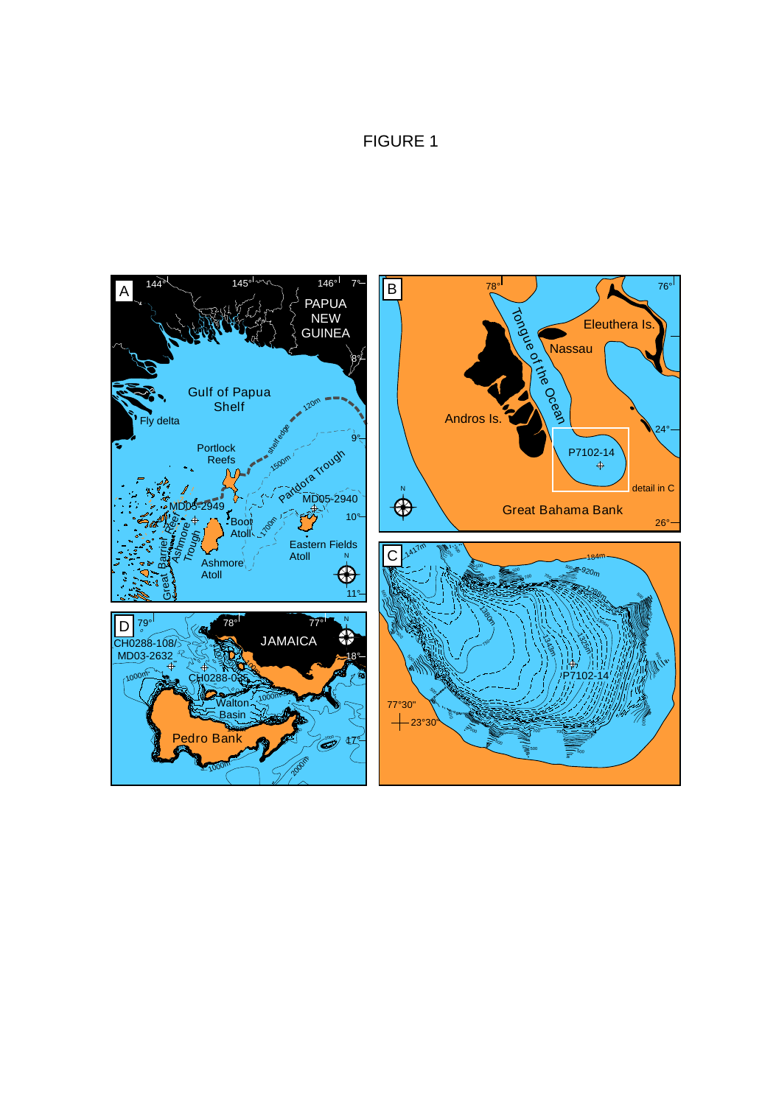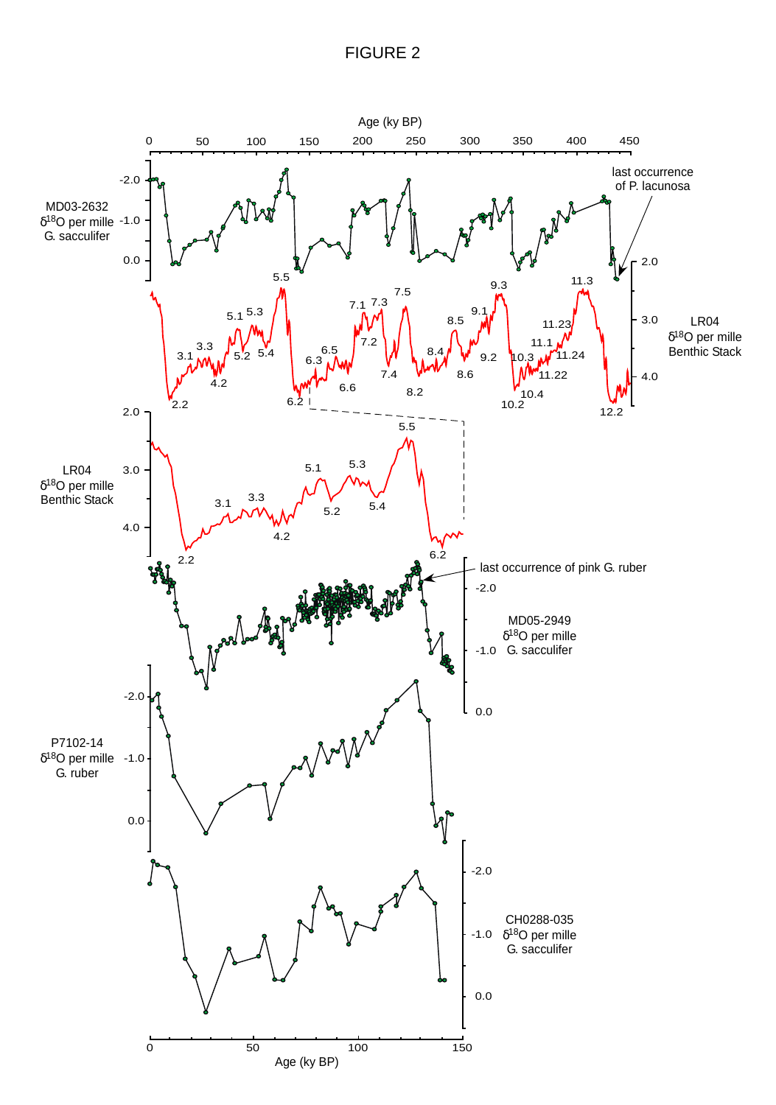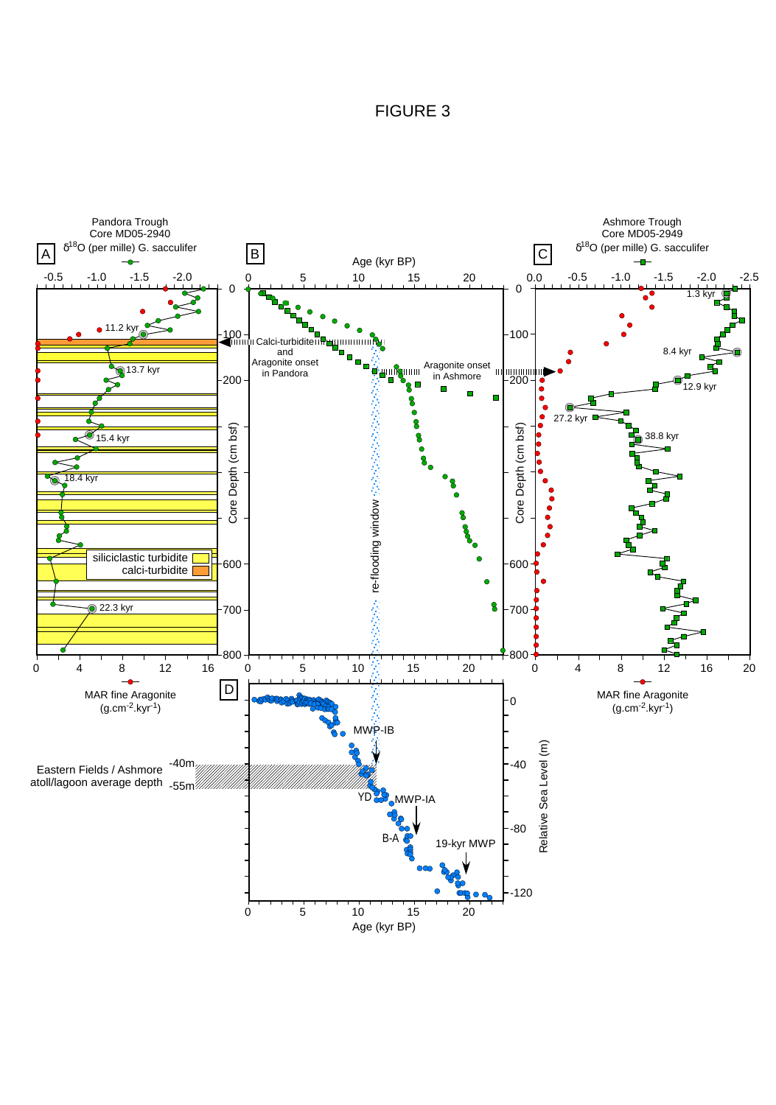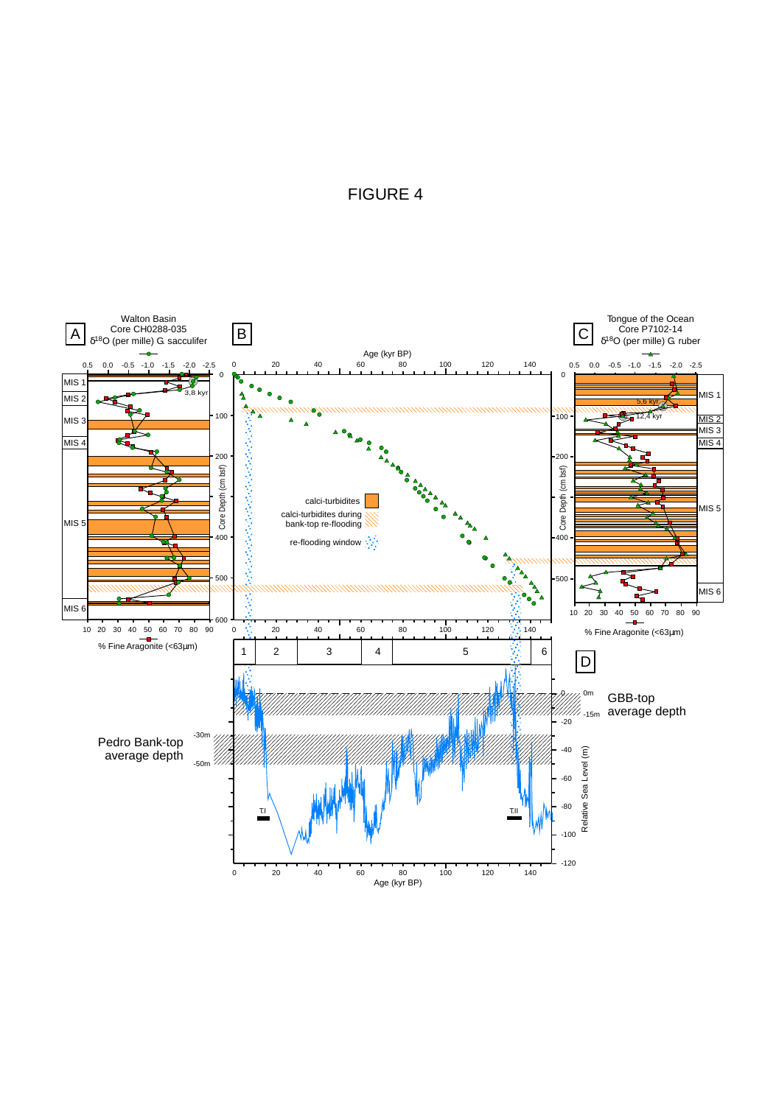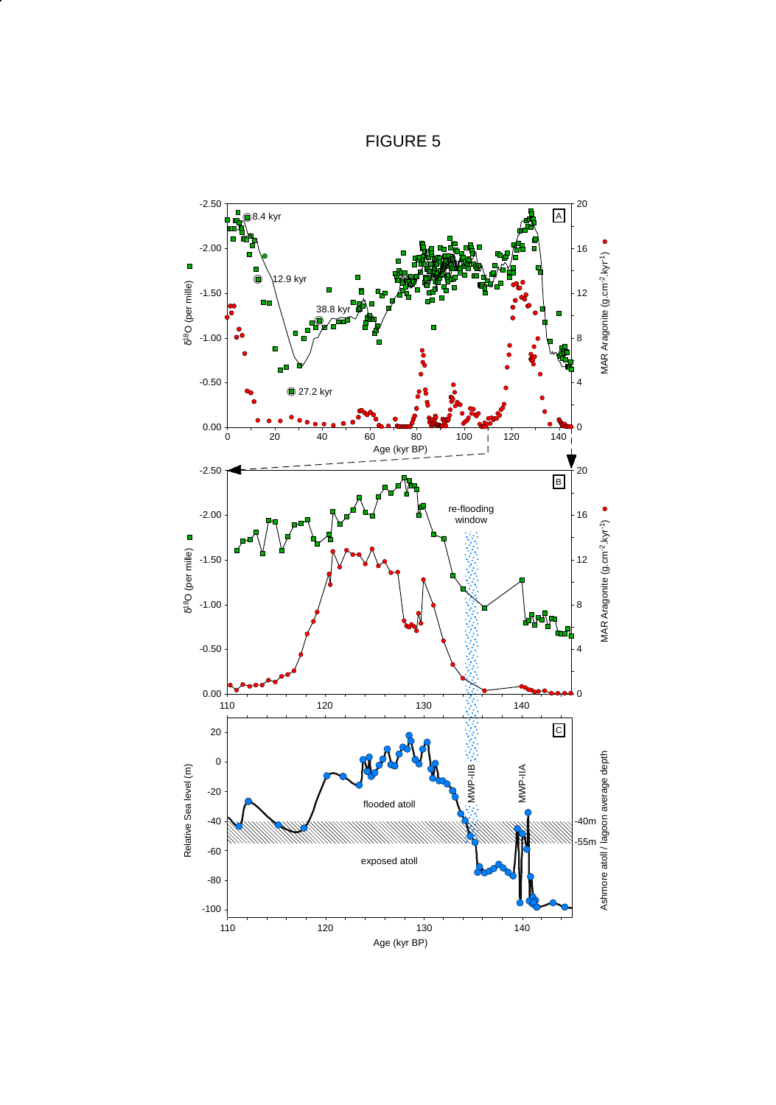

Age (kyr BP)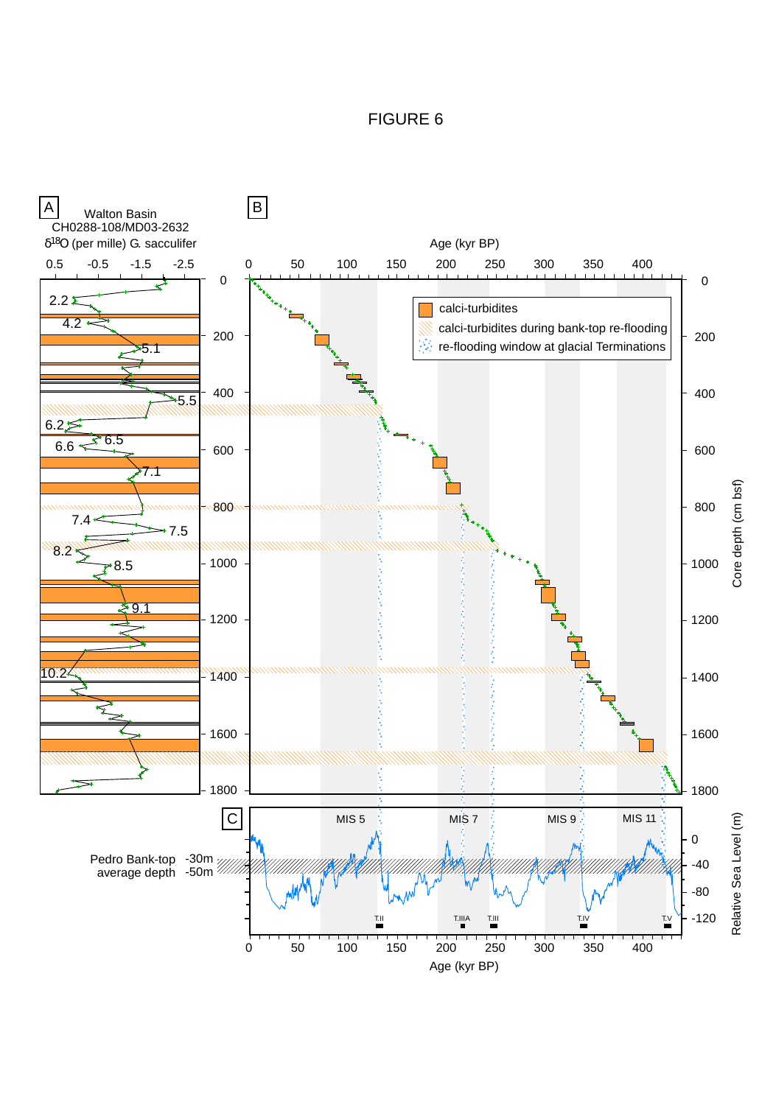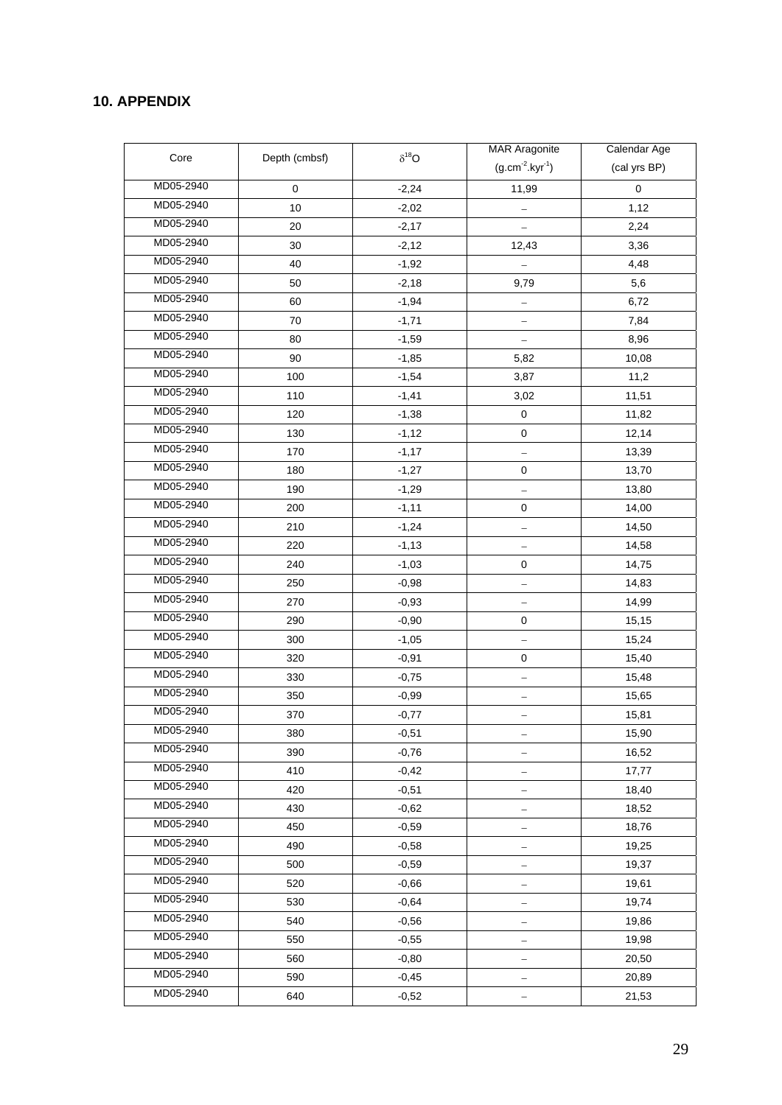# **10. APPENDIX**

|           |               | $\delta^{18}O$ | <b>MAR Aragonite</b>   | Calendar Age |
|-----------|---------------|----------------|------------------------|--------------|
| Core      | Depth (cmbsf) |                | $(g.cm^{-2}.kyr^{-1})$ | (cal yrs BP) |
| MD05-2940 | 0             | $-2,24$        | 11,99                  | $\pmb{0}$    |
| MD05-2940 | 10            | $-2,02$        |                        | 1,12         |
| MD05-2940 | 20            | $-2,17$        |                        | 2,24         |
| MD05-2940 | 30            | $-2,12$        | 12,43                  | 3,36         |
| MD05-2940 | 40            | $-1,92$        |                        | 4,48         |
| MD05-2940 | 50            | $-2,18$        | 9,79                   | 5,6          |
| MD05-2940 | 60            | $-1,94$        |                        | 6,72         |
| MD05-2940 | 70            | $-1,71$        |                        | 7,84         |
| MD05-2940 | 80            | $-1,59$        |                        | 8,96         |
| MD05-2940 | 90            | $-1,85$        | 5,82                   | 10,08        |
| MD05-2940 | 100           | $-1,54$        | 3,87                   | 11,2         |
| MD05-2940 | 110           | $-1,41$        | 3,02                   | 11,51        |
| MD05-2940 | 120           | $-1,38$        | $\mathbf 0$            | 11,82        |
| MD05-2940 | 130           | $-1,12$        | $\mathbf 0$            | 12,14        |
| MD05-2940 | 170           | $-1,17$        |                        | 13,39        |
| MD05-2940 | 180           | $-1,27$        | $\mathbf 0$            | 13,70        |
| MD05-2940 | 190           | $-1,29$        | -                      | 13,80        |
| MD05-2940 | 200           | $-1, 11$       | $\mathbf 0$            | 14,00        |
| MD05-2940 | 210           | $-1,24$        |                        | 14,50        |
| MD05-2940 | 220           | $-1,13$        |                        | 14,58        |
| MD05-2940 | 240           | $-1,03$        | $\pmb{0}$              | 14,75        |
| MD05-2940 | 250           | $-0,98$        | -                      | 14,83        |
| MD05-2940 | 270           | $-0,93$        |                        | 14,99        |
| MD05-2940 | 290           | $-0,90$        | $\pmb{0}$              | 15,15        |
| MD05-2940 | 300           | $-1,05$        |                        | 15,24        |
| MD05-2940 | 320           | $-0,91$        | 0                      | 15,40        |
| MD05-2940 | 330           | $-0,75$        | —                      | 15,48        |
| MD05-2940 | 350           | $-0,99$        |                        | 15,65        |
| MD05-2940 | 370           | $-0,77$        |                        | 15,81        |
| MD05-2940 | 380           | $-0,51$        |                        | 15,90        |
| MD05-2940 | 390           | $-0,76$        |                        | 16,52        |
| MD05-2940 | 410           | $-0,42$        |                        | 17,77        |
| MD05-2940 | 420           | $-0,51$        |                        | 18,40        |
| MD05-2940 | 430           | $-0.62$        |                        | 18,52        |
| MD05-2940 | 450           | $-0,59$        | —                      | 18,76        |
| MD05-2940 | 490           | $-0,58$        |                        | 19,25        |
| MD05-2940 | 500           | $-0,59$        |                        | 19,37        |
| MD05-2940 | 520           | $-0,66$        |                        | 19,61        |
| MD05-2940 | 530           | $-0,64$        |                        | 19,74        |
| MD05-2940 | 540           | $-0,56$        | —                      | 19,86        |
| MD05-2940 | 550           | $-0,55$        |                        | 19,98        |
| MD05-2940 | 560           | $-0,80$        |                        | 20,50        |
| MD05-2940 | 590           | $-0,45$        |                        | 20,89        |
| MD05-2940 | 640           | $-0,52$        |                        | 21,53        |
|           |               |                |                        |              |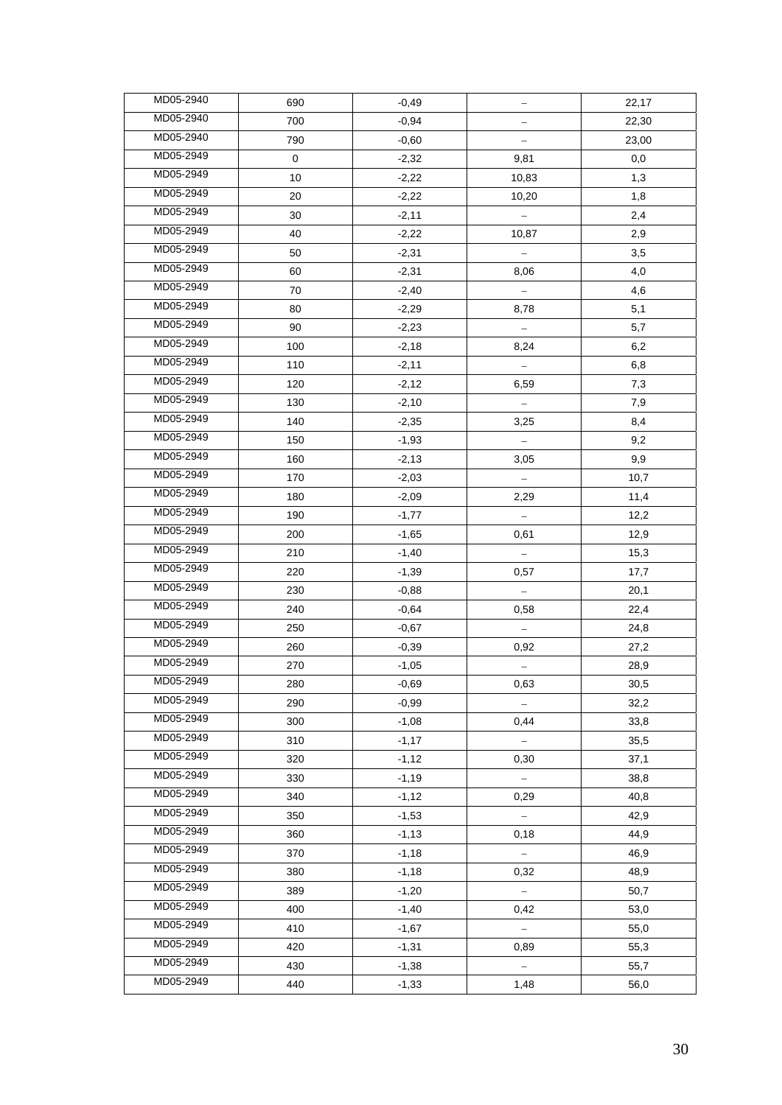| MD05-2940 | 690 | $-0,49$ |                   | 22,17 |
|-----------|-----|---------|-------------------|-------|
| MD05-2940 | 700 | $-0,94$ | -                 | 22,30 |
| MD05-2940 | 790 | $-0,60$ |                   | 23,00 |
| MD05-2949 | 0   | $-2,32$ | 9,81              | 0,0   |
| MD05-2949 | 10  | $-2,22$ | 10,83             | 1,3   |
| MD05-2949 | 20  | $-2,22$ | 10,20             | 1,8   |
| MD05-2949 | 30  | $-2,11$ |                   | 2,4   |
| MD05-2949 | 40  | $-2,22$ | 10,87             | 2,9   |
| MD05-2949 | 50  | $-2,31$ |                   | 3,5   |
| MD05-2949 | 60  | $-2,31$ | 8,06              | 4,0   |
| MD05-2949 | 70  | $-2,40$ |                   | 4,6   |
| MD05-2949 | 80  | $-2,29$ | 8,78              | 5,1   |
| MD05-2949 | 90  | $-2,23$ |                   | 5,7   |
| MD05-2949 | 100 | $-2,18$ | 8,24              | 6,2   |
| MD05-2949 | 110 | $-2,11$ |                   | 6,8   |
| MD05-2949 | 120 | $-2,12$ | 6,59              | 7,3   |
| MD05-2949 | 130 | $-2,10$ |                   | 7,9   |
| MD05-2949 | 140 | $-2,35$ | 3,25              | 8,4   |
| MD05-2949 | 150 | $-1,93$ |                   | 9,2   |
| MD05-2949 | 160 | $-2,13$ | 3,05              | 9,9   |
| MD05-2949 | 170 | $-2,03$ |                   | 10,7  |
| MD05-2949 | 180 | $-2,09$ | 2,29              | 11,4  |
| MD05-2949 | 190 | $-1,77$ |                   | 12,2  |
| MD05-2949 | 200 | $-1,65$ | 0,61              | 12,9  |
| MD05-2949 | 210 | $-1,40$ |                   | 15,3  |
| MD05-2949 | 220 | $-1,39$ | 0,57              | 17,7  |
| MD05-2949 | 230 | $-0,88$ |                   | 20,1  |
| MD05-2949 | 240 | $-0.64$ | 0,58              | 22,4  |
| MD05-2949 | 250 | $-0,67$ |                   | 24,8  |
| MD05-2949 | 260 | $-0,39$ | 0,92              | 27,2  |
| MD05-2949 | 270 | $-1,05$ |                   | 28,9  |
| MD05-2949 | 280 | $-0,69$ | 0,63              | 30,5  |
| MD05-2949 | 290 | $-0.99$ |                   | 32,2  |
| MD05-2949 | 300 | $-1,08$ | 0,44              | 33,8  |
| MD05-2949 | 310 | $-1,17$ |                   | 35,5  |
| MD05-2949 | 320 | $-1,12$ | 0,30              | 37,1  |
| MD05-2949 | 330 | $-1,19$ |                   | 38,8  |
| MD05-2949 | 340 | $-1,12$ | 0,29              | 40,8  |
| MD05-2949 | 350 | $-1,53$ | $\qquad \qquad -$ | 42,9  |
| MD05-2949 | 360 | $-1,13$ | 0,18              | 44,9  |
| MD05-2949 | 370 | $-1,18$ | $\equiv$          | 46,9  |
| MD05-2949 | 380 | $-1,18$ | 0,32              | 48,9  |
| MD05-2949 | 389 | $-1,20$ |                   | 50,7  |
| MD05-2949 | 400 | $-1,40$ | 0,42              | 53,0  |
| MD05-2949 | 410 | $-1,67$ |                   | 55,0  |
| MD05-2949 | 420 | $-1,31$ | 0,89              | 55,3  |
| MD05-2949 | 430 | $-1,38$ | $\frac{1}{2}$     | 55,7  |
| MD05-2949 | 440 | $-1,33$ | 1,48              | 56,0  |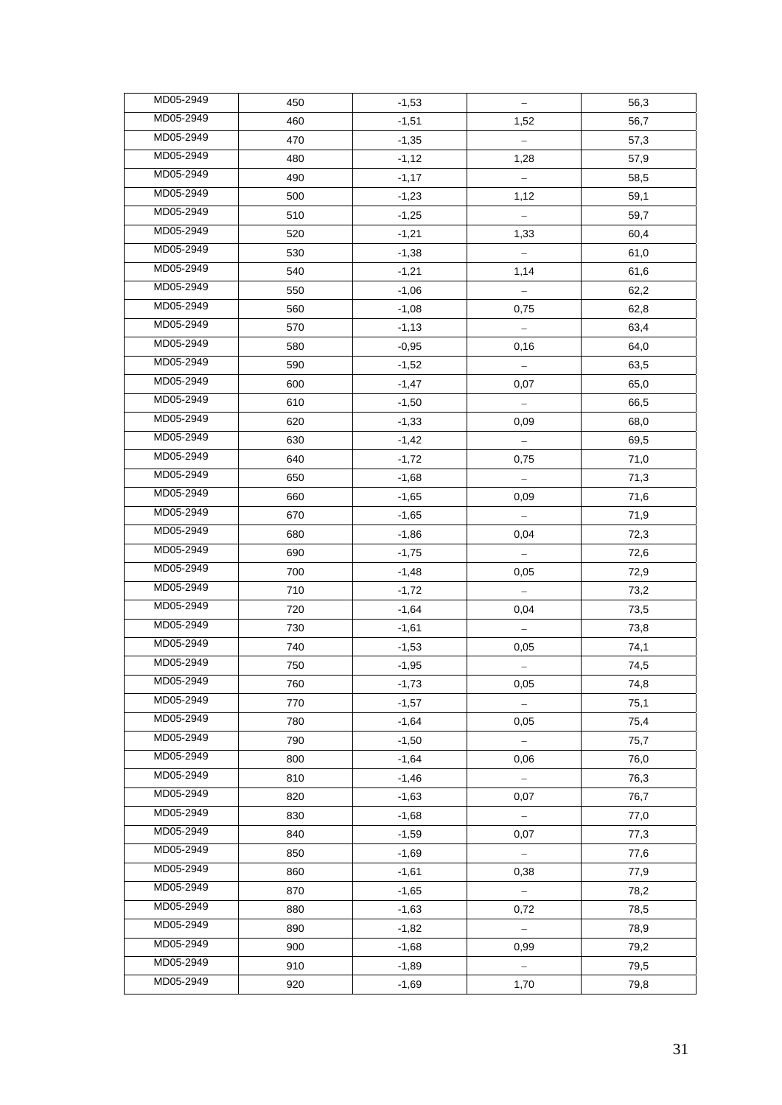| MD05-2949              | 450 | $-1,53$ | $\qquad \qquad -$ | 56,3 |
|------------------------|-----|---------|-------------------|------|
| MD05-2949              | 460 | $-1,51$ | 1,52              | 56,7 |
| MD05-2949              | 470 | $-1,35$ |                   | 57,3 |
| MD05-2949              | 480 | $-1,12$ | 1,28              | 57,9 |
| MD05-2949              | 490 | $-1,17$ |                   | 58,5 |
| MD05-2949              | 500 | $-1,23$ | 1,12              | 59,1 |
| MD05-2949              | 510 | $-1,25$ |                   | 59,7 |
| MD05-2949              | 520 | $-1,21$ | 1,33              | 60,4 |
| MD05-2949              | 530 | $-1,38$ |                   | 61,0 |
| MD05-2949              | 540 | $-1,21$ | 1,14              | 61,6 |
| MD05-2949              | 550 | $-1,06$ |                   | 62,2 |
| MD05-2949              | 560 | $-1,08$ | 0,75              | 62,8 |
| MD05-2949              | 570 | $-1,13$ |                   | 63,4 |
| MD05-2949              | 580 | $-0,95$ | 0,16              | 64,0 |
| MD05-2949              | 590 | $-1,52$ | $\qquad \qquad -$ | 63,5 |
| MD05-2949              | 600 | $-1,47$ | 0,07              | 65,0 |
| MD05-2949              | 610 | $-1,50$ |                   | 66,5 |
| MD05-2949              | 620 | $-1,33$ | 0,09              | 68,0 |
| MD05-2949              | 630 | $-1,42$ |                   | 69,5 |
| MD05-2949              | 640 | $-1,72$ | 0,75              | 71,0 |
| MD05-2949              | 650 | $-1,68$ |                   | 71,3 |
| MD05-2949              | 660 | $-1,65$ | 0,09              | 71,6 |
| MD05-2949              | 670 | $-1,65$ |                   | 71,9 |
| MD05-2949              | 680 | $-1,86$ | 0,04              | 72,3 |
| MD05-2949              | 690 | $-1,75$ |                   | 72,6 |
| MD05-2949              | 700 | $-1,48$ | 0,05              | 72,9 |
| MD05-2949              | 710 | $-1,72$ |                   | 73,2 |
| MD05-2949              | 720 | $-1,64$ | 0,04              | 73,5 |
| MD05-2949              | 730 | $-1,61$ |                   | 73,8 |
| MD05-2949              | 740 | $-1,53$ | 0,05              | 74,1 |
| MD05-2949              | 750 | $-1,95$ |                   | 74,5 |
| MD05-2949              | 760 | $-1,73$ | 0,05              | 74,8 |
| MD05-2949              | 770 | $-1,57$ |                   | 75,1 |
| MD05-2949              | 780 | $-1,64$ | 0,05              | 75,4 |
| MD05-2949              | 790 | $-1,50$ | $\frac{1}{2}$     | 75,7 |
| MD05-2949              | 800 | $-1,64$ | 0,06              | 76,0 |
| MD05-2949              | 810 | $-1,46$ |                   | 76,3 |
| MD05-2949              | 820 | $-1,63$ | 0,07              | 76,7 |
| MD05-2949<br>MD05-2949 | 830 | $-1,68$ | $\equiv$          | 77,0 |
|                        | 840 | $-1,59$ | 0,07              | 77,3 |
| MD05-2949              | 850 | $-1,69$ | $\equiv$          | 77,6 |
| MD05-2949              | 860 | $-1,61$ | 0,38              | 77,9 |
| MD05-2949              | 870 | $-1,65$ |                   | 78,2 |
| MD05-2949              | 880 | $-1,63$ | 0,72              | 78,5 |
| MD05-2949              | 890 | $-1,82$ |                   | 78,9 |
| MD05-2949              | 900 | $-1,68$ | 0,99              | 79,2 |
| MD05-2949              | 910 | $-1,89$ | $\equiv$          | 79,5 |
| MD05-2949              | 920 | $-1,69$ | 1,70              | 79,8 |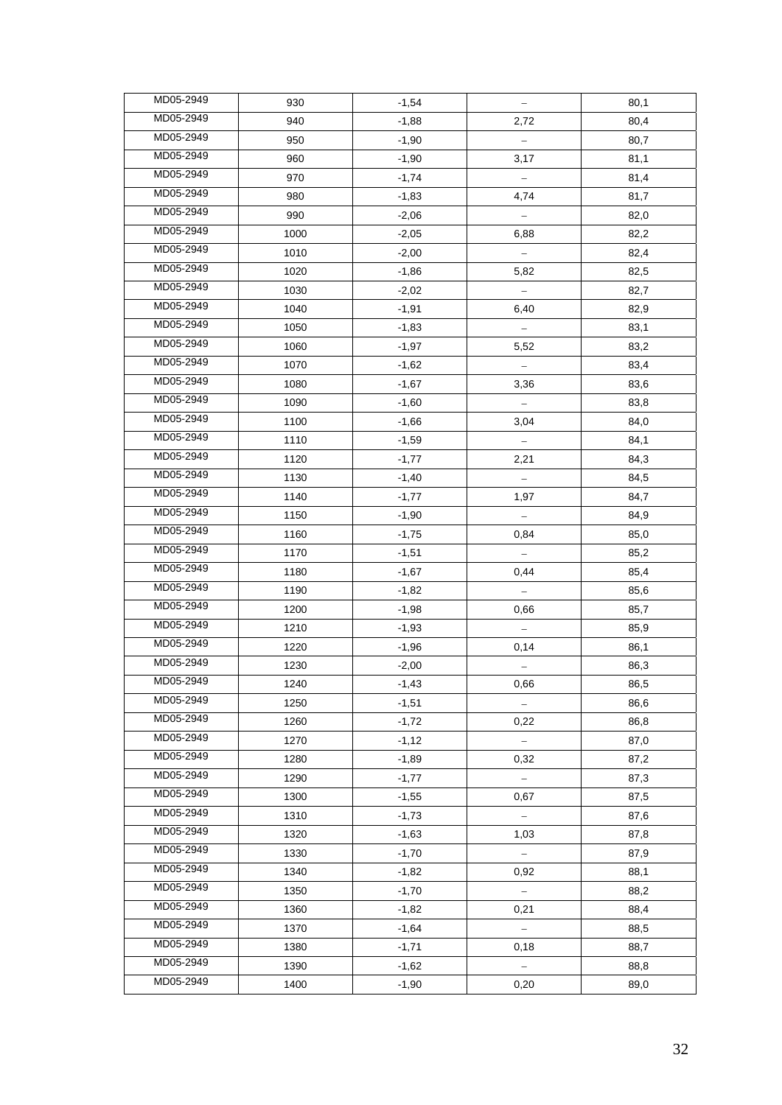| MD05-2949 | 930  | $-1,54$ |           | 80,1 |
|-----------|------|---------|-----------|------|
| MD05-2949 | 940  | $-1,88$ | 2,72      | 80,4 |
| MD05-2949 | 950  | $-1,90$ |           | 80,7 |
| MD05-2949 | 960  | $-1,90$ | 3,17      | 81,1 |
| MD05-2949 | 970  | $-1,74$ |           | 81,4 |
| MD05-2949 | 980  | $-1,83$ | 4,74      | 81,7 |
| MD05-2949 | 990  | $-2,06$ | $\equiv$  | 82,0 |
| MD05-2949 | 1000 | $-2,05$ | 6,88      | 82,2 |
| MD05-2949 | 1010 | $-2,00$ |           | 82,4 |
| MD05-2949 | 1020 | $-1,86$ | 5,82      | 82,5 |
| MD05-2949 | 1030 | $-2,02$ |           | 82,7 |
| MD05-2949 | 1040 | $-1,91$ | 6,40      | 82,9 |
| MD05-2949 | 1050 | $-1,83$ |           | 83,1 |
| MD05-2949 | 1060 | $-1,97$ | 5,52      | 83,2 |
| MD05-2949 | 1070 | $-1,62$ |           | 83,4 |
| MD05-2949 | 1080 | $-1,67$ | 3,36      | 83,6 |
| MD05-2949 | 1090 | $-1,60$ |           | 83,8 |
| MD05-2949 | 1100 | $-1,66$ | 3,04      | 84,0 |
| MD05-2949 | 1110 | $-1,59$ |           | 84,1 |
| MD05-2949 | 1120 | $-1,77$ | 2,21      | 84,3 |
| MD05-2949 | 1130 | $-1,40$ |           | 84,5 |
| MD05-2949 | 1140 | $-1,77$ | 1,97      | 84,7 |
| MD05-2949 | 1150 | $-1,90$ | $\bar{a}$ | 84,9 |
| MD05-2949 | 1160 | $-1,75$ | 0,84      | 85,0 |
| MD05-2949 | 1170 | $-1,51$ |           | 85,2 |
| MD05-2949 | 1180 | $-1,67$ | 0,44      | 85,4 |
| MD05-2949 | 1190 | $-1,82$ |           | 85,6 |
| MD05-2949 | 1200 | $-1,98$ | 0,66      | 85,7 |
| MD05-2949 | 1210 | $-1,93$ |           | 85,9 |
| MD05-2949 | 1220 | $-1,96$ | 0,14      | 86,1 |
| MD05-2949 | 1230 | $-2,00$ |           | 86,3 |
| MD05-2949 | 1240 | $-1,43$ | 0,66      | 86,5 |
| MD05-2949 | 1250 | $-1,51$ |           | 86,6 |
| MD05-2949 | 1260 | $-1.72$ | 0,22      | 86.8 |
| MD05-2949 | 1270 | $-1,12$ |           | 87,0 |
| MD05-2949 | 1280 | $-1,89$ | 0,32      | 87,2 |
| MD05-2949 | 1290 | $-1,77$ |           | 87,3 |
| MD05-2949 | 1300 | $-1,55$ | 0,67      | 87,5 |
| MD05-2949 | 1310 | $-1,73$ | $\equiv$  | 87,6 |
| MD05-2949 | 1320 | $-1,63$ | 1,03      | 87,8 |
| MD05-2949 | 1330 | $-1,70$ | $\equiv$  | 87,9 |
| MD05-2949 | 1340 | $-1,82$ | 0,92      | 88,1 |
| MD05-2949 | 1350 | $-1,70$ |           | 88,2 |
| MD05-2949 | 1360 | $-1,82$ | 0,21      | 88,4 |
| MD05-2949 | 1370 | $-1,64$ |           | 88,5 |
| MD05-2949 | 1380 | $-1,71$ | 0,18      | 88,7 |
| MD05-2949 | 1390 | $-1,62$ |           | 88,8 |
| MD05-2949 | 1400 | $-1,90$ | 0,20      | 89,0 |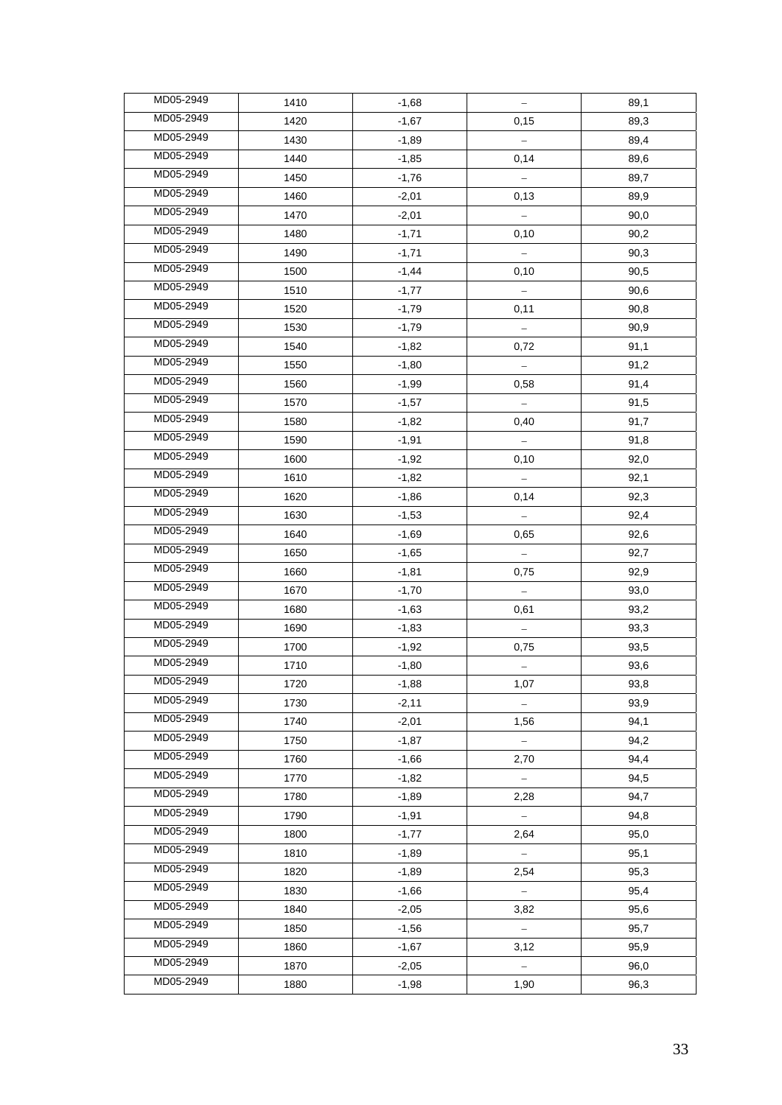| MD05-2949 | 1410 | $-1,68$ |               | 89,1 |
|-----------|------|---------|---------------|------|
| MD05-2949 | 1420 | $-1,67$ | 0,15          | 89,3 |
| MD05-2949 | 1430 | $-1,89$ |               | 89,4 |
| MD05-2949 | 1440 | $-1,85$ | 0,14          | 89,6 |
| MD05-2949 | 1450 | $-1,76$ |               | 89,7 |
| MD05-2949 | 1460 | $-2,01$ | 0,13          | 89,9 |
| MD05-2949 | 1470 | $-2,01$ |               | 90,0 |
| MD05-2949 | 1480 | $-1,71$ | 0,10          | 90,2 |
| MD05-2949 | 1490 | $-1,71$ |               | 90,3 |
| MD05-2949 | 1500 | $-1,44$ | 0,10          | 90,5 |
| MD05-2949 | 1510 | $-1,77$ |               | 90,6 |
| MD05-2949 | 1520 | $-1,79$ | 0,11          | 90,8 |
| MD05-2949 | 1530 | $-1,79$ |               | 90,9 |
| MD05-2949 | 1540 | $-1,82$ | 0,72          | 91,1 |
| MD05-2949 | 1550 | $-1,80$ |               | 91,2 |
| MD05-2949 | 1560 | $-1,99$ | 0,58          | 91,4 |
| MD05-2949 | 1570 | $-1,57$ |               | 91,5 |
| MD05-2949 | 1580 | $-1,82$ | 0,40          | 91,7 |
| MD05-2949 | 1590 | $-1,91$ |               | 91,8 |
| MD05-2949 | 1600 | $-1,92$ | 0,10          | 92,0 |
| MD05-2949 | 1610 | $-1,82$ |               | 92,1 |
| MD05-2949 | 1620 | $-1,86$ | 0,14          | 92,3 |
| MD05-2949 | 1630 | $-1,53$ |               | 92,4 |
| MD05-2949 | 1640 | $-1,69$ | 0,65          | 92,6 |
| MD05-2949 | 1650 | $-1,65$ |               | 92,7 |
| MD05-2949 | 1660 | $-1,81$ | 0,75          | 92,9 |
| MD05-2949 | 1670 | $-1,70$ |               | 93,0 |
| MD05-2949 | 1680 | $-1,63$ | 0,61          | 93,2 |
| MD05-2949 | 1690 | $-1,83$ |               | 93,3 |
| MD05-2949 | 1700 | $-1,92$ | 0,75          | 93,5 |
| MD05-2949 | 1710 | $-1,80$ |               | 93,6 |
| MD05-2949 | 1720 | $-1,88$ | 1,07          | 93,8 |
| MD05-2949 | 1730 | $-2,11$ |               | 93,9 |
| MD05-2949 | 1740 | $-2,01$ | 1,56          | 94,1 |
| MD05-2949 | 1750 | $-1,87$ |               | 94,2 |
| MD05-2949 | 1760 | $-1,66$ | 2,70          | 94,4 |
| MD05-2949 | 1770 | $-1,82$ |               | 94,5 |
| MD05-2949 | 1780 | $-1,89$ | 2,28          | 94,7 |
| MD05-2949 | 1790 | $-1,91$ | $\equiv$      | 94,8 |
| MD05-2949 | 1800 | $-1,77$ | 2,64          | 95,0 |
| MD05-2949 | 1810 | $-1,89$ | $\equiv$      | 95,1 |
| MD05-2949 | 1820 | $-1,89$ | 2,54          | 95,3 |
| MD05-2949 | 1830 | $-1,66$ |               | 95,4 |
| MD05-2949 | 1840 | $-2,05$ | 3,82          | 95,6 |
| MD05-2949 | 1850 | $-1,56$ |               | 95,7 |
| MD05-2949 | 1860 | $-1,67$ | 3,12          | 95,9 |
| MD05-2949 | 1870 | $-2,05$ | $\frac{1}{2}$ | 96,0 |
| MD05-2949 | 1880 | $-1,98$ | 1,90          | 96,3 |
|           |      |         |               |      |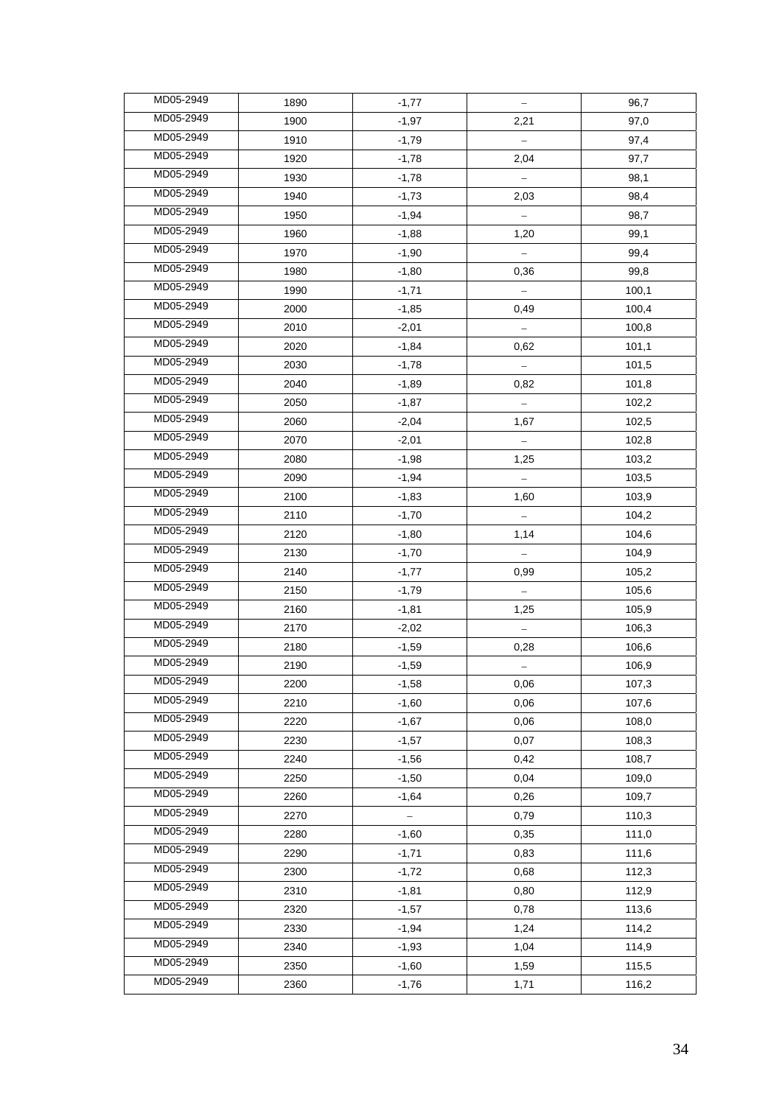| MD05-2949 | 1890 | $-1,77$ | $\frac{1}{\sqrt{2}}$ | 96,7  |
|-----------|------|---------|----------------------|-------|
| MD05-2949 | 1900 | $-1,97$ | 2,21                 | 97,0  |
| MD05-2949 | 1910 | $-1,79$ |                      | 97,4  |
| MD05-2949 | 1920 | $-1,78$ | 2,04                 | 97,7  |
| MD05-2949 | 1930 | $-1,78$ |                      | 98,1  |
| MD05-2949 | 1940 | $-1,73$ | 2,03                 | 98,4  |
| MD05-2949 | 1950 | $-1,94$ |                      | 98,7  |
| MD05-2949 | 1960 | $-1,88$ | 1,20                 | 99,1  |
| MD05-2949 | 1970 | $-1,90$ |                      | 99,4  |
| MD05-2949 | 1980 | $-1,80$ | 0,36                 | 99,8  |
| MD05-2949 | 1990 | $-1,71$ |                      | 100,1 |
| MD05-2949 | 2000 | $-1,85$ | 0,49                 | 100,4 |
| MD05-2949 | 2010 | $-2,01$ |                      | 100,8 |
| MD05-2949 | 2020 | $-1,84$ | 0,62                 | 101,1 |
| MD05-2949 | 2030 | $-1,78$ |                      | 101,5 |
| MD05-2949 | 2040 | $-1,89$ | 0,82                 | 101,8 |
| MD05-2949 | 2050 | $-1,87$ |                      | 102,2 |
| MD05-2949 | 2060 | $-2,04$ | 1,67                 | 102,5 |
| MD05-2949 | 2070 | $-2,01$ |                      | 102,8 |
| MD05-2949 | 2080 | $-1,98$ | 1,25                 | 103,2 |
| MD05-2949 | 2090 | $-1,94$ |                      | 103,5 |
| MD05-2949 | 2100 | $-1,83$ | 1,60                 | 103,9 |
| MD05-2949 | 2110 | $-1,70$ | $\equiv$             | 104,2 |
| MD05-2949 | 2120 | $-1,80$ | 1,14                 | 104,6 |
| MD05-2949 | 2130 | $-1,70$ |                      | 104,9 |
| MD05-2949 | 2140 | $-1,77$ | 0,99                 | 105,2 |
| MD05-2949 | 2150 | $-1,79$ |                      | 105,6 |
| MD05-2949 | 2160 | $-1,81$ | 1,25                 | 105,9 |
| MD05-2949 | 2170 | $-2,02$ |                      | 106,3 |
| MD05-2949 | 2180 | $-1,59$ | 0,28                 | 106,6 |
| MD05-2949 | 2190 | $-1,59$ |                      | 106,9 |
| MD05-2949 | 2200 | $-1,58$ | 0,06                 | 107,3 |
| MD05-2949 | 2210 | $-1,60$ | 0,06                 | 107,6 |
| MD05-2949 | 2220 | $-1,67$ | 0,06                 | 108,0 |
| MD05-2949 | 2230 | $-1,57$ | 0,07                 | 108,3 |
| MD05-2949 | 2240 | $-1,56$ | 0,42                 | 108,7 |
| MD05-2949 | 2250 | $-1,50$ | 0,04                 | 109,0 |
| MD05-2949 | 2260 | $-1,64$ | 0,26                 | 109,7 |
| MD05-2949 | 2270 |         | 0,79                 | 110,3 |
| MD05-2949 | 2280 | $-1,60$ | 0,35                 | 111,0 |
| MD05-2949 | 2290 | $-1,71$ | 0,83                 | 111,6 |
| MD05-2949 | 2300 | $-1,72$ | 0,68                 | 112,3 |
| MD05-2949 | 2310 | $-1,81$ | 0,80                 | 112,9 |
| MD05-2949 | 2320 | $-1,57$ | 0,78                 | 113,6 |
| MD05-2949 | 2330 | $-1,94$ | 1,24                 | 114,2 |
| MD05-2949 | 2340 | $-1,93$ | 1,04                 | 114,9 |
| MD05-2949 | 2350 | $-1,60$ | 1,59                 | 115,5 |
| MD05-2949 | 2360 | $-1,76$ | 1,71                 | 116,2 |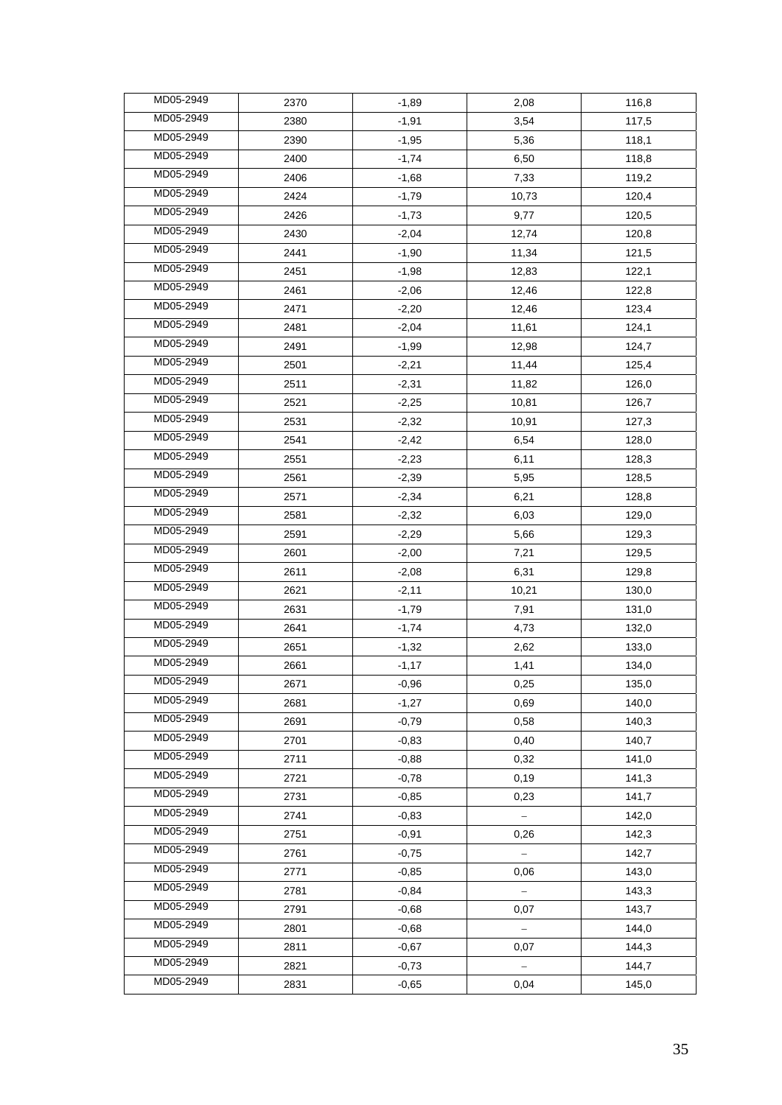| MD05-2949 | 2370 | $-1,89$ | 2,08     | 116,8 |
|-----------|------|---------|----------|-------|
| MD05-2949 | 2380 | $-1,91$ | 3,54     | 117,5 |
| MD05-2949 | 2390 | $-1,95$ | 5,36     | 118,1 |
| MD05-2949 | 2400 | $-1,74$ | 6,50     | 118,8 |
| MD05-2949 | 2406 | $-1,68$ | 7,33     | 119,2 |
| MD05-2949 | 2424 | $-1,79$ | 10,73    | 120,4 |
| MD05-2949 | 2426 | $-1,73$ | 9,77     | 120,5 |
| MD05-2949 | 2430 | $-2,04$ | 12,74    | 120,8 |
| MD05-2949 | 2441 | $-1,90$ | 11,34    | 121,5 |
| MD05-2949 | 2451 | $-1,98$ | 12,83    | 122,1 |
| MD05-2949 | 2461 | $-2,06$ | 12,46    | 122,8 |
| MD05-2949 | 2471 | $-2,20$ | 12,46    | 123,4 |
| MD05-2949 | 2481 | $-2,04$ | 11,61    | 124,1 |
| MD05-2949 | 2491 | $-1,99$ | 12,98    | 124,7 |
| MD05-2949 | 2501 | $-2,21$ | 11,44    | 125,4 |
| MD05-2949 | 2511 | $-2,31$ | 11,82    | 126,0 |
| MD05-2949 | 2521 | $-2,25$ | 10,81    | 126,7 |
| MD05-2949 | 2531 | $-2,32$ | 10,91    | 127,3 |
| MD05-2949 | 2541 | $-2,42$ | 6,54     | 128,0 |
| MD05-2949 | 2551 | $-2,23$ | 6,11     | 128,3 |
| MD05-2949 | 2561 | $-2,39$ | 5,95     | 128,5 |
| MD05-2949 | 2571 | $-2,34$ | 6,21     | 128,8 |
| MD05-2949 | 2581 | $-2,32$ | 6,03     | 129,0 |
| MD05-2949 | 2591 | $-2,29$ | 5,66     | 129,3 |
| MD05-2949 | 2601 | $-2,00$ | 7,21     | 129,5 |
| MD05-2949 | 2611 | $-2,08$ | 6,31     | 129,8 |
| MD05-2949 | 2621 | $-2,11$ | 10,21    | 130,0 |
| MD05-2949 | 2631 | $-1,79$ | 7,91     | 131,0 |
| MD05-2949 | 2641 | $-1,74$ | 4,73     | 132,0 |
| MD05-2949 | 2651 | $-1,32$ | 2,62     | 133,0 |
| MD05-2949 | 2661 | $-1,17$ | 1,41     | 134,0 |
| MD05-2949 | 2671 | $-0,96$ | 0,25     | 135,0 |
| MD05-2949 | 2681 | $-1,27$ | 0,69     | 140,0 |
| MD05-2949 | 2691 | $-0,79$ | 0,58     | 140,3 |
| MD05-2949 | 2701 | $-0,83$ | 0,40     | 140,7 |
| MD05-2949 | 2711 | $-0,88$ | 0,32     | 141,0 |
| MD05-2949 | 2721 | $-0,78$ | 0, 19    | 141,3 |
| MD05-2949 | 2731 | $-0,85$ | 0,23     | 141,7 |
| MD05-2949 | 2741 | $-0,83$ | $\equiv$ | 142,0 |
| MD05-2949 | 2751 | $-0,91$ | 0,26     | 142,3 |
| MD05-2949 | 2761 | $-0,75$ | $\equiv$ | 142,7 |
| MD05-2949 | 2771 | $-0,85$ | 0,06     | 143,0 |
| MD05-2949 | 2781 | $-0,84$ |          | 143,3 |
| MD05-2949 | 2791 | $-0,68$ | 0,07     | 143,7 |
| MD05-2949 | 2801 | $-0,68$ |          | 144,0 |
| MD05-2949 | 2811 | $-0,67$ | 0,07     | 144,3 |
| MD05-2949 | 2821 | $-0,73$ |          | 144,7 |
| MD05-2949 | 2831 | $-0,65$ | 0,04     | 145,0 |
|           |      |         |          |       |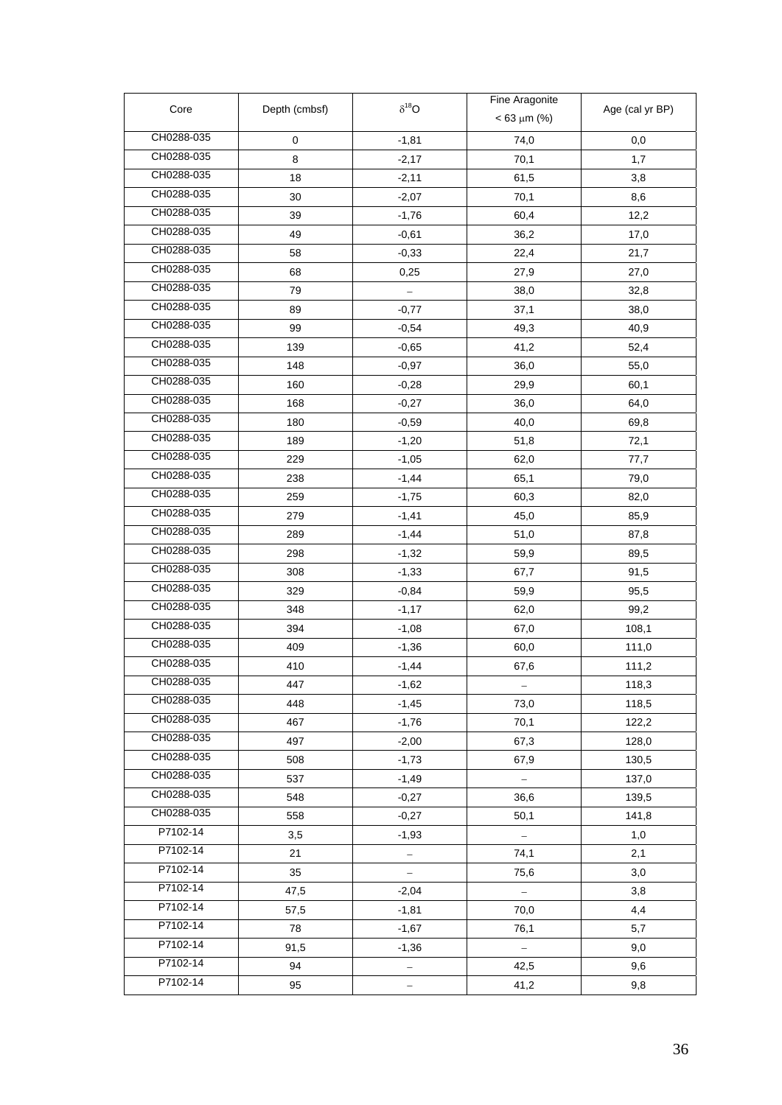| Core       |               | $\delta^{18}O$ | Fine Aragonite   |                 |
|------------|---------------|----------------|------------------|-----------------|
|            | Depth (cmbsf) |                | $< 63 \mu m$ (%) | Age (cal yr BP) |
| CH0288-035 | 0             | $-1,81$        | 74,0             | 0,0             |
| CH0288-035 | 8             | $-2,17$        | 70,1             | 1,7             |
| CH0288-035 | 18            | $-2,11$        | 61,5             | 3,8             |
| CH0288-035 | 30            | $-2,07$        | 70,1             | 8,6             |
| CH0288-035 | 39            | $-1,76$        | 60,4             | 12,2            |
| CH0288-035 | 49            | $-0,61$        | 36,2             | 17,0            |
| CH0288-035 | 58            | $-0,33$        | 22,4             | 21,7            |
| CH0288-035 | 68            | 0,25           | 27,9             | 27,0            |
| CH0288-035 | 79            |                | 38,0             | 32,8            |
| CH0288-035 | 89            | $-0,77$        | 37,1             | 38,0            |
| CH0288-035 | 99            | $-0,54$        | 49,3             | 40,9            |
| CH0288-035 | 139           | $-0,65$        | 41,2             | 52,4            |
| CH0288-035 | 148           | $-0,97$        | 36,0             | 55,0            |
| CH0288-035 | 160           | $-0,28$        | 29,9             | 60,1            |
| CH0288-035 | 168           | $-0,27$        | 36,0             | 64,0            |
| CH0288-035 | 180           | $-0,59$        | 40,0             | 69,8            |
| CH0288-035 | 189           | $-1,20$        | 51,8             | 72,1            |
| CH0288-035 | 229           | $-1,05$        | 62,0             | 77,7            |
| CH0288-035 | 238           | $-1,44$        | 65,1             | 79,0            |
| CH0288-035 | 259           | $-1,75$        | 60,3             | 82,0            |
| CH0288-035 | 279           | $-1,41$        | 45,0             | 85,9            |
| CH0288-035 | 289           | $-1,44$        | 51,0             | 87,8            |
| CH0288-035 | 298           | $-1,32$        | 59,9             | 89,5            |
| CH0288-035 | 308           | $-1,33$        | 67,7             | 91,5            |
| CH0288-035 | 329           | $-0,84$        | 59,9             | 95,5            |
| CH0288-035 | 348           | $-1,17$        | 62,0             | 99,2            |
| CH0288-035 | 394           | $-1,08$        | 67,0             | 108,1           |
| CH0288-035 | 409           | $-1,36$        | 60,0             | 111,0           |
| CH0288-035 | 410           | $-1,44$        | 67,6             | 111,2           |
| CH0288-035 | 447           | -1,62          |                  | 118,3           |
| CH0288-035 | 448           | $-1,45$        | 73,0             | 118,5           |
| CH0288-035 | 467           | $-1,76$        | 70,1             | 122,2           |
| CH0288-035 | 497           | $-2,00$        | 67,3             | 128,0           |
| CH0288-035 | 508           | $-1,73$        | 67,9             | 130,5           |
| CH0288-035 | 537           | $-1,49$        |                  | 137,0           |
| CH0288-035 | 548           | $-0,27$        | 36,6             | 139,5           |
| CH0288-035 | 558           | $-0,27$        | 50,1             | 141,8           |
| P7102-14   | 3,5           | $-1,93$        |                  | 1,0             |
| P7102-14   | 21            |                | 74,1             | 2,1             |
| P7102-14   | 35            |                | 75,6             | 3,0             |
| P7102-14   | 47,5          | $-2,04$        | $\equiv$         | 3,8             |
| P7102-14   | 57,5          | $-1,81$        | 70,0             | 4,4             |
| P7102-14   | 78            | $-1,67$        | 76,1             | 5,7             |
| P7102-14   | 91,5          | $-1,36$        | $\equiv$         | 9,0             |
| P7102-14   | 94            |                | 42,5             | 9,6             |
| P7102-14   | 95            |                | 41,2             | 9,8             |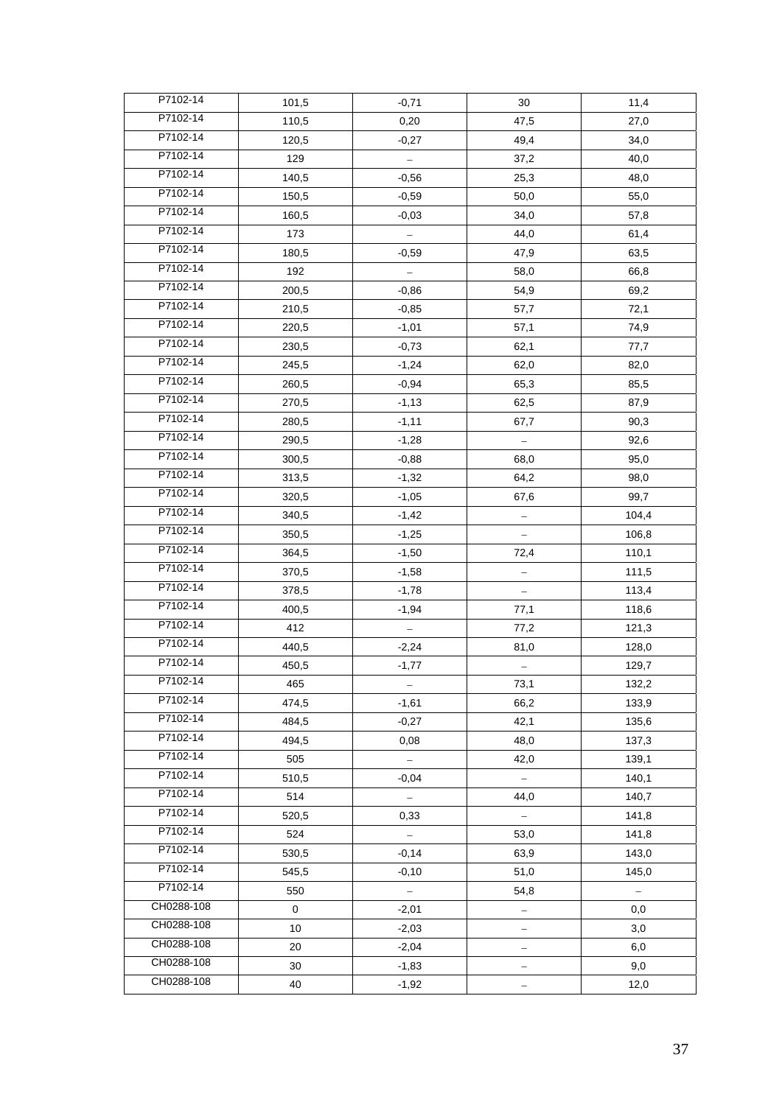| P7102-14   | 101,5       | $-0,71$  | 30                       | 11,4                     |
|------------|-------------|----------|--------------------------|--------------------------|
| P7102-14   | 110,5       | 0,20     | 47,5                     | 27,0                     |
| P7102-14   | 120,5       | $-0,27$  | 49,4                     | 34,0                     |
| P7102-14   | 129         |          | 37,2                     | 40,0                     |
| P7102-14   | 140,5       | $-0,56$  | 25,3                     | 48,0                     |
| P7102-14   | 150,5       | $-0,59$  | 50,0                     | 55,0                     |
| P7102-14   | 160,5       | $-0,03$  | 34,0                     | 57,8                     |
| P7102-14   | 173         |          | 44,0                     | 61,4                     |
| P7102-14   | 180,5       | $-0,59$  | 47,9                     | 63,5                     |
| P7102-14   | 192         |          | 58,0                     | 66,8                     |
| P7102-14   | 200,5       | $-0,86$  | 54,9                     | 69,2                     |
| P7102-14   | 210,5       | $-0,85$  | 57,7                     | 72,1                     |
| P7102-14   | 220,5       | $-1,01$  | 57,1                     | 74,9                     |
| P7102-14   | 230,5       | $-0,73$  | 62,1                     | 77,7                     |
| P7102-14   | 245,5       | $-1,24$  | 62,0                     | 82,0                     |
| P7102-14   | 260,5       | $-0,94$  | 65,3                     | 85,5                     |
| P7102-14   | 270,5       | $-1,13$  | 62,5                     | 87,9                     |
| P7102-14   | 280,5       | $-1, 11$ | 67,7                     | 90,3                     |
| P7102-14   | 290,5       | $-1,28$  |                          | 92,6                     |
| P7102-14   | 300,5       | $-0,88$  | 68,0                     | 95,0                     |
| P7102-14   | 313,5       | $-1,32$  | 64,2                     | 98,0                     |
| P7102-14   | 320,5       | $-1,05$  | 67,6                     | 99,7                     |
| P7102-14   | 340,5       | $-1,42$  |                          | 104,4                    |
| P7102-14   | 350,5       | $-1,25$  |                          | 106,8                    |
| P7102-14   | 364,5       | $-1,50$  | 72,4                     | 110,1                    |
| P7102-14   | 370,5       | $-1,58$  |                          | 111,5                    |
| P7102-14   | 378,5       | $-1,78$  |                          | 113,4                    |
| P7102-14   | 400,5       | $-1,94$  | 77,1                     | 118,6                    |
| P7102-14   | 412         |          | 77,2                     | 121,3                    |
| P7102-14   | 440,5       | $-2,24$  | 81,0                     | 128,0                    |
| P7102-14   | 450,5       | $-1,77$  |                          | 129,7                    |
| P7102-14   | 465         |          | 73,1                     | 132,2                    |
| P7102-14   | 474,5       | $-1,61$  | 66,2                     | 133,9                    |
| P7102-14   | 484,5       | $-0,27$  | 42,1                     | 135,6                    |
| P7102-14   | 494,5       | 0,08     | 48,0                     | 137,3                    |
| P7102-14   | 505         | $\equiv$ | 42,0                     | 139,1                    |
| P7102-14   | 510,5       | $-0,04$  | $\overline{\phantom{0}}$ | 140,1                    |
| P7102-14   | 514         |          | 44,0                     | 140,7                    |
| P7102-14   | 520,5       | 0.33     |                          | 141,8                    |
| P7102-14   | 524         | $\equiv$ | 53,0                     | 141,8                    |
| P7102-14   | 530,5       | $-0,14$  | 63,9                     | 143,0                    |
| P7102-14   | 545,5       | $-0,10$  | 51,0                     | 145,0                    |
| P7102-14   | 550         | $\equiv$ | 54,8                     | $\overline{\phantom{a}}$ |
| CH0288-108 | $\mathbf 0$ | $-2,01$  | $\frac{1}{\sqrt{2}}$     | 0,0                      |
| CH0288-108 | 10          | $-2,03$  |                          | 3,0                      |
| CH0288-108 | 20          | $-2,04$  |                          | 6,0                      |
| CH0288-108 | 30          | $-1,83$  | —                        | 9,0                      |
| CH0288-108 | 40          | $-1,92$  |                          | 12,0                     |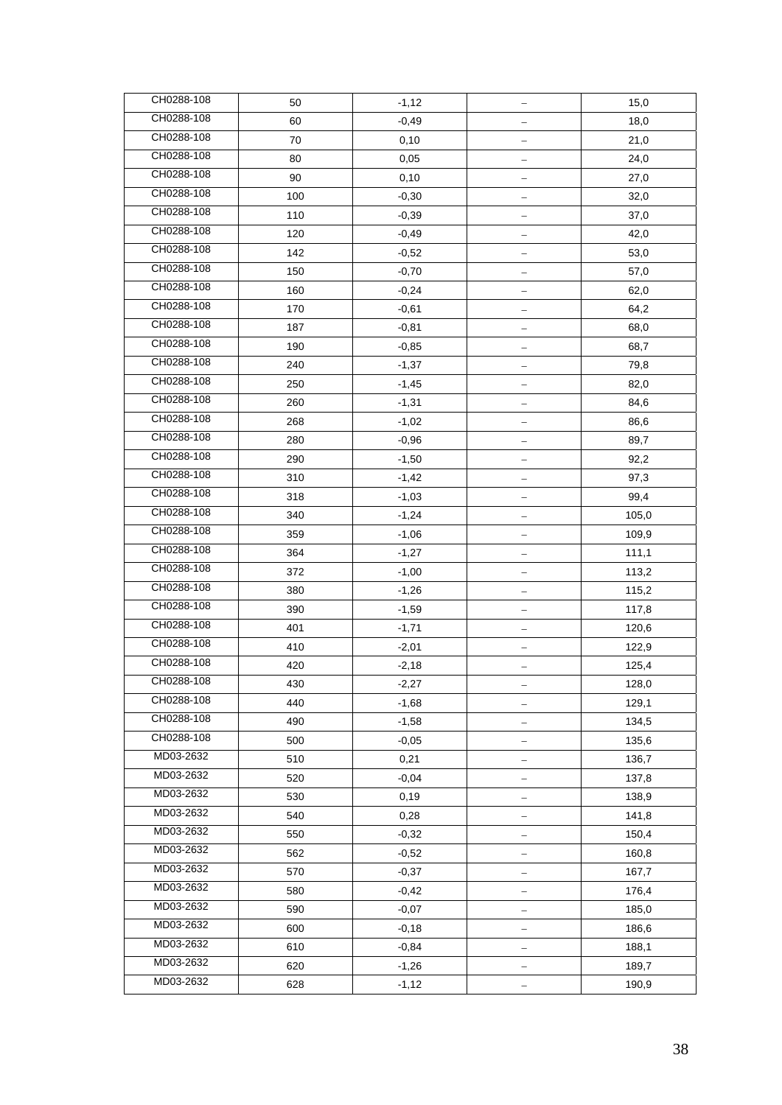| CH0288-108               | 50  | $-1,12$ |                          | 15,0  |
|--------------------------|-----|---------|--------------------------|-------|
| CH0288-108               | 60  | $-0,49$ |                          | 18,0  |
| CH0288-108               | 70  | 0,10    |                          | 21,0  |
| CH0288-108               | 80  | 0,05    |                          | 24,0  |
| CH0288-108               | 90  | 0,10    |                          | 27,0  |
| CH0288-108               | 100 | $-0,30$ |                          | 32,0  |
| CH0288-108               | 110 | $-0,39$ | $\overline{\phantom{0}}$ | 37,0  |
| CH0288-108               | 120 | $-0,49$ | -                        | 42,0  |
| CH0288-108               | 142 | $-0,52$ |                          | 53,0  |
| CH0288-108               | 150 | $-0,70$ | $\equiv$                 | 57,0  |
| CH0288-108               | 160 | $-0,24$ |                          | 62,0  |
| CH0288-108               | 170 | $-0,61$ | -                        | 64,2  |
| CH0288-108               | 187 | $-0,81$ |                          | 68,0  |
| CH0288-108               | 190 | $-0,85$ |                          | 68,7  |
| CH0288-108               | 240 | $-1,37$ | -                        | 79,8  |
| CH0288-108               | 250 | $-1,45$ |                          | 82,0  |
| CH0288-108               | 260 | $-1,31$ |                          | 84,6  |
| CH0288-108               | 268 | $-1,02$ |                          | 86,6  |
| CH0288-108               | 280 | $-0,96$ |                          | 89,7  |
| CH0288-108               | 290 | $-1,50$ | $\overline{\phantom{0}}$ | 92,2  |
| CH0288-108               | 310 | $-1,42$ |                          | 97,3  |
| CH0288-108               | 318 | $-1,03$ |                          | 99,4  |
| CH0288-108               | 340 | $-1,24$ |                          | 105,0 |
| CH0288-108               | 359 | $-1,06$ | -                        | 109,9 |
| CH0288-108               | 364 | $-1,27$ | -                        | 111,1 |
| CH0288-108               | 372 | $-1,00$ |                          | 113,2 |
| CH0288-108               | 380 | $-1,26$ |                          | 115,2 |
| CH0288-108               | 390 | $-1,59$ |                          | 117,8 |
| CH0288-108               | 401 | $-1,71$ |                          | 120,6 |
| CH0288-108<br>CH0288-108 | 410 | $-2,01$ |                          | 122,9 |
|                          | 420 | $-2,18$ |                          | 125,4 |
| CH0288-108<br>CH0288-108 | 430 | $-2,27$ |                          | 128,0 |
| CH0288-108               | 440 | $-1,68$ | —                        | 129,1 |
| CH0288-108               | 490 | $-1,58$ |                          | 134,5 |
| MD03-2632                | 500 | $-0,05$ |                          | 135,6 |
| MD03-2632                | 510 | 0,21    |                          | 136,7 |
| MD03-2632                | 520 | $-0,04$ | -                        | 137,8 |
| MD03-2632                | 530 | 0,19    | -                        | 138,9 |
| MD03-2632                | 540 | 0,28    |                          | 141,8 |
| MD03-2632                | 550 | $-0,32$ |                          | 150,4 |
| MD03-2632                | 562 | $-0,52$ |                          | 160,8 |
| MD03-2632                | 570 | $-0,37$ |                          | 167,7 |
| MD03-2632                | 580 | $-0,42$ |                          | 176,4 |
| MD03-2632                | 590 | $-0,07$ |                          | 185,0 |
| MD03-2632                | 600 | $-0,18$ |                          | 186,6 |
| MD03-2632                | 610 | $-0,84$ | <sup>-</sup>             | 188,1 |
| MD03-2632                | 620 | $-1,26$ |                          | 189,7 |
|                          | 628 | $-1,12$ |                          | 190,9 |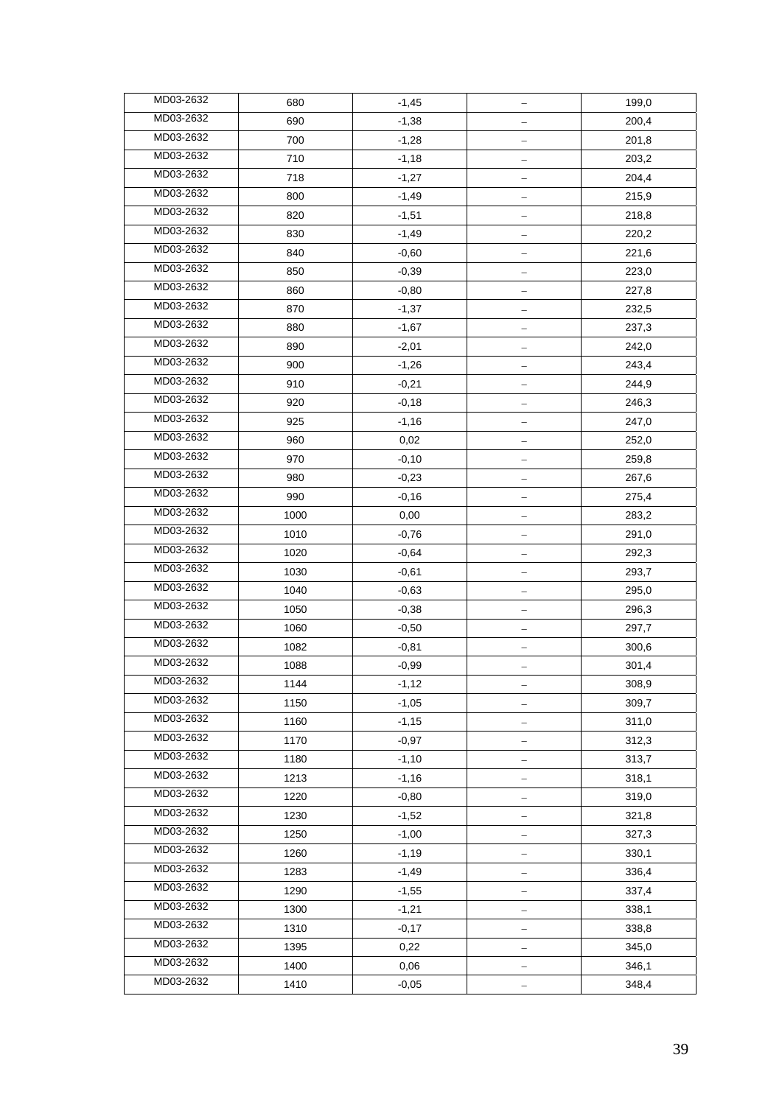| MD03-2632 | 680  | $-1,45$ |                          | 199,0 |
|-----------|------|---------|--------------------------|-------|
| MD03-2632 | 690  | $-1,38$ |                          | 200,4 |
| MD03-2632 | 700  | $-1,28$ |                          | 201,8 |
| MD03-2632 | 710  | $-1,18$ |                          | 203,2 |
| MD03-2632 | 718  | $-1,27$ |                          | 204,4 |
| MD03-2632 | 800  | $-1,49$ |                          | 215,9 |
| MD03-2632 | 820  | $-1,51$ |                          | 218,8 |
| MD03-2632 | 830  | $-1,49$ |                          | 220,2 |
| MD03-2632 | 840  | $-0,60$ | $\overline{\phantom{0}}$ | 221,6 |
| MD03-2632 | 850  | $-0,39$ |                          | 223,0 |
| MD03-2632 | 860  | $-0,80$ |                          | 227,8 |
| MD03-2632 | 870  | $-1,37$ |                          | 232,5 |
| MD03-2632 | 880  | $-1,67$ |                          | 237,3 |
| MD03-2632 | 890  | $-2,01$ |                          | 242,0 |
| MD03-2632 | 900  | $-1,26$ |                          | 243,4 |
| MD03-2632 | 910  | $-0,21$ |                          | 244,9 |
| MD03-2632 | 920  | $-0,18$ | —                        | 246,3 |
| MD03-2632 | 925  | $-1,16$ |                          | 247,0 |
| MD03-2632 | 960  | 0,02    |                          | 252,0 |
| MD03-2632 | 970  | $-0,10$ | —                        | 259,8 |
| MD03-2632 | 980  | $-0,23$ |                          | 267,6 |
| MD03-2632 | 990  | $-0,16$ | -                        | 275,4 |
| MD03-2632 | 1000 | 0,00    |                          | 283,2 |
| MD03-2632 | 1010 | $-0,76$ |                          | 291,0 |
| MD03-2632 | 1020 | $-0,64$ | $\overline{\phantom{0}}$ | 292,3 |
| MD03-2632 | 1030 | $-0,61$ |                          | 293,7 |
| MD03-2632 | 1040 | $-0,63$ |                          | 295,0 |
| MD03-2632 | 1050 | $-0,38$ |                          | 296,3 |
| MD03-2632 | 1060 | $-0,50$ |                          | 297,7 |
| MD03-2632 | 1082 | $-0,81$ | $\overline{\phantom{0}}$ | 300,6 |
| MD03-2632 | 1088 | $-0,99$ |                          | 301,4 |
| MD03-2632 | 1144 | $-1,12$ |                          | 308,9 |
| MD03-2632 | 1150 | $-1,05$ |                          | 309,7 |
| MD03-2632 | 1160 | $-1,15$ |                          | 311,0 |
| MD03-2632 | 1170 | $-0,97$ |                          | 312,3 |
| MD03-2632 | 1180 | $-1,10$ |                          | 313,7 |
| MD03-2632 | 1213 | $-1,16$ |                          | 318,1 |
| MD03-2632 | 1220 | $-0,80$ | $\qquad \qquad -$        | 319,0 |
| MD03-2632 | 1230 | $-1,52$ |                          | 321,8 |
| MD03-2632 | 1250 | $-1,00$ |                          | 327,3 |
| MD03-2632 | 1260 | $-1,19$ |                          | 330,1 |
| MD03-2632 | 1283 | $-1,49$ |                          | 336,4 |
| MD03-2632 | 1290 | $-1,55$ | <u>—</u>                 | 337,4 |
| MD03-2632 | 1300 | $-1,21$ |                          | 338,1 |
| MD03-2632 | 1310 | $-0,17$ |                          | 338,8 |
| MD03-2632 | 1395 | 0,22    |                          | 345,0 |
| MD03-2632 | 1400 | 0,06    |                          | 346,1 |
| MD03-2632 | 1410 | $-0,05$ |                          | 348,4 |
|           |      |         |                          |       |